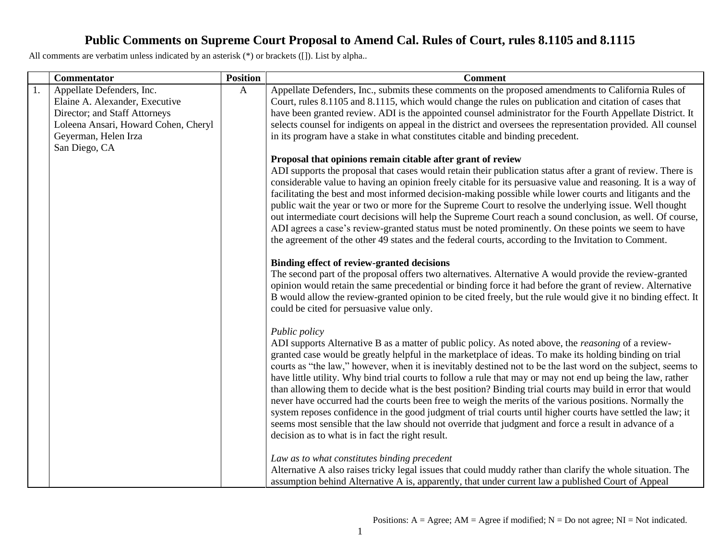|    | Commentator                          | <b>Position</b> | <b>Comment</b>                                                                                                                                             |
|----|--------------------------------------|-----------------|------------------------------------------------------------------------------------------------------------------------------------------------------------|
| 1. | Appellate Defenders, Inc.            | $\mathbf{A}$    | Appellate Defenders, Inc., submits these comments on the proposed amendments to California Rules of                                                        |
|    | Elaine A. Alexander, Executive       |                 | Court, rules 8.1105 and 8.1115, which would change the rules on publication and citation of cases that                                                     |
|    | Director; and Staff Attorneys        |                 | have been granted review. ADI is the appointed counsel administrator for the Fourth Appellate District. It                                                 |
|    | Loleena Ansari, Howard Cohen, Cheryl |                 | selects counsel for indigents on appeal in the district and oversees the representation provided. All counsel                                              |
|    | Geyerman, Helen Irza                 |                 | in its program have a stake in what constitutes citable and binding precedent.                                                                             |
|    | San Diego, CA                        |                 |                                                                                                                                                            |
|    |                                      |                 | Proposal that opinions remain citable after grant of review                                                                                                |
|    |                                      |                 | ADI supports the proposal that cases would retain their publication status after a grant of review. There is                                               |
|    |                                      |                 | considerable value to having an opinion freely citable for its persuasive value and reasoning. It is a way of                                              |
|    |                                      |                 | facilitating the best and most informed decision-making possible while lower courts and litigants and the                                                  |
|    |                                      |                 | public wait the year or two or more for the Supreme Court to resolve the underlying issue. Well thought                                                    |
|    |                                      |                 | out intermediate court decisions will help the Supreme Court reach a sound conclusion, as well. Of course,                                                 |
|    |                                      |                 | ADI agrees a case's review-granted status must be noted prominently. On these points we seem to have                                                       |
|    |                                      |                 | the agreement of the other 49 states and the federal courts, according to the Invitation to Comment.                                                       |
|    |                                      |                 |                                                                                                                                                            |
|    |                                      |                 | Binding effect of review-granted decisions                                                                                                                 |
|    |                                      |                 | The second part of the proposal offers two alternatives. Alternative A would provide the review-granted                                                    |
|    |                                      |                 | opinion would retain the same precedential or binding force it had before the grant of review. Alternative                                                 |
|    |                                      |                 | B would allow the review-granted opinion to be cited freely, but the rule would give it no binding effect. It<br>could be cited for persuasive value only. |
|    |                                      |                 |                                                                                                                                                            |
|    |                                      |                 | Public policy                                                                                                                                              |
|    |                                      |                 | ADI supports Alternative B as a matter of public policy. As noted above, the <i>reasoning</i> of a review-                                                 |
|    |                                      |                 | granted case would be greatly helpful in the marketplace of ideas. To make its holding binding on trial                                                    |
|    |                                      |                 | courts as "the law," however, when it is inevitably destined not to be the last word on the subject, seems to                                              |
|    |                                      |                 | have little utility. Why bind trial courts to follow a rule that may or may not end up being the law, rather                                               |
|    |                                      |                 | than allowing them to decide what is the best position? Binding trial courts may build in error that would                                                 |
|    |                                      |                 | never have occurred had the courts been free to weigh the merits of the various positions. Normally the                                                    |
|    |                                      |                 | system reposes confidence in the good judgment of trial courts until higher courts have settled the law; it                                                |
|    |                                      |                 | seems most sensible that the law should not override that judgment and force a result in advance of a                                                      |
|    |                                      |                 | decision as to what is in fact the right result.                                                                                                           |
|    |                                      |                 |                                                                                                                                                            |
|    |                                      |                 | Law as to what constitutes binding precedent                                                                                                               |
|    |                                      |                 | Alternative A also raises tricky legal issues that could muddy rather than clarify the whole situation. The                                                |
|    |                                      |                 | assumption behind Alternative A is, apparently, that under current law a published Court of Appeal                                                         |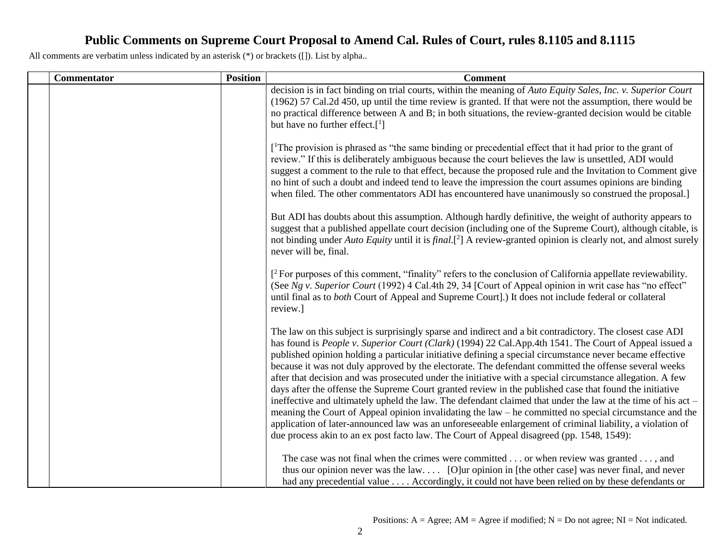| <b>Commentator</b> | <b>Position</b> | <b>Comment</b>                                                                                                                                                                                                                                                                                                                                                                                                                                                                                                                                                                                                                                                                                                                                                                                                                                                                                                                                                                                                                                                                                        |
|--------------------|-----------------|-------------------------------------------------------------------------------------------------------------------------------------------------------------------------------------------------------------------------------------------------------------------------------------------------------------------------------------------------------------------------------------------------------------------------------------------------------------------------------------------------------------------------------------------------------------------------------------------------------------------------------------------------------------------------------------------------------------------------------------------------------------------------------------------------------------------------------------------------------------------------------------------------------------------------------------------------------------------------------------------------------------------------------------------------------------------------------------------------------|
|                    |                 | decision is in fact binding on trial courts, within the meaning of Auto Equity Sales, Inc. v. Superior Court<br>(1962) 57 Cal.2d 450, up until the time review is granted. If that were not the assumption, there would be<br>no practical difference between A and B; in both situations, the review-granted decision would be citable<br>but have no further effect. $[1]$                                                                                                                                                                                                                                                                                                                                                                                                                                                                                                                                                                                                                                                                                                                          |
|                    |                 | [ <sup>1</sup> The provision is phrased as "the same binding or precedential effect that it had prior to the grant of<br>review." If this is deliberately ambiguous because the court believes the law is unsettled, ADI would<br>suggest a comment to the rule to that effect, because the proposed rule and the Invitation to Comment give<br>no hint of such a doubt and indeed tend to leave the impression the court assumes opinions are binding<br>when filed. The other commentators ADI has encountered have unanimously so construed the proposal.]                                                                                                                                                                                                                                                                                                                                                                                                                                                                                                                                         |
|                    |                 | But ADI has doubts about this assumption. Although hardly definitive, the weight of authority appears to<br>suggest that a published appellate court decision (including one of the Supreme Court), although citable, is<br>not binding under Auto Equity until it is final. <sup>[2]</sup> A review-granted opinion is clearly not, and almost surely<br>never will be, final.                                                                                                                                                                                                                                                                                                                                                                                                                                                                                                                                                                                                                                                                                                                       |
|                    |                 | $\int^2$ For purposes of this comment, "finality" refers to the conclusion of California appellate reviewability.<br>(See Ng v. Superior Court (1992) 4 Cal.4th 29, 34 [Court of Appeal opinion in writ case has "no effect"<br>until final as to both Court of Appeal and Supreme Court].) It does not include federal or collateral<br>review.]                                                                                                                                                                                                                                                                                                                                                                                                                                                                                                                                                                                                                                                                                                                                                     |
|                    |                 | The law on this subject is surprisingly sparse and indirect and a bit contradictory. The closest case ADI<br>has found is People v. Superior Court (Clark) (1994) 22 Cal.App.4th 1541. The Court of Appeal issued a<br>published opinion holding a particular initiative defining a special circumstance never became effective<br>because it was not duly approved by the electorate. The defendant committed the offense several weeks<br>after that decision and was prosecuted under the initiative with a special circumstance allegation. A few<br>days after the offense the Supreme Court granted review in the published case that found the initiative<br>ineffective and ultimately upheld the law. The defendant claimed that under the law at the time of his act -<br>meaning the Court of Appeal opinion invalidating the law – he committed no special circumstance and the<br>application of later-announced law was an unforeseeable enlargement of criminal liability, a violation of<br>due process akin to an ex post facto law. The Court of Appeal disagreed (pp. 1548, 1549): |
|                    |                 | The case was not final when the crimes were committed or when review was granted , and<br>thus our opinion never was the law [O]ur opinion in [the other case] was never final, and never<br>had any precedential value Accordingly, it could not have been relied on by these defendants or                                                                                                                                                                                                                                                                                                                                                                                                                                                                                                                                                                                                                                                                                                                                                                                                          |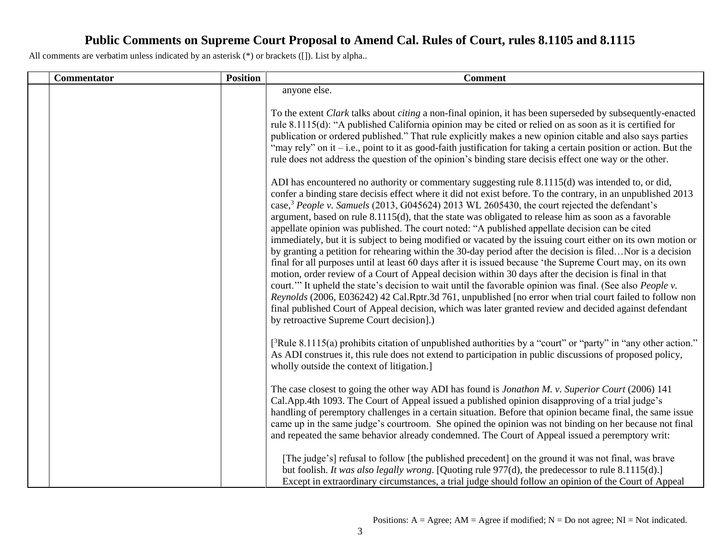| <b>Commentator</b> | <b>Position</b> | <b>Comment</b>                                                                                                                                                                                                                                                                                                                                                                                                                                                                                                                                                                                                                                                                                                                                                                                                                                                                                                                                                                                                                                                                                                                                                                                                                                                                                                                                                                        |
|--------------------|-----------------|---------------------------------------------------------------------------------------------------------------------------------------------------------------------------------------------------------------------------------------------------------------------------------------------------------------------------------------------------------------------------------------------------------------------------------------------------------------------------------------------------------------------------------------------------------------------------------------------------------------------------------------------------------------------------------------------------------------------------------------------------------------------------------------------------------------------------------------------------------------------------------------------------------------------------------------------------------------------------------------------------------------------------------------------------------------------------------------------------------------------------------------------------------------------------------------------------------------------------------------------------------------------------------------------------------------------------------------------------------------------------------------|
|                    |                 | anyone else.<br>To the extent Clark talks about citing a non-final opinion, it has been superseded by subsequently-enacted<br>rule 8.1115(d): "A published California opinion may be cited or relied on as soon as it is certified for<br>publication or ordered published." That rule explicitly makes a new opinion citable and also says parties<br>"may rely" on it – i.e., point to it as good-faith justification for taking a certain position or action. But the<br>rule does not address the question of the opinion's binding stare decisis effect one way or the other.                                                                                                                                                                                                                                                                                                                                                                                                                                                                                                                                                                                                                                                                                                                                                                                                    |
|                    |                 | ADI has encountered no authority or commentary suggesting rule 8.1115(d) was intended to, or did,<br>confer a binding stare decisis effect where it did not exist before. To the contrary, in an unpublished 2013<br>case, <sup>3</sup> People v. Samuels (2013, G045624) 2013 WL 2605430, the court rejected the defendant's<br>argument, based on rule 8.1115(d), that the state was obligated to release him as soon as a favorable<br>appellate opinion was published. The court noted: "A published appellate decision can be cited<br>immediately, but it is subject to being modified or vacated by the issuing court either on its own motion or<br>by granting a petition for rehearing within the 30-day period after the decision is filedNor is a decision<br>final for all purposes until at least 60 days after it is issued because 'the Supreme Court may, on its own<br>motion, order review of a Court of Appeal decision within 30 days after the decision is final in that<br>court." It upheld the state's decision to wait until the favorable opinion was final. (See also <i>People v</i> .<br>Reynolds (2006, E036242) 42 Cal.Rptr.3d 761, unpublished [no error when trial court failed to follow non<br>final published Court of Appeal decision, which was later granted review and decided against defendant<br>by retroactive Supreme Court decision].) |
|                    |                 | $[^{3}R$ ule 8.1115(a) prohibits citation of unpublished authorities by a "court" or "party" in "any other action."<br>As ADI construes it, this rule does not extend to participation in public discussions of proposed policy,<br>wholly outside the context of litigation.                                                                                                                                                                                                                                                                                                                                                                                                                                                                                                                                                                                                                                                                                                                                                                                                                                                                                                                                                                                                                                                                                                         |
|                    |                 | The case closest to going the other way ADI has found is Jonathon M. v. Superior Court (2006) 141<br>Cal.App.4th 1093. The Court of Appeal issued a published opinion disapproving of a trial judge's<br>handling of peremptory challenges in a certain situation. Before that opinion became final, the same issue<br>came up in the same judge's courtroom. She opined the opinion was not binding on her because not final<br>and repeated the same behavior already condemned. The Court of Appeal issued a peremptory writ:                                                                                                                                                                                                                                                                                                                                                                                                                                                                                                                                                                                                                                                                                                                                                                                                                                                      |
|                    |                 | [The judge's] refusal to follow [the published precedent] on the ground it was not final, was brave<br>but foolish. It was also legally wrong. [Quoting rule 977(d), the predecessor to rule 8.1115(d).]<br>Except in extraordinary circumstances, a trial judge should follow an opinion of the Court of Appeal                                                                                                                                                                                                                                                                                                                                                                                                                                                                                                                                                                                                                                                                                                                                                                                                                                                                                                                                                                                                                                                                      |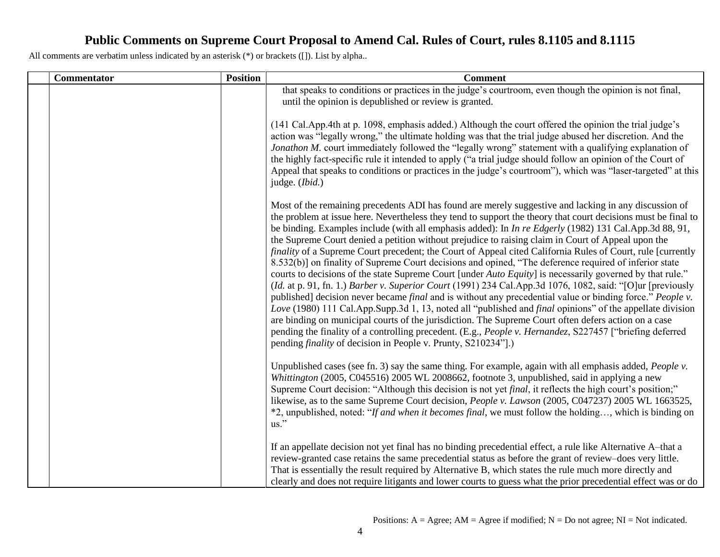| <b>Commentator</b> | <b>Position</b> | <b>Comment</b>                                                                                                                                                                                                                                                                                                                                                                                                                                                                                                                                                                                                                                                                                                                                                                                                                                                                                                                                                                                                                                                                                                                                                                                                                                                                                                                                                                                                                 |
|--------------------|-----------------|--------------------------------------------------------------------------------------------------------------------------------------------------------------------------------------------------------------------------------------------------------------------------------------------------------------------------------------------------------------------------------------------------------------------------------------------------------------------------------------------------------------------------------------------------------------------------------------------------------------------------------------------------------------------------------------------------------------------------------------------------------------------------------------------------------------------------------------------------------------------------------------------------------------------------------------------------------------------------------------------------------------------------------------------------------------------------------------------------------------------------------------------------------------------------------------------------------------------------------------------------------------------------------------------------------------------------------------------------------------------------------------------------------------------------------|
|                    |                 | that speaks to conditions or practices in the judge's courtroom, even though the opinion is not final,<br>until the opinion is depublished or review is granted.                                                                                                                                                                                                                                                                                                                                                                                                                                                                                                                                                                                                                                                                                                                                                                                                                                                                                                                                                                                                                                                                                                                                                                                                                                                               |
|                    |                 | (141 Cal.App.4th at p. 1098, emphasis added.) Although the court offered the opinion the trial judge's<br>action was "legally wrong," the ultimate holding was that the trial judge abused her discretion. And the<br>Jonathon M. court immediately followed the "legally wrong" statement with a qualifying explanation of<br>the highly fact-specific rule it intended to apply ("a trial judge should follow an opinion of the Court of<br>Appeal that speaks to conditions or practices in the judge's courtroom"), which was "laser-targeted" at this<br>judge. (Ibid.)                                                                                                                                                                                                                                                                                                                                                                                                                                                                                                                                                                                                                                                                                                                                                                                                                                                   |
|                    |                 | Most of the remaining precedents ADI has found are merely suggestive and lacking in any discussion of<br>the problem at issue here. Nevertheless they tend to support the theory that court decisions must be final to<br>be binding. Examples include (with all emphasis added): In <i>In re Edgerly</i> (1982) 131 Cal.App.3d 88, 91,<br>the Supreme Court denied a petition without prejudice to raising claim in Court of Appeal upon the<br>finality of a Supreme Court precedent; the Court of Appeal cited California Rules of Court, rule [currently<br>8.532(b)] on finality of Supreme Court decisions and opined, "The deference required of inferior state<br>courts to decisions of the state Supreme Court [under Auto Equity] is necessarily governed by that rule."<br>(Id. at p. 91, fn. 1.) Barber v. Superior Court (1991) 234 Cal.App.3d 1076, 1082, said: "[O]ur [previously<br>published] decision never became final and is without any precedential value or binding force." People v.<br>Love (1980) 111 Cal.App.Supp.3d 1, 13, noted all "published and <i>final</i> opinions" of the appellate division<br>are binding on municipal courts of the jurisdiction. The Supreme Court often defers action on a case<br>pending the finality of a controlling precedent. (E.g., People v. Hernandez, S227457 ["briefing deferred<br>pending <i>finality</i> of decision in People v. Prunty, S210234"].) |
|                    |                 | Unpublished cases (see fn. 3) say the same thing. For example, again with all emphasis added, People v.<br>Whittington (2005, C045516) 2005 WL 2008662, footnote 3, unpublished, said in applying a new<br>Supreme Court decision: "Although this decision is not yet <i>final</i> , it reflects the high court's position;"<br>likewise, as to the same Supreme Court decision, People v. Lawson (2005, C047237) 2005 WL 1663525,<br>*2, unpublished, noted: "If and when it becomes final, we must follow the holding, which is binding on<br>$\mathrm{us}$ ."                                                                                                                                                                                                                                                                                                                                                                                                                                                                                                                                                                                                                                                                                                                                                                                                                                                               |
|                    |                 | If an appellate decision not yet final has no binding precedential effect, a rule like Alternative A-that a<br>review-granted case retains the same precedential status as before the grant of review-does very little.<br>That is essentially the result required by Alternative B, which states the rule much more directly and<br>clearly and does not require litigants and lower courts to guess what the prior precedential effect was or do                                                                                                                                                                                                                                                                                                                                                                                                                                                                                                                                                                                                                                                                                                                                                                                                                                                                                                                                                                             |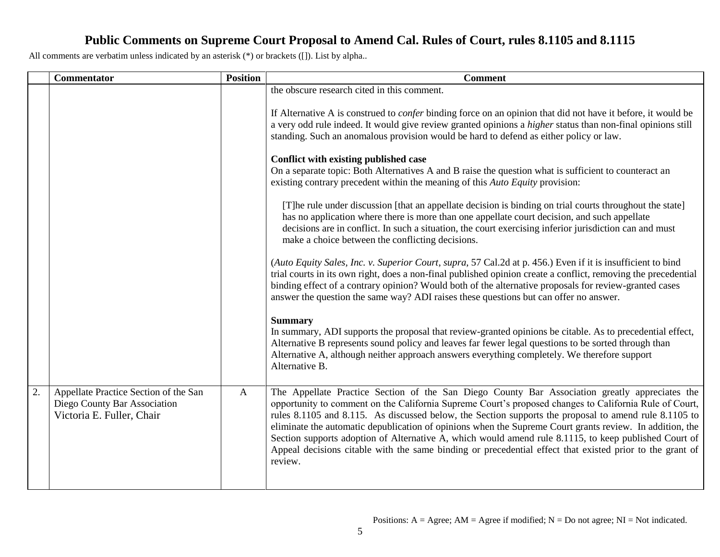|    | Commentator                                                                                        | <b>Position</b> | <b>Comment</b>                                                                                                                                                                                                                                                                                                                                                                                                                                                                                                                                                                                                                                                                                                                                                                                                                                                                                                                                                                                                                                                                                                                                                                                                                                                                                                                                                                                                                                                                                                                                                                                                                                                                                                                                                                                 |
|----|----------------------------------------------------------------------------------------------------|-----------------|------------------------------------------------------------------------------------------------------------------------------------------------------------------------------------------------------------------------------------------------------------------------------------------------------------------------------------------------------------------------------------------------------------------------------------------------------------------------------------------------------------------------------------------------------------------------------------------------------------------------------------------------------------------------------------------------------------------------------------------------------------------------------------------------------------------------------------------------------------------------------------------------------------------------------------------------------------------------------------------------------------------------------------------------------------------------------------------------------------------------------------------------------------------------------------------------------------------------------------------------------------------------------------------------------------------------------------------------------------------------------------------------------------------------------------------------------------------------------------------------------------------------------------------------------------------------------------------------------------------------------------------------------------------------------------------------------------------------------------------------------------------------------------------------|
|    |                                                                                                    |                 | the obscure research cited in this comment.<br>If Alternative A is construed to <i>confer</i> binding force on an opinion that did not have it before, it would be<br>a very odd rule indeed. It would give review granted opinions a <i>higher</i> status than non-final opinions still<br>standing. Such an anomalous provision would be hard to defend as either policy or law.<br>Conflict with existing published case<br>On a separate topic: Both Alternatives A and B raise the question what is sufficient to counteract an<br>existing contrary precedent within the meaning of this Auto Equity provision:<br>[T] he rule under discussion [that an appellate decision is binding on trial courts throughout the state]<br>has no application where there is more than one appellate court decision, and such appellate<br>decisions are in conflict. In such a situation, the court exercising inferior jurisdiction can and must<br>make a choice between the conflicting decisions.<br>(Auto Equity Sales, Inc. v. Superior Court, supra, 57 Cal.2d at p. 456.) Even if it is insufficient to bind<br>trial courts in its own right, does a non-final published opinion create a conflict, removing the precedential<br>binding effect of a contrary opinion? Would both of the alternative proposals for review-granted cases<br>answer the question the same way? ADI raises these questions but can offer no answer.<br><b>Summary</b><br>In summary, ADI supports the proposal that review-granted opinions be citable. As to precedential effect,<br>Alternative B represents sound policy and leaves far fewer legal questions to be sorted through than<br>Alternative A, although neither approach answers everything completely. We therefore support<br>Alternative B. |
| 2. | Appellate Practice Section of the San<br>Diego County Bar Association<br>Victoria E. Fuller, Chair | $\mathbf{A}$    | The Appellate Practice Section of the San Diego County Bar Association greatly appreciates the<br>opportunity to comment on the California Supreme Court's proposed changes to California Rule of Court,<br>rules 8.1105 and 8.115. As discussed below, the Section supports the proposal to amend rule 8.1105 to<br>eliminate the automatic depublication of opinions when the Supreme Court grants review. In addition, the<br>Section supports adoption of Alternative A, which would amend rule 8.1115, to keep published Court of<br>Appeal decisions citable with the same binding or precedential effect that existed prior to the grant of<br>review.                                                                                                                                                                                                                                                                                                                                                                                                                                                                                                                                                                                                                                                                                                                                                                                                                                                                                                                                                                                                                                                                                                                                  |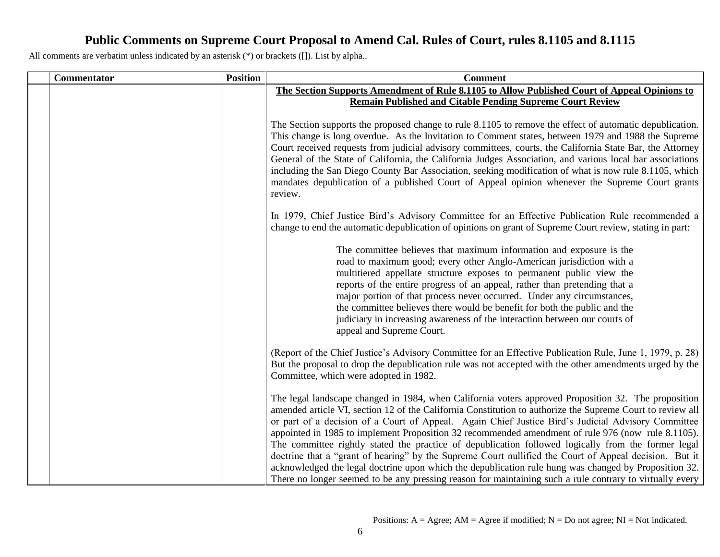| Commentator | <b>Position</b> | <b>Comment</b>                                                                                                                                                                                                                                                                                                                                                                                                                                                                                                                                                                                                                                                                                                                                                                                                                                                       |
|-------------|-----------------|----------------------------------------------------------------------------------------------------------------------------------------------------------------------------------------------------------------------------------------------------------------------------------------------------------------------------------------------------------------------------------------------------------------------------------------------------------------------------------------------------------------------------------------------------------------------------------------------------------------------------------------------------------------------------------------------------------------------------------------------------------------------------------------------------------------------------------------------------------------------|
|             |                 | The Section Supports Amendment of Rule 8.1105 to Allow Published Court of Appeal Opinions to                                                                                                                                                                                                                                                                                                                                                                                                                                                                                                                                                                                                                                                                                                                                                                         |
|             |                 | <b>Remain Published and Citable Pending Supreme Court Review</b>                                                                                                                                                                                                                                                                                                                                                                                                                                                                                                                                                                                                                                                                                                                                                                                                     |
|             |                 | The Section supports the proposed change to rule 8.1105 to remove the effect of automatic depublication.<br>This change is long overdue. As the Invitation to Comment states, between 1979 and 1988 the Supreme<br>Court received requests from judicial advisory committees, courts, the California State Bar, the Attorney<br>General of the State of California, the California Judges Association, and various local bar associations<br>including the San Diego County Bar Association, seeking modification of what is now rule 8.1105, which<br>mandates depublication of a published Court of Appeal opinion whenever the Supreme Court grants<br>review.                                                                                                                                                                                                    |
|             |                 | In 1979, Chief Justice Bird's Advisory Committee for an Effective Publication Rule recommended a<br>change to end the automatic depublication of opinions on grant of Supreme Court review, stating in part:                                                                                                                                                                                                                                                                                                                                                                                                                                                                                                                                                                                                                                                         |
|             |                 | The committee believes that maximum information and exposure is the<br>road to maximum good; every other Anglo-American jurisdiction with a<br>multitiered appellate structure exposes to permanent public view the<br>reports of the entire progress of an appeal, rather than pretending that a<br>major portion of that process never occurred. Under any circumstances,<br>the committee believes there would be benefit for both the public and the<br>judiciary in increasing awareness of the interaction between our courts of<br>appeal and Supreme Court.                                                                                                                                                                                                                                                                                                  |
|             |                 | (Report of the Chief Justice's Advisory Committee for an Effective Publication Rule, June 1, 1979, p. 28)<br>But the proposal to drop the depublication rule was not accepted with the other amendments urged by the<br>Committee, which were adopted in 1982.                                                                                                                                                                                                                                                                                                                                                                                                                                                                                                                                                                                                       |
|             |                 | The legal landscape changed in 1984, when California voters approved Proposition 32. The proposition<br>amended article VI, section 12 of the California Constitution to authorize the Supreme Court to review all<br>or part of a decision of a Court of Appeal. Again Chief Justice Bird's Judicial Advisory Committee<br>appointed in 1985 to implement Proposition 32 recommended amendment of rule 976 (now rule 8.1105).<br>The committee rightly stated the practice of depublication followed logically from the former legal<br>doctrine that a "grant of hearing" by the Supreme Court nullified the Court of Appeal decision. But it<br>acknowledged the legal doctrine upon which the depublication rule hung was changed by Proposition 32.<br>There no longer seemed to be any pressing reason for maintaining such a rule contrary to virtually every |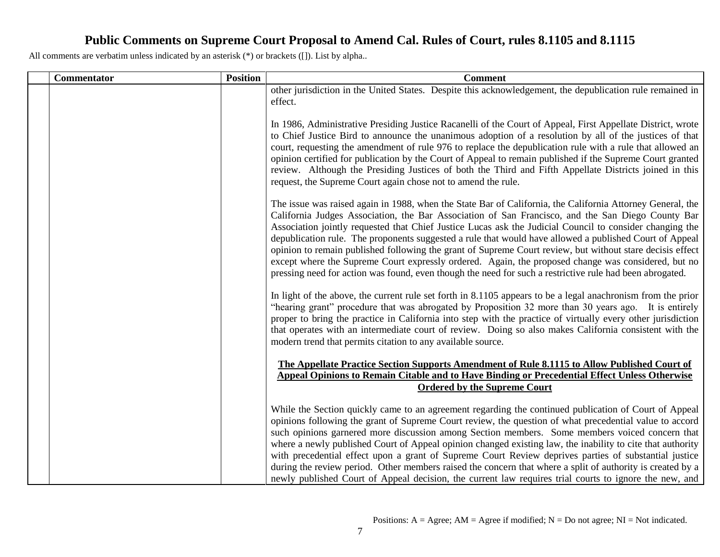| Commentator | <b>Position</b> | <b>Comment</b>                                                                                                                                                                                                                                                                                                                                                                                                                                                                                                                                                                                                                                                                                                                                                         |
|-------------|-----------------|------------------------------------------------------------------------------------------------------------------------------------------------------------------------------------------------------------------------------------------------------------------------------------------------------------------------------------------------------------------------------------------------------------------------------------------------------------------------------------------------------------------------------------------------------------------------------------------------------------------------------------------------------------------------------------------------------------------------------------------------------------------------|
|             |                 | other jurisdiction in the United States. Despite this acknowledgement, the depublication rule remained in<br>effect.                                                                                                                                                                                                                                                                                                                                                                                                                                                                                                                                                                                                                                                   |
|             |                 | In 1986, Administrative Presiding Justice Racanelli of the Court of Appeal, First Appellate District, wrote<br>to Chief Justice Bird to announce the unanimous adoption of a resolution by all of the justices of that<br>court, requesting the amendment of rule 976 to replace the depublication rule with a rule that allowed an<br>opinion certified for publication by the Court of Appeal to remain published if the Supreme Court granted<br>review. Although the Presiding Justices of both the Third and Fifth Appellate Districts joined in this<br>request, the Supreme Court again chose not to amend the rule.                                                                                                                                            |
|             |                 | The issue was raised again in 1988, when the State Bar of California, the California Attorney General, the<br>California Judges Association, the Bar Association of San Francisco, and the San Diego County Bar<br>Association jointly requested that Chief Justice Lucas ask the Judicial Council to consider changing the<br>depublication rule. The proponents suggested a rule that would have allowed a published Court of Appeal<br>opinion to remain published following the grant of Supreme Court review, but without stare decisis effect<br>except where the Supreme Court expressly ordered. Again, the proposed change was considered, but no<br>pressing need for action was found, even though the need for such a restrictive rule had been abrogated. |
|             |                 | In light of the above, the current rule set forth in 8.1105 appears to be a legal anachronism from the prior<br>"hearing grant" procedure that was abrogated by Proposition 32 more than 30 years ago. It is entirely<br>proper to bring the practice in California into step with the practice of virtually every other jurisdiction<br>that operates with an intermediate court of review. Doing so also makes California consistent with the<br>modern trend that permits citation to any available source.                                                                                                                                                                                                                                                         |
|             |                 | The Appellate Practice Section Supports Amendment of Rule 8.1115 to Allow Published Court of<br>Appeal Opinions to Remain Citable and to Have Binding or Precedential Effect Unless Otherwise<br><b>Ordered by the Supreme Court</b>                                                                                                                                                                                                                                                                                                                                                                                                                                                                                                                                   |
|             |                 | While the Section quickly came to an agreement regarding the continued publication of Court of Appeal<br>opinions following the grant of Supreme Court review, the question of what precedential value to accord<br>such opinions garnered more discussion among Section members. Some members voiced concern that<br>where a newly published Court of Appeal opinion changed existing law, the inability to cite that authority<br>with precedential effect upon a grant of Supreme Court Review deprives parties of substantial justice<br>during the review period. Other members raised the concern that where a split of authority is created by a<br>newly published Court of Appeal decision, the current law requires trial courts to ignore the new, and      |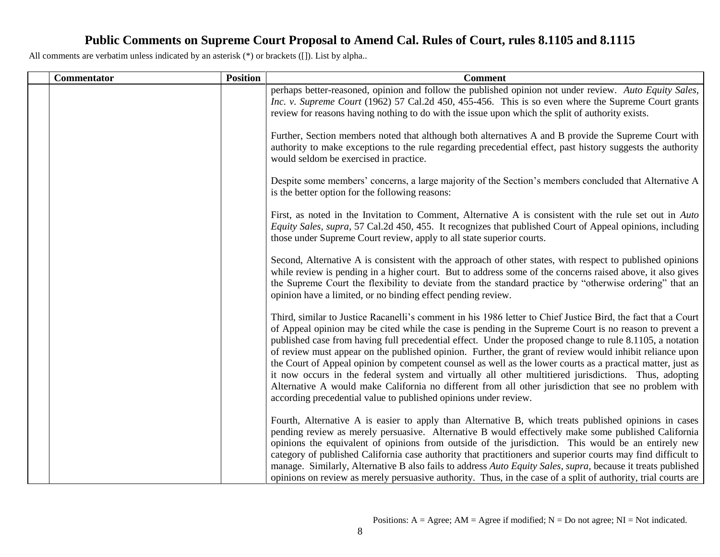| <b>Commentator</b> | <b>Position</b> | <b>Comment</b>                                                                                                                                                                                                                                                                                                                                                                                                                                                                                                                                                                                                                                                                                                                                                                                                                                         |
|--------------------|-----------------|--------------------------------------------------------------------------------------------------------------------------------------------------------------------------------------------------------------------------------------------------------------------------------------------------------------------------------------------------------------------------------------------------------------------------------------------------------------------------------------------------------------------------------------------------------------------------------------------------------------------------------------------------------------------------------------------------------------------------------------------------------------------------------------------------------------------------------------------------------|
|                    |                 | perhaps better-reasoned, opinion and follow the published opinion not under review. Auto Equity Sales,<br>Inc. v. Supreme Court (1962) 57 Cal.2d 450, 455-456. This is so even where the Supreme Court grants<br>review for reasons having nothing to do with the issue upon which the split of authority exists.                                                                                                                                                                                                                                                                                                                                                                                                                                                                                                                                      |
|                    |                 | Further, Section members noted that although both alternatives A and B provide the Supreme Court with<br>authority to make exceptions to the rule regarding precedential effect, past history suggests the authority<br>would seldom be exercised in practice.                                                                                                                                                                                                                                                                                                                                                                                                                                                                                                                                                                                         |
|                    |                 | Despite some members' concerns, a large majority of the Section's members concluded that Alternative A<br>is the better option for the following reasons:                                                                                                                                                                                                                                                                                                                                                                                                                                                                                                                                                                                                                                                                                              |
|                    |                 | First, as noted in the Invitation to Comment, Alternative A is consistent with the rule set out in Auto<br>Equity Sales, supra, 57 Cal.2d 450, 455. It recognizes that published Court of Appeal opinions, including<br>those under Supreme Court review, apply to all state superior courts.                                                                                                                                                                                                                                                                                                                                                                                                                                                                                                                                                          |
|                    |                 | Second, Alternative A is consistent with the approach of other states, with respect to published opinions<br>while review is pending in a higher court. But to address some of the concerns raised above, it also gives<br>the Supreme Court the flexibility to deviate from the standard practice by "otherwise ordering" that an<br>opinion have a limited, or no binding effect pending review.                                                                                                                                                                                                                                                                                                                                                                                                                                                     |
|                    |                 | Third, similar to Justice Racanelli's comment in his 1986 letter to Chief Justice Bird, the fact that a Court<br>of Appeal opinion may be cited while the case is pending in the Supreme Court is no reason to prevent a<br>published case from having full precedential effect. Under the proposed change to rule 8.1105, a notation<br>of review must appear on the published opinion. Further, the grant of review would inhibit reliance upon<br>the Court of Appeal opinion by competent counsel as well as the lower courts as a practical matter, just as<br>it now occurs in the federal system and virtually all other multitiered jurisdictions. Thus, adopting<br>Alternative A would make California no different from all other jurisdiction that see no problem with<br>according precedential value to published opinions under review. |
|                    |                 | Fourth, Alternative A is easier to apply than Alternative B, which treats published opinions in cases<br>pending review as merely persuasive. Alternative B would effectively make some published California<br>opinions the equivalent of opinions from outside of the jurisdiction. This would be an entirely new<br>category of published California case authority that practitioners and superior courts may find difficult to<br>manage. Similarly, Alternative B also fails to address Auto Equity Sales, supra, because it treats published<br>opinions on review as merely persuasive authority. Thus, in the case of a split of authority, trial courts are                                                                                                                                                                                  |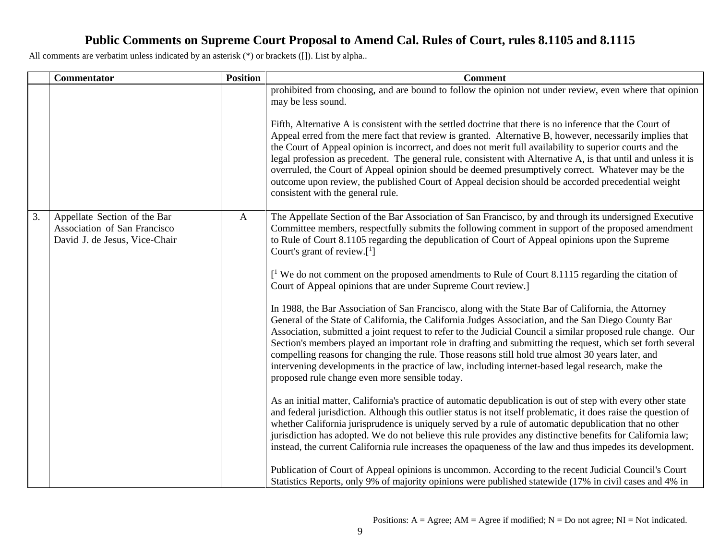|    | <b>Commentator</b>                                                                            | <b>Position</b> | <b>Comment</b>                                                                                                                                                                                                                                                                                                                                                                                                                                                                                                                                                                                                                                                                                        |
|----|-----------------------------------------------------------------------------------------------|-----------------|-------------------------------------------------------------------------------------------------------------------------------------------------------------------------------------------------------------------------------------------------------------------------------------------------------------------------------------------------------------------------------------------------------------------------------------------------------------------------------------------------------------------------------------------------------------------------------------------------------------------------------------------------------------------------------------------------------|
|    |                                                                                               |                 | prohibited from choosing, and are bound to follow the opinion not under review, even where that opinion<br>may be less sound.                                                                                                                                                                                                                                                                                                                                                                                                                                                                                                                                                                         |
|    |                                                                                               |                 | Fifth, Alternative A is consistent with the settled doctrine that there is no inference that the Court of<br>Appeal erred from the mere fact that review is granted. Alternative B, however, necessarily implies that<br>the Court of Appeal opinion is incorrect, and does not merit full availability to superior courts and the<br>legal profession as precedent. The general rule, consistent with Alternative A, is that until and unless it is<br>overruled, the Court of Appeal opinion should be deemed presumptively correct. Whatever may be the<br>outcome upon review, the published Court of Appeal decision should be accorded precedential weight<br>consistent with the general rule. |
| 3. | Appellate Section of the Bar<br>Association of San Francisco<br>David J. de Jesus, Vice-Chair | $\mathbf{A}$    | The Appellate Section of the Bar Association of San Francisco, by and through its undersigned Executive<br>Committee members, respectfully submits the following comment in support of the proposed amendment<br>to Rule of Court 8.1105 regarding the depublication of Court of Appeal opinions upon the Supreme<br>Court's grant of review. $[1]$                                                                                                                                                                                                                                                                                                                                                   |
|    |                                                                                               |                 | $\mathcal{L}^1$ We do not comment on the proposed amendments to Rule of Court 8.1115 regarding the citation of<br>Court of Appeal opinions that are under Supreme Court review.]                                                                                                                                                                                                                                                                                                                                                                                                                                                                                                                      |
|    |                                                                                               |                 | In 1988, the Bar Association of San Francisco, along with the State Bar of California, the Attorney<br>General of the State of California, the California Judges Association, and the San Diego County Bar<br>Association, submitted a joint request to refer to the Judicial Council a similar proposed rule change. Our<br>Section's members played an important role in drafting and submitting the request, which set forth several<br>compelling reasons for changing the rule. Those reasons still hold true almost 30 years later, and<br>intervening developments in the practice of law, including internet-based legal research, make the<br>proposed rule change even more sensible today. |
|    |                                                                                               |                 | As an initial matter, California's practice of automatic depublication is out of step with every other state<br>and federal jurisdiction. Although this outlier status is not itself problematic, it does raise the question of<br>whether California jurisprudence is uniquely served by a rule of automatic depublication that no other<br>jurisdiction has adopted. We do not believe this rule provides any distinctive benefits for California law;<br>instead, the current California rule increases the opaqueness of the law and thus impedes its development.                                                                                                                                |
|    |                                                                                               |                 | Publication of Court of Appeal opinions is uncommon. According to the recent Judicial Council's Court<br>Statistics Reports, only 9% of majority opinions were published statewide (17% in civil cases and 4% in                                                                                                                                                                                                                                                                                                                                                                                                                                                                                      |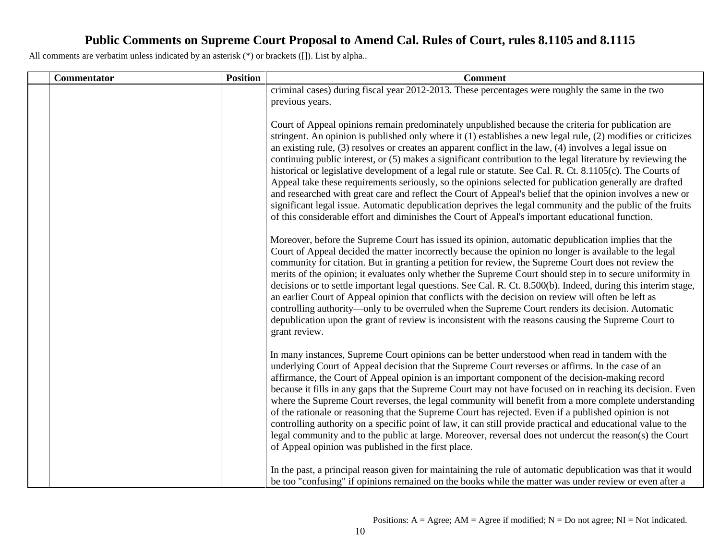| <b>Commentator</b> | <b>Position</b> | <b>Comment</b>                                                                                                                                                                                                                                                                                                                                                                                                                                                                                                                                                                                                                                                                                                                                                                                                                                                                                                                                                                                                |
|--------------------|-----------------|---------------------------------------------------------------------------------------------------------------------------------------------------------------------------------------------------------------------------------------------------------------------------------------------------------------------------------------------------------------------------------------------------------------------------------------------------------------------------------------------------------------------------------------------------------------------------------------------------------------------------------------------------------------------------------------------------------------------------------------------------------------------------------------------------------------------------------------------------------------------------------------------------------------------------------------------------------------------------------------------------------------|
|                    |                 | criminal cases) during fiscal year 2012-2013. These percentages were roughly the same in the two<br>previous years.                                                                                                                                                                                                                                                                                                                                                                                                                                                                                                                                                                                                                                                                                                                                                                                                                                                                                           |
|                    |                 | Court of Appeal opinions remain predominately unpublished because the criteria for publication are<br>stringent. An opinion is published only where it (1) establishes a new legal rule, (2) modifies or criticizes<br>an existing rule, $(3)$ resolves or creates an apparent conflict in the law, $(4)$ involves a legal issue on<br>continuing public interest, or (5) makes a significant contribution to the legal literature by reviewing the<br>historical or legislative development of a legal rule or statute. See Cal. R. Ct. 8.1105(c). The Courts of<br>Appeal take these requirements seriously, so the opinions selected for publication generally are drafted<br>and researched with great care and reflect the Court of Appeal's belief that the opinion involves a new or<br>significant legal issue. Automatic depublication deprives the legal community and the public of the fruits<br>of this considerable effort and diminishes the Court of Appeal's important educational function. |
|                    |                 | Moreover, before the Supreme Court has issued its opinion, automatic depublication implies that the<br>Court of Appeal decided the matter incorrectly because the opinion no longer is available to the legal<br>community for citation. But in granting a petition for review, the Supreme Court does not review the<br>merits of the opinion; it evaluates only whether the Supreme Court should step in to secure uniformity in<br>decisions or to settle important legal questions. See Cal. R. Ct. 8.500(b). Indeed, during this interim stage,<br>an earlier Court of Appeal opinion that conflicts with the decision on review will often be left as<br>controlling authority—only to be overruled when the Supreme Court renders its decision. Automatic<br>depublication upon the grant of review is inconsistent with the reasons causing the Supreme Court to<br>grant review.                                                                                                                     |
|                    |                 | In many instances, Supreme Court opinions can be better understood when read in tandem with the<br>underlying Court of Appeal decision that the Supreme Court reverses or affirms. In the case of an<br>affirmance, the Court of Appeal opinion is an important component of the decision-making record<br>because it fills in any gaps that the Supreme Court may not have focused on in reaching its decision. Even<br>where the Supreme Court reverses, the legal community will benefit from a more complete understanding<br>of the rationale or reasoning that the Supreme Court has rejected. Even if a published opinion is not<br>controlling authority on a specific point of law, it can still provide practical and educational value to the<br>legal community and to the public at large. Moreover, reversal does not undercut the reason(s) the Court<br>of Appeal opinion was published in the first place.                                                                                   |
|                    |                 | In the past, a principal reason given for maintaining the rule of automatic depublication was that it would<br>be too "confusing" if opinions remained on the books while the matter was under review or even after a                                                                                                                                                                                                                                                                                                                                                                                                                                                                                                                                                                                                                                                                                                                                                                                         |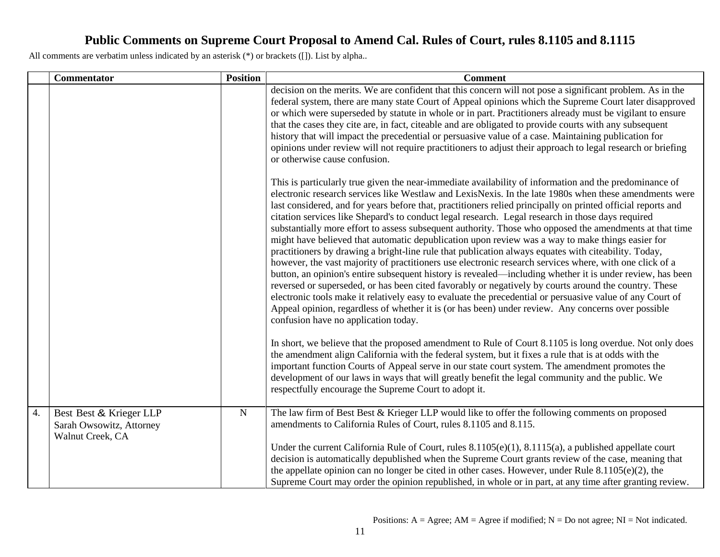|    | <b>Commentator</b>                                                      | <b>Position</b> | <b>Comment</b>                                                                                                                                                                                                                                                                                                                                                                                                                                                                                                                                                                                                                                                                                                                                                                                                                                                                                                                                                                                                                                                                                                                                                                                                                                                                                                                                           |
|----|-------------------------------------------------------------------------|-----------------|----------------------------------------------------------------------------------------------------------------------------------------------------------------------------------------------------------------------------------------------------------------------------------------------------------------------------------------------------------------------------------------------------------------------------------------------------------------------------------------------------------------------------------------------------------------------------------------------------------------------------------------------------------------------------------------------------------------------------------------------------------------------------------------------------------------------------------------------------------------------------------------------------------------------------------------------------------------------------------------------------------------------------------------------------------------------------------------------------------------------------------------------------------------------------------------------------------------------------------------------------------------------------------------------------------------------------------------------------------|
|    |                                                                         |                 | decision on the merits. We are confident that this concern will not pose a significant problem. As in the<br>federal system, there are many state Court of Appeal opinions which the Supreme Court later disapproved<br>or which were superseded by statute in whole or in part. Practitioners already must be vigilant to ensure<br>that the cases they cite are, in fact, citeable and are obligated to provide courts with any subsequent<br>history that will impact the precedential or persuasive value of a case. Maintaining publication for<br>opinions under review will not require practitioners to adjust their approach to legal research or briefing<br>or otherwise cause confusion.                                                                                                                                                                                                                                                                                                                                                                                                                                                                                                                                                                                                                                                     |
|    |                                                                         |                 | This is particularly true given the near-immediate availability of information and the predominance of<br>electronic research services like Westlaw and LexisNexis. In the late 1980s when these amendments were<br>last considered, and for years before that, practitioners relied principally on printed official reports and<br>citation services like Shepard's to conduct legal research. Legal research in those days required<br>substantially more effort to assess subsequent authority. Those who opposed the amendments at that time<br>might have believed that automatic depublication upon review was a way to make things easier for<br>practitioners by drawing a bright-line rule that publication always equates with citeability. Today,<br>however, the vast majority of practitioners use electronic research services where, with one click of a<br>button, an opinion's entire subsequent history is revealed—including whether it is under review, has been<br>reversed or superseded, or has been cited favorably or negatively by courts around the country. These<br>electronic tools make it relatively easy to evaluate the precedential or persuasive value of any Court of<br>Appeal opinion, regardless of whether it is (or has been) under review. Any concerns over possible<br>confusion have no application today. |
|    |                                                                         |                 | In short, we believe that the proposed amendment to Rule of Court 8.1105 is long overdue. Not only does<br>the amendment align California with the federal system, but it fixes a rule that is at odds with the<br>important function Courts of Appeal serve in our state court system. The amendment promotes the<br>development of our laws in ways that will greatly benefit the legal community and the public. We<br>respectfully encourage the Supreme Court to adopt it.                                                                                                                                                                                                                                                                                                                                                                                                                                                                                                                                                                                                                                                                                                                                                                                                                                                                          |
| 4. | Best Best & Krieger LLP<br>Sarah Owsowitz, Attorney<br>Walnut Creek, CA | ${\bf N}$       | The law firm of Best Best & Krieger LLP would like to offer the following comments on proposed<br>amendments to California Rules of Court, rules 8.1105 and 8.115.<br>Under the current California Rule of Court, rules $8.1105(e)(1)$ , $8.1115(a)$ , a published appellate court<br>decision is automatically depublished when the Supreme Court grants review of the case, meaning that<br>the appellate opinion can no longer be cited in other cases. However, under Rule $8.1105(e)(2)$ , the<br>Supreme Court may order the opinion republished, in whole or in part, at any time after granting review.                                                                                                                                                                                                                                                                                                                                                                                                                                                                                                                                                                                                                                                                                                                                          |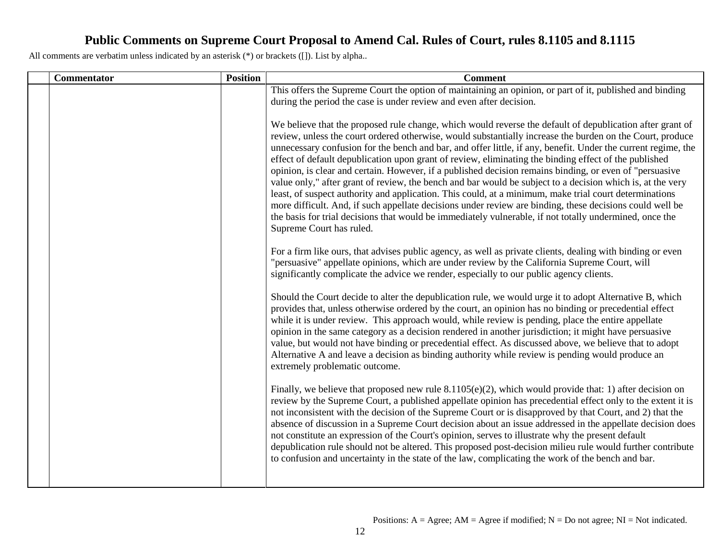| <b>Commentator</b> | <b>Position</b> | <b>Comment</b>                                                                                                                                                                                                                                                                                                                                                                                                                                                                                                                                                                                                                                                                                                                                                                                                                                                                                                                                                                                                                         |
|--------------------|-----------------|----------------------------------------------------------------------------------------------------------------------------------------------------------------------------------------------------------------------------------------------------------------------------------------------------------------------------------------------------------------------------------------------------------------------------------------------------------------------------------------------------------------------------------------------------------------------------------------------------------------------------------------------------------------------------------------------------------------------------------------------------------------------------------------------------------------------------------------------------------------------------------------------------------------------------------------------------------------------------------------------------------------------------------------|
|                    |                 | This offers the Supreme Court the option of maintaining an opinion, or part of it, published and binding                                                                                                                                                                                                                                                                                                                                                                                                                                                                                                                                                                                                                                                                                                                                                                                                                                                                                                                               |
|                    |                 | during the period the case is under review and even after decision.                                                                                                                                                                                                                                                                                                                                                                                                                                                                                                                                                                                                                                                                                                                                                                                                                                                                                                                                                                    |
|                    |                 | We believe that the proposed rule change, which would reverse the default of depublication after grant of<br>review, unless the court ordered otherwise, would substantially increase the burden on the Court, produce<br>unnecessary confusion for the bench and bar, and offer little, if any, benefit. Under the current regime, the<br>effect of default depublication upon grant of review, eliminating the binding effect of the published<br>opinion, is clear and certain. However, if a published decision remains binding, or even of "persuasive<br>value only," after grant of review, the bench and bar would be subject to a decision which is, at the very<br>least, of suspect authority and application. This could, at a minimum, make trial court determinations<br>more difficult. And, if such appellate decisions under review are binding, these decisions could well be<br>the basis for trial decisions that would be immediately vulnerable, if not totally undermined, once the<br>Supreme Court has ruled. |
|                    |                 | For a firm like ours, that advises public agency, as well as private clients, dealing with binding or even<br>"persuasive" appellate opinions, which are under review by the California Supreme Court, will<br>significantly complicate the advice we render, especially to our public agency clients.                                                                                                                                                                                                                                                                                                                                                                                                                                                                                                                                                                                                                                                                                                                                 |
|                    |                 | Should the Court decide to alter the depublication rule, we would urge it to adopt Alternative B, which<br>provides that, unless otherwise ordered by the court, an opinion has no binding or precedential effect<br>while it is under review. This approach would, while review is pending, place the entire appellate<br>opinion in the same category as a decision rendered in another jurisdiction; it might have persuasive<br>value, but would not have binding or precedential effect. As discussed above, we believe that to adopt<br>Alternative A and leave a decision as binding authority while review is pending would produce an<br>extremely problematic outcome.                                                                                                                                                                                                                                                                                                                                                       |
|                    |                 | Finally, we believe that proposed new rule $8.1105(e)(2)$ , which would provide that: 1) after decision on<br>review by the Supreme Court, a published appellate opinion has precedential effect only to the extent it is<br>not inconsistent with the decision of the Supreme Court or is disapproved by that Court, and 2) that the<br>absence of discussion in a Supreme Court decision about an issue addressed in the appellate decision does<br>not constitute an expression of the Court's opinion, serves to illustrate why the present default<br>depublication rule should not be altered. This proposed post-decision milieu rule would further contribute<br>to confusion and uncertainty in the state of the law, complicating the work of the bench and bar.                                                                                                                                                                                                                                                             |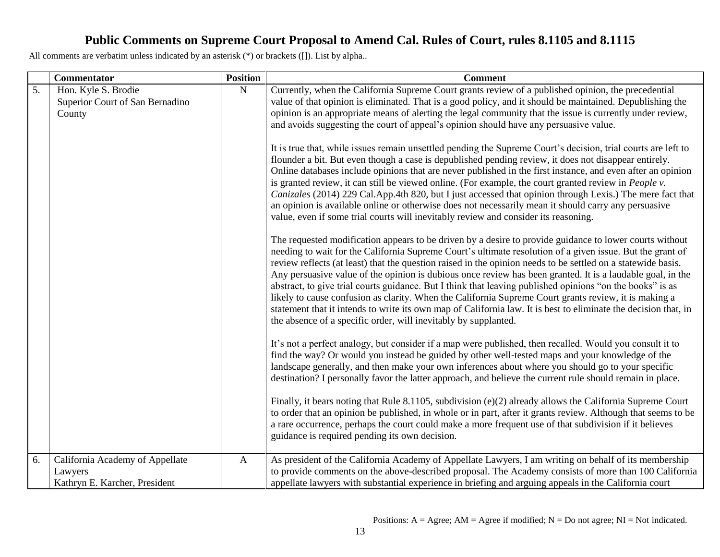|    | <b>Commentator</b>                                                          | <b>Position</b> | <b>Comment</b>                                                                                                                                                                                                                                                                                                                                                                                                                                                                                                                                                                                                                                                                                                                                                                                                                                                 |
|----|-----------------------------------------------------------------------------|-----------------|----------------------------------------------------------------------------------------------------------------------------------------------------------------------------------------------------------------------------------------------------------------------------------------------------------------------------------------------------------------------------------------------------------------------------------------------------------------------------------------------------------------------------------------------------------------------------------------------------------------------------------------------------------------------------------------------------------------------------------------------------------------------------------------------------------------------------------------------------------------|
| 5. | Hon. Kyle S. Brodie<br>Superior Court of San Bernadino<br>County            | ${\bf N}$       | Currently, when the California Supreme Court grants review of a published opinion, the precedential<br>value of that opinion is eliminated. That is a good policy, and it should be maintained. Depublishing the<br>opinion is an appropriate means of alerting the legal community that the issue is currently under review,<br>and avoids suggesting the court of appeal's opinion should have any persuasive value.                                                                                                                                                                                                                                                                                                                                                                                                                                         |
|    |                                                                             |                 | It is true that, while issues remain unsettled pending the Supreme Court's decision, trial courts are left to<br>flounder a bit. But even though a case is depublished pending review, it does not disappear entirely.<br>Online databases include opinions that are never published in the first instance, and even after an opinion<br>is granted review, it can still be viewed online. (For example, the court granted review in <i>People v</i> .<br>Canizales (2014) 229 Cal.App.4th 820, but I just accessed that opinion through Lexis.) The mere fact that<br>an opinion is available online or otherwise does not necessarily mean it should carry any persuasive<br>value, even if some trial courts will inevitably review and consider its reasoning.                                                                                             |
|    |                                                                             |                 | The requested modification appears to be driven by a desire to provide guidance to lower courts without<br>needing to wait for the California Supreme Court's ultimate resolution of a given issue. But the grant of<br>review reflects (at least) that the question raised in the opinion needs to be settled on a statewide basis.<br>Any persuasive value of the opinion is dubious once review has been granted. It is a laudable goal, in the<br>abstract, to give trial courts guidance. But I think that leaving published opinions "on the books" is as<br>likely to cause confusion as clarity. When the California Supreme Court grants review, it is making a<br>statement that it intends to write its own map of California law. It is best to eliminate the decision that, in<br>the absence of a specific order, will inevitably by supplanted. |
|    |                                                                             |                 | It's not a perfect analogy, but consider if a map were published, then recalled. Would you consult it to<br>find the way? Or would you instead be guided by other well-tested maps and your knowledge of the<br>landscape generally, and then make your own inferences about where you should go to your specific<br>destination? I personally favor the latter approach, and believe the current rule should remain in place.                                                                                                                                                                                                                                                                                                                                                                                                                                 |
|    |                                                                             |                 | Finally, it bears noting that Rule 8.1105, subdivision (e)(2) already allows the California Supreme Court<br>to order that an opinion be published, in whole or in part, after it grants review. Although that seems to be<br>a rare occurrence, perhaps the court could make a more frequent use of that subdivision if it believes<br>guidance is required pending its own decision.                                                                                                                                                                                                                                                                                                                                                                                                                                                                         |
| 6. | California Academy of Appellate<br>Lawyers<br>Kathryn E. Karcher, President | $\mathbf{A}$    | As president of the California Academy of Appellate Lawyers, I am writing on behalf of its membership<br>to provide comments on the above-described proposal. The Academy consists of more than 100 California<br>appellate lawyers with substantial experience in briefing and arguing appeals in the California court                                                                                                                                                                                                                                                                                                                                                                                                                                                                                                                                        |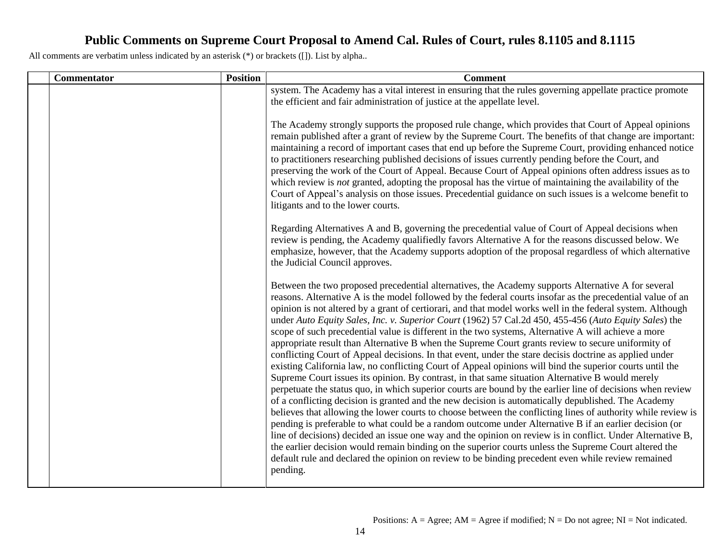| <b>Commentator</b> | <b>Position</b> | <b>Comment</b>                                                                                                                                                                                                                                                                                                                                                                                                                                                                                                                                                                                                                                                                                                                                                                                                                                                                                                                                                                                                                                                                                                                                                                                                                                                                                                                                                                                                                                                                                                                                                                                                                                                                                                                                                          |
|--------------------|-----------------|-------------------------------------------------------------------------------------------------------------------------------------------------------------------------------------------------------------------------------------------------------------------------------------------------------------------------------------------------------------------------------------------------------------------------------------------------------------------------------------------------------------------------------------------------------------------------------------------------------------------------------------------------------------------------------------------------------------------------------------------------------------------------------------------------------------------------------------------------------------------------------------------------------------------------------------------------------------------------------------------------------------------------------------------------------------------------------------------------------------------------------------------------------------------------------------------------------------------------------------------------------------------------------------------------------------------------------------------------------------------------------------------------------------------------------------------------------------------------------------------------------------------------------------------------------------------------------------------------------------------------------------------------------------------------------------------------------------------------------------------------------------------------|
|                    |                 | system. The Academy has a vital interest in ensuring that the rules governing appellate practice promote<br>the efficient and fair administration of justice at the appellate level.                                                                                                                                                                                                                                                                                                                                                                                                                                                                                                                                                                                                                                                                                                                                                                                                                                                                                                                                                                                                                                                                                                                                                                                                                                                                                                                                                                                                                                                                                                                                                                                    |
|                    |                 | The Academy strongly supports the proposed rule change, which provides that Court of Appeal opinions<br>remain published after a grant of review by the Supreme Court. The benefits of that change are important:<br>maintaining a record of important cases that end up before the Supreme Court, providing enhanced notice<br>to practitioners researching published decisions of issues currently pending before the Court, and<br>preserving the work of the Court of Appeal. Because Court of Appeal opinions often address issues as to<br>which review is <i>not</i> granted, adopting the proposal has the virtue of maintaining the availability of the<br>Court of Appeal's analysis on those issues. Precedential guidance on such issues is a welcome benefit to<br>litigants and to the lower courts.                                                                                                                                                                                                                                                                                                                                                                                                                                                                                                                                                                                                                                                                                                                                                                                                                                                                                                                                                      |
|                    |                 | Regarding Alternatives A and B, governing the precedential value of Court of Appeal decisions when<br>review is pending, the Academy qualifiedly favors Alternative A for the reasons discussed below. We<br>emphasize, however, that the Academy supports adoption of the proposal regardless of which alternative<br>the Judicial Council approves.                                                                                                                                                                                                                                                                                                                                                                                                                                                                                                                                                                                                                                                                                                                                                                                                                                                                                                                                                                                                                                                                                                                                                                                                                                                                                                                                                                                                                   |
|                    |                 | Between the two proposed precedential alternatives, the Academy supports Alternative A for several<br>reasons. Alternative A is the model followed by the federal courts insofar as the precedential value of an<br>opinion is not altered by a grant of certiorari, and that model works well in the federal system. Although<br>under Auto Equity Sales, Inc. v. Superior Court (1962) 57 Cal.2d 450, 455-456 (Auto Equity Sales) the<br>scope of such precedential value is different in the two systems, Alternative A will achieve a more<br>appropriate result than Alternative B when the Supreme Court grants review to secure uniformity of<br>conflicting Court of Appeal decisions. In that event, under the stare decisis doctrine as applied under<br>existing California law, no conflicting Court of Appeal opinions will bind the superior courts until the<br>Supreme Court issues its opinion. By contrast, in that same situation Alternative B would merely<br>perpetuate the status quo, in which superior courts are bound by the earlier line of decisions when review<br>of a conflicting decision is granted and the new decision is automatically depublished. The Academy<br>believes that allowing the lower courts to choose between the conflicting lines of authority while review is<br>pending is preferable to what could be a random outcome under Alternative B if an earlier decision (or<br>line of decisions) decided an issue one way and the opinion on review is in conflict. Under Alternative B,<br>the earlier decision would remain binding on the superior courts unless the Supreme Court altered the<br>default rule and declared the opinion on review to be binding precedent even while review remained<br>pending. |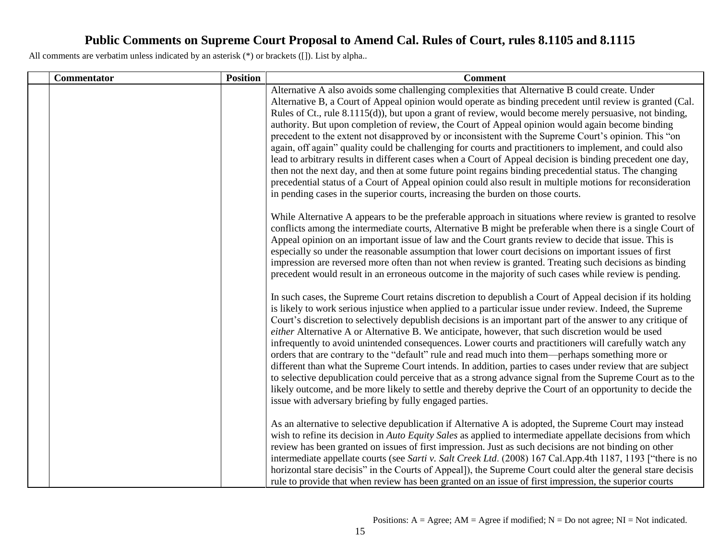| Commentator | <b>Position</b> | <b>Comment</b>                                                                                                                                                                                                                                                                                                                                                                                                                                                                                                                                                                                                                                                                                                                                                                                                                                                                                                                                                                                                                                                           |
|-------------|-----------------|--------------------------------------------------------------------------------------------------------------------------------------------------------------------------------------------------------------------------------------------------------------------------------------------------------------------------------------------------------------------------------------------------------------------------------------------------------------------------------------------------------------------------------------------------------------------------------------------------------------------------------------------------------------------------------------------------------------------------------------------------------------------------------------------------------------------------------------------------------------------------------------------------------------------------------------------------------------------------------------------------------------------------------------------------------------------------|
|             |                 | Alternative A also avoids some challenging complexities that Alternative B could create. Under<br>Alternative B, a Court of Appeal opinion would operate as binding precedent until review is granted (Cal.<br>Rules of Ct., rule 8.1115(d)), but upon a grant of review, would become merely persuasive, not binding,<br>authority. But upon completion of review, the Court of Appeal opinion would again become binding<br>precedent to the extent not disapproved by or inconsistent with the Supreme Court's opinion. This "on<br>again, off again" quality could be challenging for courts and practitioners to implement, and could also<br>lead to arbitrary results in different cases when a Court of Appeal decision is binding precedent one day,<br>then not the next day, and then at some future point regains binding precedential status. The changing<br>precedential status of a Court of Appeal opinion could also result in multiple motions for reconsideration<br>in pending cases in the superior courts, increasing the burden on those courts. |
|             |                 | While Alternative A appears to be the preferable approach in situations where review is granted to resolve<br>conflicts among the intermediate courts, Alternative B might be preferable when there is a single Court of<br>Appeal opinion on an important issue of law and the Court grants review to decide that issue. This is<br>especially so under the reasonable assumption that lower court decisions on important issues of first<br>impression are reversed more often than not when review is granted. Treating such decisions as binding<br>precedent would result in an erroneous outcome in the majority of such cases while review is pending.                                                                                                                                                                                                                                                                                                                                                                                                            |
|             |                 | In such cases, the Supreme Court retains discretion to depublish a Court of Appeal decision if its holding<br>is likely to work serious injustice when applied to a particular issue under review. Indeed, the Supreme<br>Court's discretion to selectively depublish decisions is an important part of the answer to any critique of<br>either Alternative A or Alternative B. We anticipate, however, that such discretion would be used<br>infrequently to avoid unintended consequences. Lower courts and practitioners will carefully watch any<br>orders that are contrary to the "default" rule and read much into them—perhaps something more or<br>different than what the Supreme Court intends. In addition, parties to cases under review that are subject<br>to selective depublication could perceive that as a strong advance signal from the Supreme Court as to the<br>likely outcome, and be more likely to settle and thereby deprive the Court of an opportunity to decide the<br>issue with adversary briefing by fully engaged parties.            |
|             |                 | As an alternative to selective depublication if Alternative A is adopted, the Supreme Court may instead<br>wish to refine its decision in Auto Equity Sales as applied to intermediate appellate decisions from which<br>review has been granted on issues of first impression. Just as such decisions are not binding on other<br>intermediate appellate courts (see Sarti v. Salt Creek Ltd. (2008) 167 Cal.App.4th 1187, 1193 ["there is no<br>horizontal stare decisis" in the Courts of Appeal]), the Supreme Court could alter the general stare decisis<br>rule to provide that when review has been granted on an issue of first impression, the superior courts                                                                                                                                                                                                                                                                                                                                                                                                 |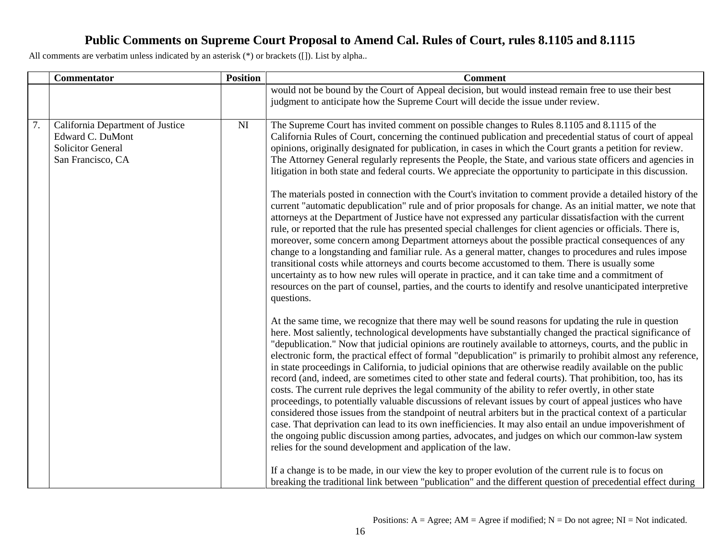|                  | Commentator                                                                                           | <b>Position</b> | <b>Comment</b>                                                                                                                                                                                                                                                                                                                                                                                                                                                                                                                                                                                                                                                                                                                                                                                                                                                                                                                                                                                                                                                                                                                                                                                                                                                                                                                                                                                                                                                                                                                                                                                                                                                                                                                                                                                                                                                                                                                                                                                                                                                                                                                                                                                                                                                                                                                                                                                                                                                                                                                                                                                                                                                                                                                                                                                                                                                                                                                                                                                |
|------------------|-------------------------------------------------------------------------------------------------------|-----------------|-----------------------------------------------------------------------------------------------------------------------------------------------------------------------------------------------------------------------------------------------------------------------------------------------------------------------------------------------------------------------------------------------------------------------------------------------------------------------------------------------------------------------------------------------------------------------------------------------------------------------------------------------------------------------------------------------------------------------------------------------------------------------------------------------------------------------------------------------------------------------------------------------------------------------------------------------------------------------------------------------------------------------------------------------------------------------------------------------------------------------------------------------------------------------------------------------------------------------------------------------------------------------------------------------------------------------------------------------------------------------------------------------------------------------------------------------------------------------------------------------------------------------------------------------------------------------------------------------------------------------------------------------------------------------------------------------------------------------------------------------------------------------------------------------------------------------------------------------------------------------------------------------------------------------------------------------------------------------------------------------------------------------------------------------------------------------------------------------------------------------------------------------------------------------------------------------------------------------------------------------------------------------------------------------------------------------------------------------------------------------------------------------------------------------------------------------------------------------------------------------------------------------------------------------------------------------------------------------------------------------------------------------------------------------------------------------------------------------------------------------------------------------------------------------------------------------------------------------------------------------------------------------------------------------------------------------------------------------------------------------|
|                  |                                                                                                       |                 | would not be bound by the Court of Appeal decision, but would instead remain free to use their best<br>judgment to anticipate how the Supreme Court will decide the issue under review.                                                                                                                                                                                                                                                                                                                                                                                                                                                                                                                                                                                                                                                                                                                                                                                                                                                                                                                                                                                                                                                                                                                                                                                                                                                                                                                                                                                                                                                                                                                                                                                                                                                                                                                                                                                                                                                                                                                                                                                                                                                                                                                                                                                                                                                                                                                                                                                                                                                                                                                                                                                                                                                                                                                                                                                                       |
| $\overline{7}$ . | California Department of Justice<br>Edward C. DuMont<br><b>Solicitor General</b><br>San Francisco, CA | NI              | The Supreme Court has invited comment on possible changes to Rules 8.1105 and 8.1115 of the<br>California Rules of Court, concerning the continued publication and precedential status of court of appeal<br>opinions, originally designated for publication, in cases in which the Court grants a petition for review.<br>The Attorney General regularly represents the People, the State, and various state officers and agencies in<br>litigation in both state and federal courts. We appreciate the opportunity to participate in this discussion.<br>The materials posted in connection with the Court's invitation to comment provide a detailed history of the<br>current "automatic depublication" rule and of prior proposals for change. As an initial matter, we note that<br>attorneys at the Department of Justice have not expressed any particular dissatisfaction with the current<br>rule, or reported that the rule has presented special challenges for client agencies or officials. There is,<br>moreover, some concern among Department attorneys about the possible practical consequences of any<br>change to a longstanding and familiar rule. As a general matter, changes to procedures and rules impose<br>transitional costs while attorneys and courts become accustomed to them. There is usually some<br>uncertainty as to how new rules will operate in practice, and it can take time and a commitment of<br>resources on the part of counsel, parties, and the courts to identify and resolve unanticipated interpretive<br>questions.<br>At the same time, we recognize that there may well be sound reasons for updating the rule in question<br>here. Most saliently, technological developments have substantially changed the practical significance of<br>"depublication." Now that judicial opinions are routinely available to attorneys, courts, and the public in<br>electronic form, the practical effect of formal "depublication" is primarily to prohibit almost any reference,<br>in state proceedings in California, to judicial opinions that are otherwise readily available on the public<br>record (and, indeed, are sometimes cited to other state and federal courts). That prohibition, too, has its<br>costs. The current rule deprives the legal community of the ability to refer overtly, in other state<br>proceedings, to potentially valuable discussions of relevant issues by court of appeal justices who have<br>considered those issues from the standpoint of neutral arbiters but in the practical context of a particular<br>case. That deprivation can lead to its own inefficiencies. It may also entail an undue impoverishment of<br>the ongoing public discussion among parties, advocates, and judges on which our common-law system<br>relies for the sound development and application of the law.<br>If a change is to be made, in our view the key to proper evolution of the current rule is to focus on |
|                  |                                                                                                       |                 | breaking the traditional link between "publication" and the different question of precedential effect during                                                                                                                                                                                                                                                                                                                                                                                                                                                                                                                                                                                                                                                                                                                                                                                                                                                                                                                                                                                                                                                                                                                                                                                                                                                                                                                                                                                                                                                                                                                                                                                                                                                                                                                                                                                                                                                                                                                                                                                                                                                                                                                                                                                                                                                                                                                                                                                                                                                                                                                                                                                                                                                                                                                                                                                                                                                                                  |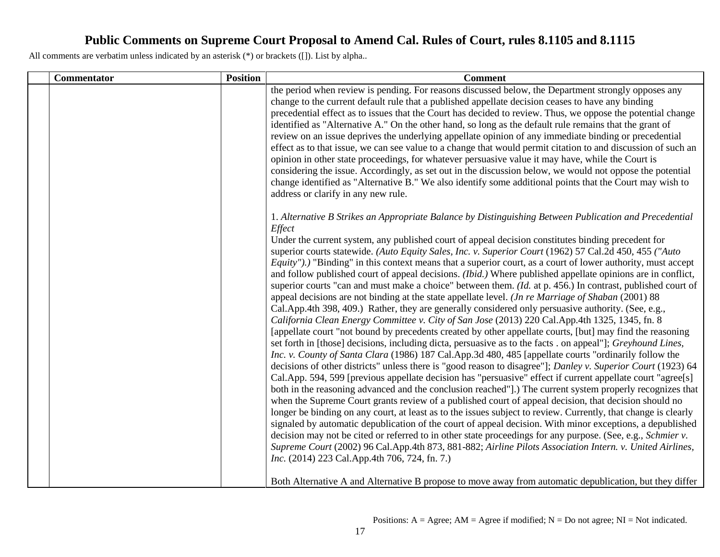| Commentator | <b>Position</b> | <b>Comment</b>                                                                                                                                                                                                                                                                                                                                                                                                                                                                                                                                                                                                                                                                                                                                                                                                                                                                                                                                                                                                                                                                                                                                                                                                                                                                                                                                                                                                                                                                                                                                                                                                                                                                                                                                                                                                                                                                                                                                                                                                                                                                                                                                                                                                                                                                                                       |
|-------------|-----------------|----------------------------------------------------------------------------------------------------------------------------------------------------------------------------------------------------------------------------------------------------------------------------------------------------------------------------------------------------------------------------------------------------------------------------------------------------------------------------------------------------------------------------------------------------------------------------------------------------------------------------------------------------------------------------------------------------------------------------------------------------------------------------------------------------------------------------------------------------------------------------------------------------------------------------------------------------------------------------------------------------------------------------------------------------------------------------------------------------------------------------------------------------------------------------------------------------------------------------------------------------------------------------------------------------------------------------------------------------------------------------------------------------------------------------------------------------------------------------------------------------------------------------------------------------------------------------------------------------------------------------------------------------------------------------------------------------------------------------------------------------------------------------------------------------------------------------------------------------------------------------------------------------------------------------------------------------------------------------------------------------------------------------------------------------------------------------------------------------------------------------------------------------------------------------------------------------------------------------------------------------------------------------------------------------------------------|
|             |                 | the period when review is pending. For reasons discussed below, the Department strongly opposes any<br>change to the current default rule that a published appellate decision ceases to have any binding<br>precedential effect as to issues that the Court has decided to review. Thus, we oppose the potential change<br>identified as "Alternative A." On the other hand, so long as the default rule remains that the grant of<br>review on an issue deprives the underlying appellate opinion of any immediate binding or precedential<br>effect as to that issue, we can see value to a change that would permit citation to and discussion of such an<br>opinion in other state proceedings, for whatever persuasive value it may have, while the Court is<br>considering the issue. Accordingly, as set out in the discussion below, we would not oppose the potential<br>change identified as "Alternative B." We also identify some additional points that the Court may wish to<br>address or clarify in any new rule.                                                                                                                                                                                                                                                                                                                                                                                                                                                                                                                                                                                                                                                                                                                                                                                                                                                                                                                                                                                                                                                                                                                                                                                                                                                                                    |
|             |                 | 1. Alternative B Strikes an Appropriate Balance by Distinguishing Between Publication and Precedential<br>Effect<br>Under the current system, any published court of appeal decision constitutes binding precedent for<br>superior courts statewide. (Auto Equity Sales, Inc. v. Superior Court (1962) 57 Cal.2d 450, 455 ("Auto<br><i>Equity"</i> ).) "Binding" in this context means that a superior court, as a court of lower authority, must accept<br>and follow published court of appeal decisions. (Ibid.) Where published appellate opinions are in conflict,<br>superior courts "can and must make a choice" between them. (Id. at p. 456.) In contrast, published court of<br>appeal decisions are not binding at the state appellate level. ( <i>Jn re Marriage of Shaban</i> $(2001)$ 88<br>Cal.App.4th 398, 409.) Rather, they are generally considered only persuasive authority. (See, e.g.,<br>California Clean Energy Committee v. City of San Jose (2013) 220 Cal.App.4th 1325, 1345, fn. 8<br>[appellate court "not bound by precedents created by other appellate courts, [but] may find the reasoning<br>set forth in [those] decisions, including dicta, persuasive as to the facts . on appeal"]; Greyhound Lines,<br>Inc. v. County of Santa Clara (1986) 187 Cal.App.3d 480, 485 [appellate courts "ordinarily follow the<br>decisions of other districts" unless there is "good reason to disagree"]; Danley v. Superior Court (1923) 64<br>Cal.App. 594, 599 [previous appellate decision has "persuasive" effect if current appellate court "agree[s]<br>both in the reasoning advanced and the conclusion reached"].) The current system properly recognizes that<br>when the Supreme Court grants review of a published court of appeal decision, that decision should no<br>longer be binding on any court, at least as to the issues subject to review. Currently, that change is clearly<br>signaled by automatic depublication of the court of appeal decision. With minor exceptions, a depublished<br>decision may not be cited or referred to in other state proceedings for any purpose. (See, e.g., Schmier v.<br>Supreme Court (2002) 96 Cal.App.4th 873, 881-882; Airline Pilots Association Intern. v. United Airlines,<br>Inc. (2014) 223 Cal.App.4th 706, 724, fn. 7.) |
|             |                 | Both Alternative A and Alternative B propose to move away from automatic depublication, but they differ                                                                                                                                                                                                                                                                                                                                                                                                                                                                                                                                                                                                                                                                                                                                                                                                                                                                                                                                                                                                                                                                                                                                                                                                                                                                                                                                                                                                                                                                                                                                                                                                                                                                                                                                                                                                                                                                                                                                                                                                                                                                                                                                                                                                              |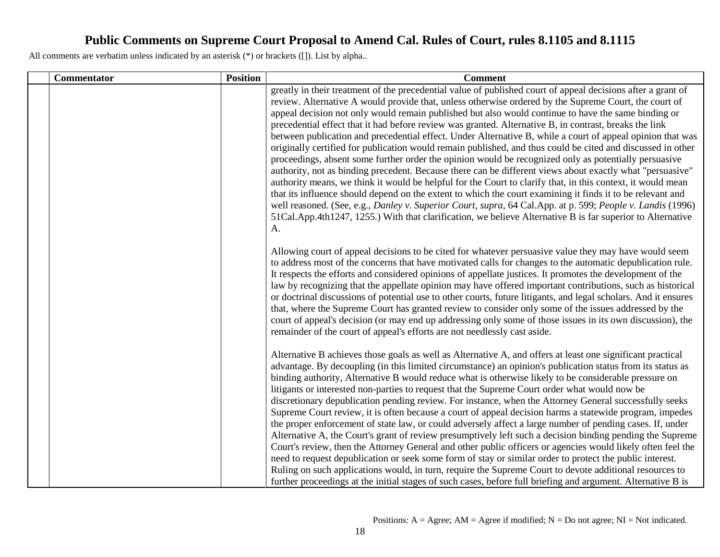| <b>Commentator</b> | <b>Position</b> | <b>Comment</b>                                                                                                                                                                                                                                                                                                                                                                                                                                                                                                                                                                                                                                                                                                                                                                                                                                                                                                                                                                                                                                                                                                                                                                                                                                                                                                                                           |
|--------------------|-----------------|----------------------------------------------------------------------------------------------------------------------------------------------------------------------------------------------------------------------------------------------------------------------------------------------------------------------------------------------------------------------------------------------------------------------------------------------------------------------------------------------------------------------------------------------------------------------------------------------------------------------------------------------------------------------------------------------------------------------------------------------------------------------------------------------------------------------------------------------------------------------------------------------------------------------------------------------------------------------------------------------------------------------------------------------------------------------------------------------------------------------------------------------------------------------------------------------------------------------------------------------------------------------------------------------------------------------------------------------------------|
|                    |                 | greatly in their treatment of the precedential value of published court of appeal decisions after a grant of<br>review. Alternative A would provide that, unless otherwise ordered by the Supreme Court, the court of<br>appeal decision not only would remain published but also would continue to have the same binding or<br>precedential effect that it had before review was granted. Alternative B, in contrast, breaks the link<br>between publication and precedential effect. Under Alternative B, while a court of appeal opinion that was<br>originally certified for publication would remain published, and thus could be cited and discussed in other<br>proceedings, absent some further order the opinion would be recognized only as potentially persuasive<br>authority, not as binding precedent. Because there can be different views about exactly what "persuasive"<br>authority means, we think it would be helpful for the Court to clarify that, in this context, it would mean<br>that its influence should depend on the extent to which the court examining it finds it to be relevant and<br>well reasoned. (See, e.g., Danley v. Superior Court, supra, 64 Cal.App. at p. 599; People v. Landis (1996)<br>51Cal.App.4th1247, 1255.) With that clarification, we believe Alternative B is far superior to Alternative<br>A. |
|                    |                 | Allowing court of appeal decisions to be cited for whatever persuasive value they may have would seem<br>to address most of the concerns that have motivated calls for changes to the automatic depublication rule.<br>It respects the efforts and considered opinions of appellate justices. It promotes the development of the<br>law by recognizing that the appellate opinion may have offered important contributions, such as historical<br>or doctrinal discussions of potential use to other courts, future litigants, and legal scholars. And it ensures<br>that, where the Supreme Court has granted review to consider only some of the issues addressed by the<br>court of appeal's decision (or may end up addressing only some of those issues in its own discussion), the<br>remainder of the court of appeal's efforts are not needlessly cast aside.                                                                                                                                                                                                                                                                                                                                                                                                                                                                                    |
|                    |                 | Alternative B achieves those goals as well as Alternative A, and offers at least one significant practical<br>advantage. By decoupling (in this limited circumstance) an opinion's publication status from its status as<br>binding authority, Alternative B would reduce what is otherwise likely to be considerable pressure on<br>litigants or interested non-parties to request that the Supreme Court order what would now be<br>discretionary depublication pending review. For instance, when the Attorney General successfully seeks<br>Supreme Court review, it is often because a court of appeal decision harms a statewide program, impedes<br>the proper enforcement of state law, or could adversely affect a large number of pending cases. If, under<br>Alternative A, the Court's grant of review presumptively left such a decision binding pending the Supreme<br>Court's review, then the Attorney General and other public officers or agencies would likely often feel the<br>need to request depublication or seek some form of stay or similar order to protect the public interest.<br>Ruling on such applications would, in turn, require the Supreme Court to devote additional resources to<br>further proceedings at the initial stages of such cases, before full briefing and argument. Alternative B is                  |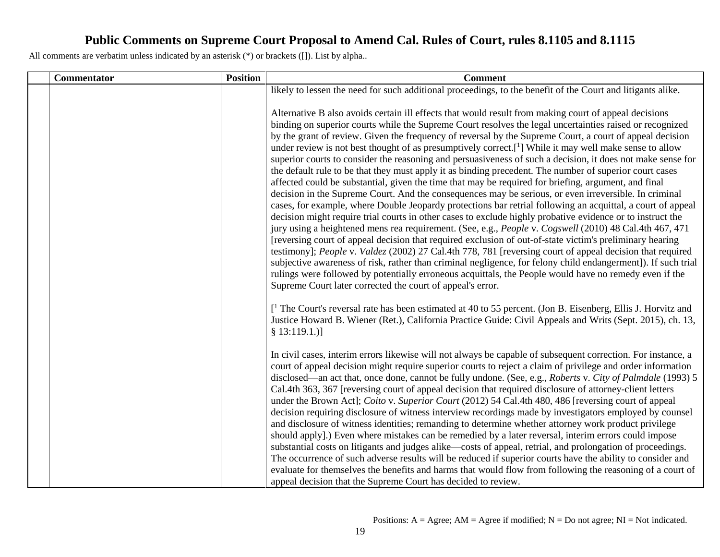| <b>Commentator</b> | <b>Position</b> | <b>Comment</b>                                                                                                                                                                                                                                                                                                                                                                                                                                                                                                                                                                                                                                                                                                                                                                                                                                                                                                                                                                                                                                                                                                                                                                                                                                                                                                                                                                                                                                                                                                                                                                                                                                                                              |
|--------------------|-----------------|---------------------------------------------------------------------------------------------------------------------------------------------------------------------------------------------------------------------------------------------------------------------------------------------------------------------------------------------------------------------------------------------------------------------------------------------------------------------------------------------------------------------------------------------------------------------------------------------------------------------------------------------------------------------------------------------------------------------------------------------------------------------------------------------------------------------------------------------------------------------------------------------------------------------------------------------------------------------------------------------------------------------------------------------------------------------------------------------------------------------------------------------------------------------------------------------------------------------------------------------------------------------------------------------------------------------------------------------------------------------------------------------------------------------------------------------------------------------------------------------------------------------------------------------------------------------------------------------------------------------------------------------------------------------------------------------|
|                    |                 | likely to lessen the need for such additional proceedings, to the benefit of the Court and litigants alike.                                                                                                                                                                                                                                                                                                                                                                                                                                                                                                                                                                                                                                                                                                                                                                                                                                                                                                                                                                                                                                                                                                                                                                                                                                                                                                                                                                                                                                                                                                                                                                                 |
|                    |                 | Alternative B also avoids certain ill effects that would result from making court of appeal decisions<br>binding on superior courts while the Supreme Court resolves the legal uncertainties raised or recognized<br>by the grant of review. Given the frequency of reversal by the Supreme Court, a court of appeal decision<br>under review is not best thought of as presumptively correct.[ <sup>1</sup> ] While it may well make sense to allow<br>superior courts to consider the reasoning and persuasiveness of such a decision, it does not make sense for<br>the default rule to be that they must apply it as binding precedent. The number of superior court cases<br>affected could be substantial, given the time that may be required for briefing, argument, and final<br>decision in the Supreme Court. And the consequences may be serious, or even irreversible. In criminal<br>cases, for example, where Double Jeopardy protections bar retrial following an acquittal, a court of appeal<br>decision might require trial courts in other cases to exclude highly probative evidence or to instruct the<br>jury using a heightened mens rea requirement. (See, e.g., People v. Cogswell (2010) 48 Cal.4th 467, 471<br>[reversing court of appeal decision that required exclusion of out-of-state victim's preliminary hearing<br>testimony]; People v. Valdez (2002) 27 Cal.4th 778, 781 [reversing court of appeal decision that required<br>subjective awareness of risk, rather than criminal negligence, for felony child endangerment]). If such trial<br>rulings were followed by potentially erroneous acquittals, the People would have no remedy even if the |
|                    |                 | Supreme Court later corrected the court of appeal's error.<br>$\left[ \begin{array}{c} 1 \end{array} \right]$ The Court's reversal rate has been estimated at 40 to 55 percent. (Jon B. Eisenberg, Ellis J. Horvitz and<br>Justice Howard B. Wiener (Ret.), California Practice Guide: Civil Appeals and Writs (Sept. 2015), ch. 13,<br>§ 13:119.1.)]<br>In civil cases, interim errors likewise will not always be capable of subsequent correction. For instance, a                                                                                                                                                                                                                                                                                                                                                                                                                                                                                                                                                                                                                                                                                                                                                                                                                                                                                                                                                                                                                                                                                                                                                                                                                       |
|                    |                 | court of appeal decision might require superior courts to reject a claim of privilege and order information<br>disclosed—an act that, once done, cannot be fully undone. (See, e.g., Roberts v. City of Palmdale (1993) 5<br>Cal.4th 363, 367 [reversing court of appeal decision that required disclosure of attorney-client letters<br>under the Brown Act]; Coito v. Superior Court (2012) 54 Cal.4th 480, 486 [reversing court of appeal<br>decision requiring disclosure of witness interview recordings made by investigators employed by counsel<br>and disclosure of witness identities; remanding to determine whether attorney work product privilege<br>should apply].) Even where mistakes can be remedied by a later reversal, interim errors could impose<br>substantial costs on litigants and judges alike—costs of appeal, retrial, and prolongation of proceedings.<br>The occurrence of such adverse results will be reduced if superior courts have the ability to consider and<br>evaluate for themselves the benefits and harms that would flow from following the reasoning of a court of                                                                                                                                                                                                                                                                                                                                                                                                                                                                                                                                                                            |
|                    |                 | appeal decision that the Supreme Court has decided to review.                                                                                                                                                                                                                                                                                                                                                                                                                                                                                                                                                                                                                                                                                                                                                                                                                                                                                                                                                                                                                                                                                                                                                                                                                                                                                                                                                                                                                                                                                                                                                                                                                               |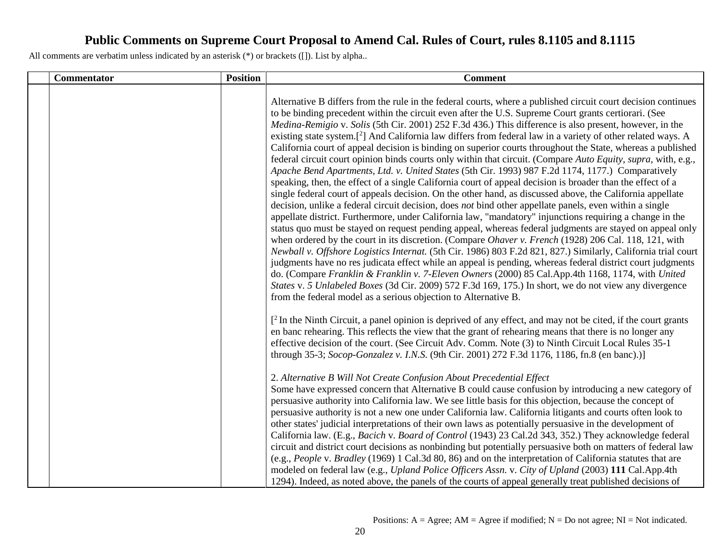| <b>Commentator</b> | <b>Position</b> | <b>Comment</b>                                                                                                                                                                                                                                                                                                                                                                                                                                                                                                                                                                                                                                                                                                                                                                                                                                                                                                                                                                                                                                                                                                                                                                                                                                                                                                                                                                                                                                                                                                                                                                                                                                                                                                                                                                                                                                                                                                                                                                                  |
|--------------------|-----------------|-------------------------------------------------------------------------------------------------------------------------------------------------------------------------------------------------------------------------------------------------------------------------------------------------------------------------------------------------------------------------------------------------------------------------------------------------------------------------------------------------------------------------------------------------------------------------------------------------------------------------------------------------------------------------------------------------------------------------------------------------------------------------------------------------------------------------------------------------------------------------------------------------------------------------------------------------------------------------------------------------------------------------------------------------------------------------------------------------------------------------------------------------------------------------------------------------------------------------------------------------------------------------------------------------------------------------------------------------------------------------------------------------------------------------------------------------------------------------------------------------------------------------------------------------------------------------------------------------------------------------------------------------------------------------------------------------------------------------------------------------------------------------------------------------------------------------------------------------------------------------------------------------------------------------------------------------------------------------------------------------|
|                    |                 | Alternative B differs from the rule in the federal courts, where a published circuit court decision continues<br>to be binding precedent within the circuit even after the U.S. Supreme Court grants certiorari. (See<br>Medina-Remigio v. Solis (5th Cir. 2001) 252 F.3d 436.) This difference is also present, however, in the<br>existing state system. <sup>[2]</sup> And California law differs from federal law in a variety of other related ways. A<br>California court of appeal decision is binding on superior courts throughout the State, whereas a published<br>federal circuit court opinion binds courts only within that circuit. (Compare Auto Equity, supra, with, e.g.,<br>Apache Bend Apartments, Ltd. v. United States (5th Cir. 1993) 987 F.2d 1174, 1177.) Comparatively<br>speaking, then, the effect of a single California court of appeal decision is broader than the effect of a<br>single federal court of appeals decision. On the other hand, as discussed above, the California appellate<br>decision, unlike a federal circuit decision, does not bind other appellate panels, even within a single<br>appellate district. Furthermore, under California law, "mandatory" injunctions requiring a change in the<br>status quo must be stayed on request pending appeal, whereas federal judgments are stayed on appeal only<br>when ordered by the court in its discretion. (Compare <i>Ohaver v. French</i> (1928) 206 Cal. 118, 121, with<br>Newball v. Offshore Logistics Internat. (5th Cir. 1986) 803 F.2d 821, 827.) Similarly, California trial court<br>judgments have no res judicata effect while an appeal is pending, whereas federal district court judgments<br>do. (Compare Franklin & Franklin v. 7-Eleven Owners (2000) 85 Cal.App.4th 1168, 1174, with United<br>States v. 5 Unlabeled Boxes (3d Cir. 2009) 572 F.3d 169, 175.) In short, we do not view any divergence<br>from the federal model as a serious objection to Alternative B. |
|                    |                 | $\int_1^2$ In the Ninth Circuit, a panel opinion is deprived of any effect, and may not be cited, if the court grants<br>en banc rehearing. This reflects the view that the grant of rehearing means that there is no longer any<br>effective decision of the court. (See Circuit Adv. Comm. Note (3) to Ninth Circuit Local Rules 35-1<br>through 35-3; Socop-Gonzalez v. I.N.S. (9th Cir. 2001) 272 F.3d 1176, 1186, fn.8 (en banc).)]<br>2. Alternative B Will Not Create Confusion About Precedential Effect<br>Some have expressed concern that Alternative B could cause confusion by introducing a new category of<br>persuasive authority into California law. We see little basis for this objection, because the concept of<br>persuasive authority is not a new one under California law. California litigants and courts often look to<br>other states' judicial interpretations of their own laws as potentially persuasive in the development of<br>California law. (E.g., Bacich v. Board of Control (1943) 23 Cal.2d 343, 352.) They acknowledge federal<br>circuit and district court decisions as nonbinding but potentially persuasive both on matters of federal law<br>(e.g., People v. Bradley (1969) 1 Cal.3d 80, 86) and on the interpretation of California statutes that are<br>modeled on federal law (e.g., Upland Police Officers Assn. v. City of Upland (2003) 111 Cal.App.4th<br>1294). Indeed, as noted above, the panels of the courts of appeal generally treat published decisions of                                                                                                                                                                                                                                                                                                                                                                                                                                                                       |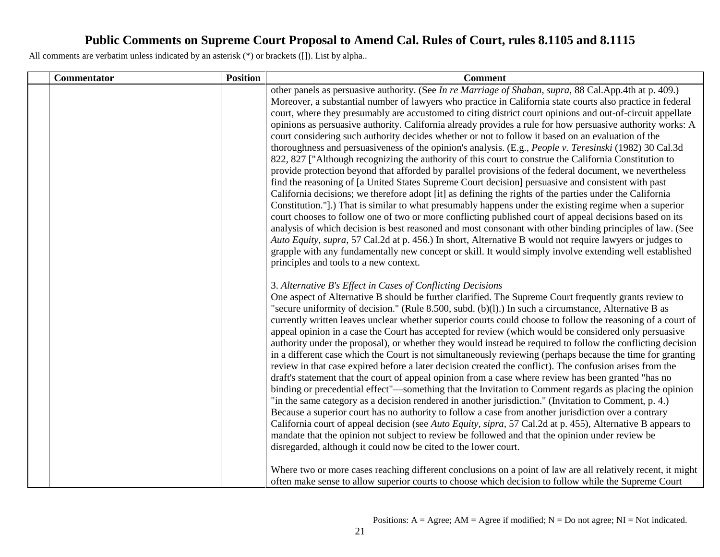| <b>Commentator</b> | <b>Position</b> | <b>Comment</b>                                                                                                                                                                                                                                                                                                                                                                                                                                                                                                                                                                                                                                                                                                                                                                                                                                                                                                                                                                                                                                                                                                                                                                                                                                                                                                                                                                                                                                                                                                                                                                                                                                                                                                                                                                                      |
|--------------------|-----------------|-----------------------------------------------------------------------------------------------------------------------------------------------------------------------------------------------------------------------------------------------------------------------------------------------------------------------------------------------------------------------------------------------------------------------------------------------------------------------------------------------------------------------------------------------------------------------------------------------------------------------------------------------------------------------------------------------------------------------------------------------------------------------------------------------------------------------------------------------------------------------------------------------------------------------------------------------------------------------------------------------------------------------------------------------------------------------------------------------------------------------------------------------------------------------------------------------------------------------------------------------------------------------------------------------------------------------------------------------------------------------------------------------------------------------------------------------------------------------------------------------------------------------------------------------------------------------------------------------------------------------------------------------------------------------------------------------------------------------------------------------------------------------------------------------------|
|                    |                 | other panels as persuasive authority. (See In re Marriage of Shaban, supra, 88 Cal.App.4th at p. 409.)<br>Moreover, a substantial number of lawyers who practice in California state courts also practice in federal<br>court, where they presumably are accustomed to citing district court opinions and out-of-circuit appellate<br>opinions as persuasive authority. California already provides a rule for how persuasive authority works: A<br>court considering such authority decides whether or not to follow it based on an evaluation of the<br>thoroughness and persuasiveness of the opinion's analysis. (E.g., People v. Teresinski (1982) 30 Cal.3d<br>822, 827 ["Although recognizing the authority of this court to construe the California Constitution to<br>provide protection beyond that afforded by parallel provisions of the federal document, we nevertheless<br>find the reasoning of [a United States Supreme Court decision] persuasive and consistent with past<br>California decisions; we therefore adopt [it] as defining the rights of the parties under the California<br>Constitution."].) That is similar to what presumably happens under the existing regime when a superior<br>court chooses to follow one of two or more conflicting published court of appeal decisions based on its<br>analysis of which decision is best reasoned and most consonant with other binding principles of law. (See<br>Auto Equity, supra, 57 Cal.2d at p. 456.) In short, Alternative B would not require lawyers or judges to<br>grapple with any fundamentally new concept or skill. It would simply involve extending well established<br>principles and tools to a new context.                                                                                         |
|                    |                 | 3. Alternative B's Effect in Cases of Conflicting Decisions<br>One aspect of Alternative B should be further clarified. The Supreme Court frequently grants review to<br>"secure uniformity of decision." (Rule 8.500, subd. $(b)(l)$ .) In such a circumstance, Alternative B as<br>currently written leaves unclear whether superior courts could choose to follow the reasoning of a court of<br>appeal opinion in a case the Court has accepted for review (which would be considered only persuasive<br>authority under the proposal), or whether they would instead be required to follow the conflicting decision<br>in a different case which the Court is not simultaneously reviewing (perhaps because the time for granting<br>review in that case expired before a later decision created the conflict). The confusion arises from the<br>draft's statement that the court of appeal opinion from a case where review has been granted "has no<br>binding or precedential effect"—something that the Invitation to Comment regards as placing the opinion<br>"in the same category as a decision rendered in another jurisdiction." (Invitation to Comment, p. 4.)<br>Because a superior court has no authority to follow a case from another jurisdiction over a contrary<br>California court of appeal decision (see Auto Equity, sipra, 57 Cal.2d at p. 455), Alternative B appears to<br>mandate that the opinion not subject to review be followed and that the opinion under review be<br>disregarded, although it could now be cited to the lower court.<br>Where two or more cases reaching different conclusions on a point of law are all relatively recent, it might<br>often make sense to allow superior courts to choose which decision to follow while the Supreme Court |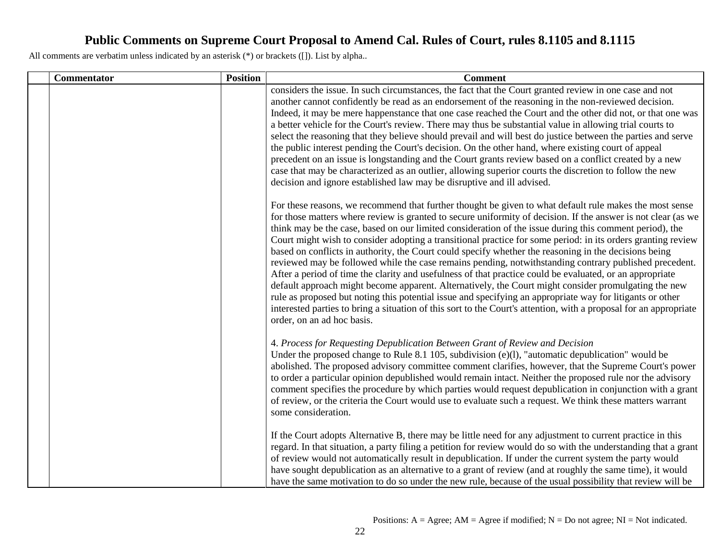| Commentator | <b>Position</b> | <b>Comment</b>                                                                                                                                                                                                                                                                                                                                                                                                                                                                                                                                                                                                                                                                                                                                                                                                                                                                                                                                                                                                                                                                                                                                             |
|-------------|-----------------|------------------------------------------------------------------------------------------------------------------------------------------------------------------------------------------------------------------------------------------------------------------------------------------------------------------------------------------------------------------------------------------------------------------------------------------------------------------------------------------------------------------------------------------------------------------------------------------------------------------------------------------------------------------------------------------------------------------------------------------------------------------------------------------------------------------------------------------------------------------------------------------------------------------------------------------------------------------------------------------------------------------------------------------------------------------------------------------------------------------------------------------------------------|
|             |                 | considers the issue. In such circumstances, the fact that the Court granted review in one case and not<br>another cannot confidently be read as an endorsement of the reasoning in the non-reviewed decision.<br>Indeed, it may be mere happenstance that one case reached the Court and the other did not, or that one was<br>a better vehicle for the Court's review. There may thus be substantial value in allowing trial courts to<br>select the reasoning that they believe should prevail and will best do justice between the parties and serve<br>the public interest pending the Court's decision. On the other hand, where existing court of appeal<br>precedent on an issue is longstanding and the Court grants review based on a conflict created by a new<br>case that may be characterized as an outlier, allowing superior courts the discretion to follow the new<br>decision and ignore established law may be disruptive and ill advised.                                                                                                                                                                                              |
|             |                 | For these reasons, we recommend that further thought be given to what default rule makes the most sense<br>for those matters where review is granted to secure uniformity of decision. If the answer is not clear (as we<br>think may be the case, based on our limited consideration of the issue during this comment period), the<br>Court might wish to consider adopting a transitional practice for some period: in its orders granting review<br>based on conflicts in authority, the Court could specify whether the reasoning in the decisions being<br>reviewed may be followed while the case remains pending, notwithstanding contrary published precedent.<br>After a period of time the clarity and usefulness of that practice could be evaluated, or an appropriate<br>default approach might become apparent. Alternatively, the Court might consider promulgating the new<br>rule as proposed but noting this potential issue and specifying an appropriate way for litigants or other<br>interested parties to bring a situation of this sort to the Court's attention, with a proposal for an appropriate<br>order, on an ad hoc basis. |
|             |                 | 4. Process for Requesting Depublication Between Grant of Review and Decision<br>Under the proposed change to Rule 8.1 105, subdivision (e)(1), "automatic depublication" would be<br>abolished. The proposed advisory committee comment clarifies, however, that the Supreme Court's power<br>to order a particular opinion depublished would remain intact. Neither the proposed rule nor the advisory<br>comment specifies the procedure by which parties would request depublication in conjunction with a grant<br>of review, or the criteria the Court would use to evaluate such a request. We think these matters warrant<br>some consideration.                                                                                                                                                                                                                                                                                                                                                                                                                                                                                                    |
|             |                 | If the Court adopts Alternative B, there may be little need for any adjustment to current practice in this<br>regard. In that situation, a party filing a petition for review would do so with the understanding that a grant<br>of review would not automatically result in depublication. If under the current system the party would<br>have sought depublication as an alternative to a grant of review (and at roughly the same time), it would<br>have the same motivation to do so under the new rule, because of the usual possibility that review will be                                                                                                                                                                                                                                                                                                                                                                                                                                                                                                                                                                                         |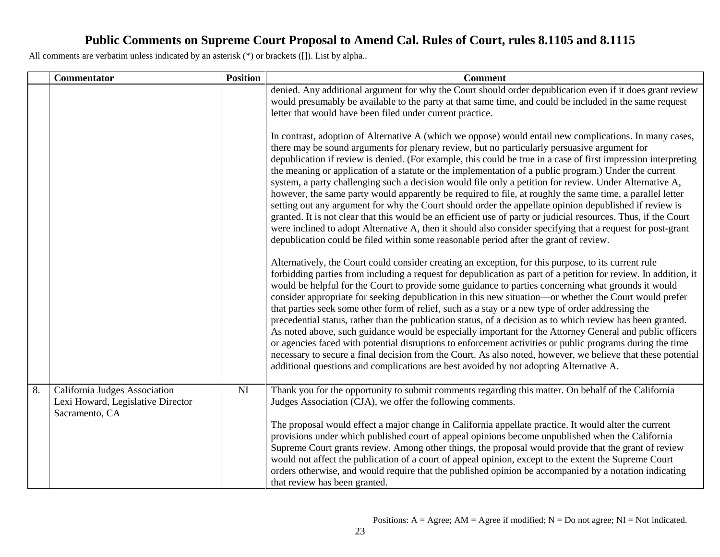|    | <b>Commentator</b>                                                                   | <b>Position</b> | <b>Comment</b>                                                                                                                                                                                                                                                                                                                                                                                                                                                                                                                                                                                                                                                                                                                                                                                                                                                                                                                                                                                                                                                                                  |
|----|--------------------------------------------------------------------------------------|-----------------|-------------------------------------------------------------------------------------------------------------------------------------------------------------------------------------------------------------------------------------------------------------------------------------------------------------------------------------------------------------------------------------------------------------------------------------------------------------------------------------------------------------------------------------------------------------------------------------------------------------------------------------------------------------------------------------------------------------------------------------------------------------------------------------------------------------------------------------------------------------------------------------------------------------------------------------------------------------------------------------------------------------------------------------------------------------------------------------------------|
|    |                                                                                      |                 | denied. Any additional argument for why the Court should order depublication even if it does grant review<br>would presumably be available to the party at that same time, and could be included in the same request<br>letter that would have been filed under current practice.                                                                                                                                                                                                                                                                                                                                                                                                                                                                                                                                                                                                                                                                                                                                                                                                               |
|    |                                                                                      |                 | In contrast, adoption of Alternative A (which we oppose) would entail new complications. In many cases,<br>there may be sound arguments for plenary review, but no particularly persuasive argument for<br>depublication if review is denied. (For example, this could be true in a case of first impression interpreting<br>the meaning or application of a statute or the implementation of a public program.) Under the current<br>system, a party challenging such a decision would file only a petition for review. Under Alternative A,<br>however, the same party would apparently be required to file, at roughly the same time, a parallel letter<br>setting out any argument for why the Court should order the appellate opinion depublished if review is<br>granted. It is not clear that this would be an efficient use of party or judicial resources. Thus, if the Court<br>were inclined to adopt Alternative A, then it should also consider specifying that a request for post-grant<br>depublication could be filed within some reasonable period after the grant of review. |
|    |                                                                                      |                 | Alternatively, the Court could consider creating an exception, for this purpose, to its current rule<br>forbidding parties from including a request for depublication as part of a petition for review. In addition, it<br>would be helpful for the Court to provide some guidance to parties concerning what grounds it would<br>consider appropriate for seeking depublication in this new situation-or whether the Court would prefer<br>that parties seek some other form of relief, such as a stay or a new type of order addressing the<br>precedential status, rather than the publication status, of a decision as to which review has been granted.<br>As noted above, such guidance would be especially important for the Attorney General and public officers<br>or agencies faced with potential disruptions to enforcement activities or public programs during the time<br>necessary to secure a final decision from the Court. As also noted, however, we believe that these potential<br>additional questions and complications are best avoided by not adopting Alternative A. |
| 8. | California Judges Association<br>Lexi Howard, Legislative Director<br>Sacramento, CA | NI              | Thank you for the opportunity to submit comments regarding this matter. On behalf of the California<br>Judges Association (CJA), we offer the following comments.<br>The proposal would effect a major change in California appellate practice. It would alter the current<br>provisions under which published court of appeal opinions become unpublished when the California<br>Supreme Court grants review. Among other things, the proposal would provide that the grant of review<br>would not affect the publication of a court of appeal opinion, except to the extent the Supreme Court<br>orders otherwise, and would require that the published opinion be accompanied by a notation indicating<br>that review has been granted.                                                                                                                                                                                                                                                                                                                                                      |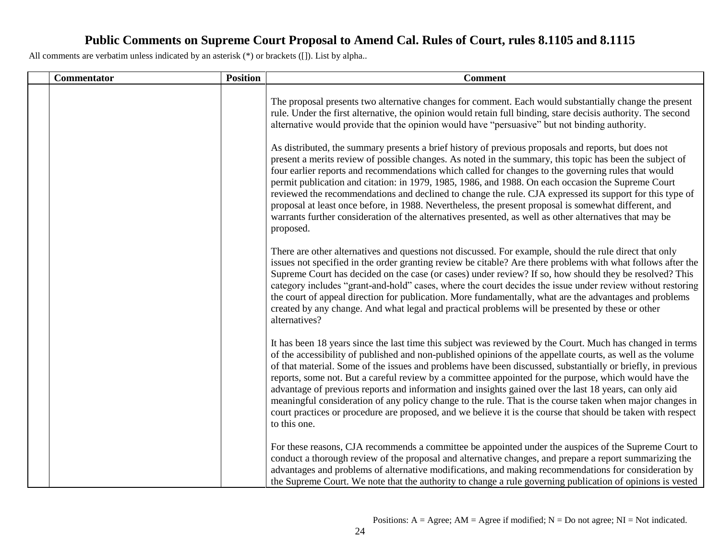| Commentator | <b>Position</b> | <b>Comment</b>                                                                                                                                                                                                                                                                                                                                                                                                                                                                                                                                                                                                                                                                                                                                                                                             |
|-------------|-----------------|------------------------------------------------------------------------------------------------------------------------------------------------------------------------------------------------------------------------------------------------------------------------------------------------------------------------------------------------------------------------------------------------------------------------------------------------------------------------------------------------------------------------------------------------------------------------------------------------------------------------------------------------------------------------------------------------------------------------------------------------------------------------------------------------------------|
|             |                 | The proposal presents two alternative changes for comment. Each would substantially change the present<br>rule. Under the first alternative, the opinion would retain full binding, stare decisis authority. The second<br>alternative would provide that the opinion would have "persuasive" but not binding authority.                                                                                                                                                                                                                                                                                                                                                                                                                                                                                   |
|             |                 | As distributed, the summary presents a brief history of previous proposals and reports, but does not<br>present a merits review of possible changes. As noted in the summary, this topic has been the subject of<br>four earlier reports and recommendations which called for changes to the governing rules that would<br>permit publication and citation: in 1979, 1985, 1986, and 1988. On each occasion the Supreme Court<br>reviewed the recommendations and declined to change the rule. CJA expressed its support for this type of<br>proposal at least once before, in 1988. Nevertheless, the present proposal is somewhat different, and<br>warrants further consideration of the alternatives presented, as well as other alternatives that may be<br>proposed.                                 |
|             |                 | There are other alternatives and questions not discussed. For example, should the rule direct that only<br>issues not specified in the order granting review be citable? Are there problems with what follows after the<br>Supreme Court has decided on the case (or cases) under review? If so, how should they be resolved? This<br>category includes "grant-and-hold" cases, where the court decides the issue under review without restoring<br>the court of appeal direction for publication. More fundamentally, what are the advantages and problems<br>created by any change. And what legal and practical problems will be presented by these or other<br>alternatives?                                                                                                                           |
|             |                 | It has been 18 years since the last time this subject was reviewed by the Court. Much has changed in terms<br>of the accessibility of published and non-published opinions of the appellate courts, as well as the volume<br>of that material. Some of the issues and problems have been discussed, substantially or briefly, in previous<br>reports, some not. But a careful review by a committee appointed for the purpose, which would have the<br>advantage of previous reports and information and insights gained over the last 18 years, can only aid<br>meaningful consideration of any policy change to the rule. That is the course taken when major changes in<br>court practices or procedure are proposed, and we believe it is the course that should be taken with respect<br>to this one. |
|             |                 | For these reasons, CJA recommends a committee be appointed under the auspices of the Supreme Court to<br>conduct a thorough review of the proposal and alternative changes, and prepare a report summarizing the<br>advantages and problems of alternative modifications, and making recommendations for consideration by<br>the Supreme Court. We note that the authority to change a rule governing publication of opinions is vested                                                                                                                                                                                                                                                                                                                                                                    |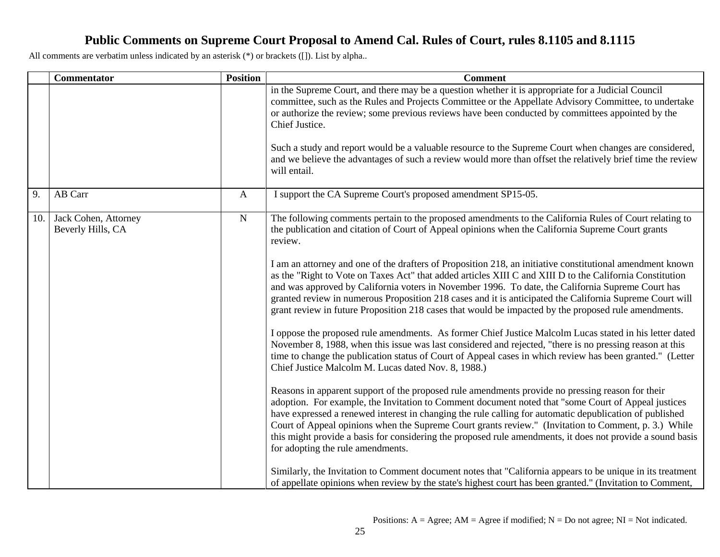|     | Commentator                               | <b>Position</b> | <b>Comment</b>                                                                                                                                                                                                                                                                                                                                                                                                                                                                                                                                                                 |
|-----|-------------------------------------------|-----------------|--------------------------------------------------------------------------------------------------------------------------------------------------------------------------------------------------------------------------------------------------------------------------------------------------------------------------------------------------------------------------------------------------------------------------------------------------------------------------------------------------------------------------------------------------------------------------------|
|     |                                           |                 | in the Supreme Court, and there may be a question whether it is appropriate for a Judicial Council<br>committee, such as the Rules and Projects Committee or the Appellate Advisory Committee, to undertake<br>or authorize the review; some previous reviews have been conducted by committees appointed by the<br>Chief Justice.                                                                                                                                                                                                                                             |
|     |                                           |                 | Such a study and report would be a valuable resource to the Supreme Court when changes are considered,<br>and we believe the advantages of such a review would more than offset the relatively brief time the review<br>will entail.                                                                                                                                                                                                                                                                                                                                           |
| 9.  | AB Carr                                   | $\mathbf{A}$    | I support the CA Supreme Court's proposed amendment SP15-05.                                                                                                                                                                                                                                                                                                                                                                                                                                                                                                                   |
| 10. | Jack Cohen, Attorney<br>Beverly Hills, CA | $\mathbf N$     | The following comments pertain to the proposed amendments to the California Rules of Court relating to<br>the publication and citation of Court of Appeal opinions when the California Supreme Court grants<br>review.                                                                                                                                                                                                                                                                                                                                                         |
|     |                                           |                 | I am an attorney and one of the drafters of Proposition 218, an initiative constitutional amendment known<br>as the "Right to Vote on Taxes Act" that added articles XIII C and XIII D to the California Constitution<br>and was approved by California voters in November 1996. To date, the California Supreme Court has<br>granted review in numerous Proposition 218 cases and it is anticipated the California Supreme Court will<br>grant review in future Proposition 218 cases that would be impacted by the proposed rule amendments.                                 |
|     |                                           |                 | I oppose the proposed rule amendments. As former Chief Justice Malcolm Lucas stated in his letter dated<br>November 8, 1988, when this issue was last considered and rejected, "there is no pressing reason at this<br>time to change the publication status of Court of Appeal cases in which review has been granted." (Letter<br>Chief Justice Malcolm M. Lucas dated Nov. 8, 1988.)                                                                                                                                                                                        |
|     |                                           |                 | Reasons in apparent support of the proposed rule amendments provide no pressing reason for their<br>adoption. For example, the Invitation to Comment document noted that "some Court of Appeal justices"<br>have expressed a renewed interest in changing the rule calling for automatic depublication of published<br>Court of Appeal opinions when the Supreme Court grants review." (Invitation to Comment, p. 3.) While<br>this might provide a basis for considering the proposed rule amendments, it does not provide a sound basis<br>for adopting the rule amendments. |
|     |                                           |                 | Similarly, the Invitation to Comment document notes that "California appears to be unique in its treatment<br>of appellate opinions when review by the state's highest court has been granted." (Invitation to Comment,                                                                                                                                                                                                                                                                                                                                                        |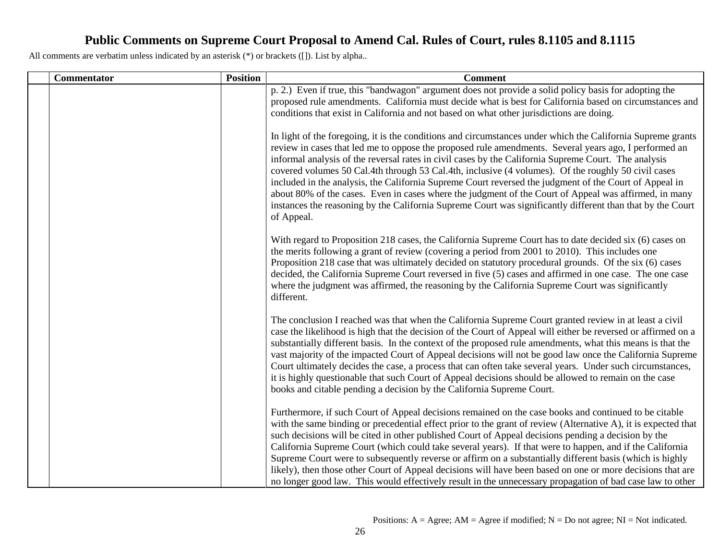| Commentator | <b>Position</b> | <b>Comment</b>                                                                                                                                                                                                                                                                                                                                                                                                                                                                                                                                                                                                                                                                                                                                                                     |
|-------------|-----------------|------------------------------------------------------------------------------------------------------------------------------------------------------------------------------------------------------------------------------------------------------------------------------------------------------------------------------------------------------------------------------------------------------------------------------------------------------------------------------------------------------------------------------------------------------------------------------------------------------------------------------------------------------------------------------------------------------------------------------------------------------------------------------------|
|             |                 | p. 2.) Even if true, this "bandwagon" argument does not provide a solid policy basis for adopting the<br>proposed rule amendments. California must decide what is best for California based on circumstances and<br>conditions that exist in California and not based on what other jurisdictions are doing.                                                                                                                                                                                                                                                                                                                                                                                                                                                                       |
|             |                 | In light of the foregoing, it is the conditions and circumstances under which the California Supreme grants<br>review in cases that led me to oppose the proposed rule amendments. Several years ago, I performed an<br>informal analysis of the reversal rates in civil cases by the California Supreme Court. The analysis<br>covered volumes 50 Cal.4th through 53 Cal.4th, inclusive (4 volumes). Of the roughly 50 civil cases<br>included in the analysis, the California Supreme Court reversed the judgment of the Court of Appeal in<br>about 80% of the cases. Even in cases where the judgment of the Court of Appeal was affirmed, in many<br>instances the reasoning by the California Supreme Court was significantly different than that by the Court<br>of Appeal. |
|             |                 | With regard to Proposition 218 cases, the California Supreme Court has to date decided six (6) cases on<br>the merits following a grant of review (covering a period from 2001 to 2010). This includes one<br>Proposition 218 case that was ultimately decided on statutory procedural grounds. Of the six (6) cases<br>decided, the California Supreme Court reversed in five (5) cases and affirmed in one case. The one case<br>where the judgment was affirmed, the reasoning by the California Supreme Court was significantly<br>different.                                                                                                                                                                                                                                  |
|             |                 | The conclusion I reached was that when the California Supreme Court granted review in at least a civil<br>case the likelihood is high that the decision of the Court of Appeal will either be reversed or affirmed on a<br>substantially different basis. In the context of the proposed rule amendments, what this means is that the<br>vast majority of the impacted Court of Appeal decisions will not be good law once the California Supreme<br>Court ultimately decides the case, a process that can often take several years. Under such circumstances,<br>it is highly questionable that such Court of Appeal decisions should be allowed to remain on the case<br>books and citable pending a decision by the California Supreme Court.                                   |
|             |                 | Furthermore, if such Court of Appeal decisions remained on the case books and continued to be citable<br>with the same binding or precedential effect prior to the grant of review (Alternative A), it is expected that<br>such decisions will be cited in other published Court of Appeal decisions pending a decision by the<br>California Supreme Court (which could take several years). If that were to happen, and if the California<br>Supreme Court were to subsequently reverse or affirm on a substantially different basis (which is highly<br>likely), then those other Court of Appeal decisions will have been based on one or more decisions that are<br>no longer good law. This would effectively result in the unnecessary propagation of bad case law to other  |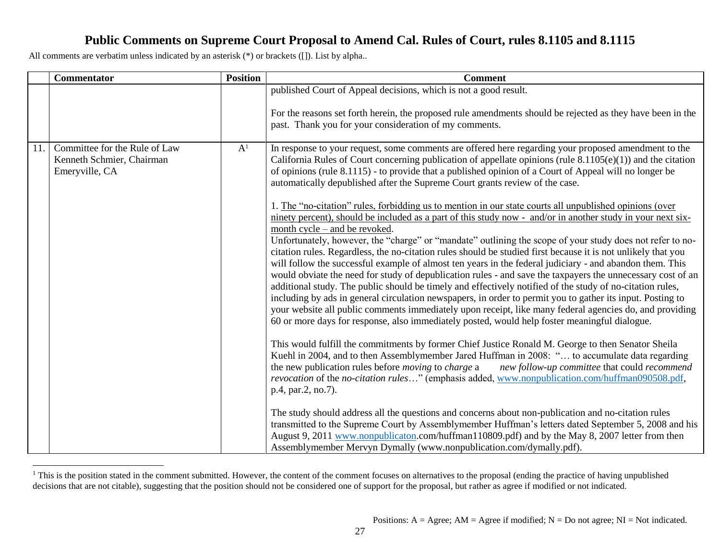|     | Commentator                                                                  | <b>Position</b> | <b>Comment</b>                                                                                                                                                                                                                                                                                                                                                                                                                                                                                                                                                                                                                                                                                                                                                                                                                                                                                                                                                                                                                                                                                                                                                                                                                                                                                                                                                                                                                                                                                                                                                                                                                                                                                                                                                                                                                                                                                                                                                                                                                                                                                                                                                                                                                                                                                                                                                                                                              |
|-----|------------------------------------------------------------------------------|-----------------|-----------------------------------------------------------------------------------------------------------------------------------------------------------------------------------------------------------------------------------------------------------------------------------------------------------------------------------------------------------------------------------------------------------------------------------------------------------------------------------------------------------------------------------------------------------------------------------------------------------------------------------------------------------------------------------------------------------------------------------------------------------------------------------------------------------------------------------------------------------------------------------------------------------------------------------------------------------------------------------------------------------------------------------------------------------------------------------------------------------------------------------------------------------------------------------------------------------------------------------------------------------------------------------------------------------------------------------------------------------------------------------------------------------------------------------------------------------------------------------------------------------------------------------------------------------------------------------------------------------------------------------------------------------------------------------------------------------------------------------------------------------------------------------------------------------------------------------------------------------------------------------------------------------------------------------------------------------------------------------------------------------------------------------------------------------------------------------------------------------------------------------------------------------------------------------------------------------------------------------------------------------------------------------------------------------------------------------------------------------------------------------------------------------------------------|
|     |                                                                              |                 | published Court of Appeal decisions, which is not a good result.<br>For the reasons set forth herein, the proposed rule amendments should be rejected as they have been in the<br>past. Thank you for your consideration of my comments.                                                                                                                                                                                                                                                                                                                                                                                                                                                                                                                                                                                                                                                                                                                                                                                                                                                                                                                                                                                                                                                                                                                                                                                                                                                                                                                                                                                                                                                                                                                                                                                                                                                                                                                                                                                                                                                                                                                                                                                                                                                                                                                                                                                    |
| 11. | Committee for the Rule of Law<br>Kenneth Schmier, Chairman<br>Emeryville, CA | A <sup>1</sup>  | In response to your request, some comments are offered here regarding your proposed amendment to the<br>California Rules of Court concerning publication of appellate opinions (rule $8.1105(e)(1)$ ) and the citation<br>of opinions (rule 8.1115) - to provide that a published opinion of a Court of Appeal will no longer be<br>automatically depublished after the Supreme Court grants review of the case.<br>1. The "no-citation" rules, forbidding us to mention in our state courts all unpublished opinions (over<br>ninety percent), should be included as a part of this study now - and/or in another study in your next six-<br>month cycle – and be revoked.<br>Unfortunately, however, the "charge" or "mandate" outlining the scope of your study does not refer to no-<br>citation rules. Regardless, the no-citation rules should be studied first because it is not unlikely that you<br>will follow the successful example of almost ten years in the federal judiciary - and abandon them. This<br>would obviate the need for study of depublication rules - and save the taxpayers the unnecessary cost of an<br>additional study. The public should be timely and effectively notified of the study of no-citation rules,<br>including by ads in general circulation newspapers, in order to permit you to gather its input. Posting to<br>your website all public comments immediately upon receipt, like many federal agencies do, and providing<br>60 or more days for response, also immediately posted, would help foster meaningful dialogue.<br>This would fulfill the commitments by former Chief Justice Ronald M. George to then Senator Sheila<br>Kuehl in 2004, and to then Assemblymember Jared Huffman in 2008: " to accumulate data regarding<br>the new publication rules before <i>moving</i> to <i>charge</i> a<br>new follow-up committee that could recommend<br>revocation of the no-citation rules" (emphasis added, www.nonpublication.com/huffman090508.pdf,<br>p.4, par.2, no.7).<br>The study should address all the questions and concerns about non-publication and no-citation rules<br>transmitted to the Supreme Court by Assemblymember Huffman's letters dated September 5, 2008 and his<br>August 9, 2011 www.nonpublicaton.com/huffman110809.pdf) and by the May 8, 2007 letter from then<br>Assemblymember Mervyn Dymally (www.nonpublication.com/dymally.pdf). |

l  $<sup>1</sup>$  This is the position stated in the comment submitted. However, the content of the comment focuses on alternatives to the proposal (ending the practice of having unpublished</sup> decisions that are not citable), suggesting that the position should not be considered one of support for the proposal, but rather as agree if modified or not indicated.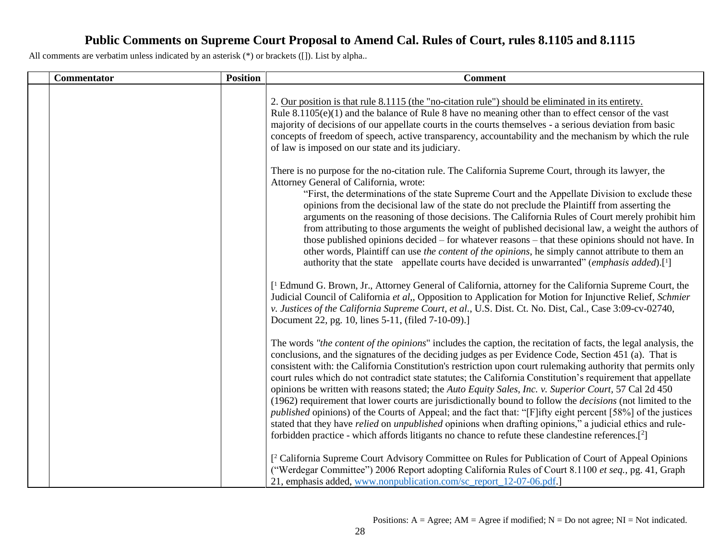| <b>Commentator</b> | <b>Position</b> | <b>Comment</b>                                                                                                                                                                                                                                                                                                                                                                                                                                                                                                                                                                                                                                                                                                                                                                                                                                                                                                                                                                                                                                |
|--------------------|-----------------|-----------------------------------------------------------------------------------------------------------------------------------------------------------------------------------------------------------------------------------------------------------------------------------------------------------------------------------------------------------------------------------------------------------------------------------------------------------------------------------------------------------------------------------------------------------------------------------------------------------------------------------------------------------------------------------------------------------------------------------------------------------------------------------------------------------------------------------------------------------------------------------------------------------------------------------------------------------------------------------------------------------------------------------------------|
|                    |                 | 2. Our position is that rule 8.1115 (the "no-citation rule") should be eliminated in its entirety.<br>Rule $8.1105(e)(1)$ and the balance of Rule 8 have no meaning other than to effect censor of the vast<br>majority of decisions of our appellate courts in the courts themselves - a serious deviation from basic<br>concepts of freedom of speech, active transparency, accountability and the mechanism by which the rule<br>of law is imposed on our state and its judiciary.                                                                                                                                                                                                                                                                                                                                                                                                                                                                                                                                                         |
|                    |                 | There is no purpose for the no-citation rule. The California Supreme Court, through its lawyer, the<br>Attorney General of California, wrote:<br>"First, the determinations of the state Supreme Court and the Appellate Division to exclude these<br>opinions from the decisional law of the state do not preclude the Plaintiff from asserting the<br>arguments on the reasoning of those decisions. The California Rules of Court merely prohibit him<br>from attributing to those arguments the weight of published decisional law, a weight the authors of<br>those published opinions decided – for whatever reasons – that these opinions should not have. In<br>other words, Plaintiff can use the content of the opinions, he simply cannot attribute to them an<br>authority that the state appellate courts have decided is unwarranted" (emphasis added).[1]                                                                                                                                                                      |
|                    |                 | [ <sup>1</sup> Edmund G. Brown, Jr., Attorney General of California, attorney for the California Supreme Court, the<br>Judicial Council of California et al., Opposition to Application for Motion for Injunctive Relief, Schmier<br>v. Justices of the California Supreme Court, et al., U.S. Dist. Ct. No. Dist, Cal., Case 3:09-cv-02740,<br>Document 22, pg. 10, lines 5-11, (filed 7-10-09).]                                                                                                                                                                                                                                                                                                                                                                                                                                                                                                                                                                                                                                            |
|                    |                 | The words "the content of the opinions" includes the caption, the recitation of facts, the legal analysis, the<br>conclusions, and the signatures of the deciding judges as per Evidence Code, Section 451 (a). That is<br>consistent with: the California Constitution's restriction upon court rulemaking authority that permits only<br>court rules which do not contradict state statutes; the California Constitution's requirement that appellate<br>opinions be written with reasons stated; the Auto Equity Sales, Inc. v. Superior Court, 57 Cal 2d 450<br>(1962) requirement that lower courts are jurisdictionally bound to follow the <i>decisions</i> (not limited to the<br><i>published</i> opinions) of the Courts of Appeal; and the fact that: "[F]ifty eight percent [58%] of the justices<br>stated that they have <i>relied</i> on <i>unpublished</i> opinions when drafting opinions," a judicial ethics and rule-<br>forbidden practice - which affords litigants no chance to refute these clandestine references.[2] |
|                    |                 | [ <sup>2</sup> California Supreme Court Advisory Committee on Rules for Publication of Court of Appeal Opinions<br>("Werdegar Committee") 2006 Report adopting California Rules of Court 8.1100 et seq., pg. 41, Graph<br>21, emphasis added, www.nonpublication.com/sc_report_12-07-06.pdf.]                                                                                                                                                                                                                                                                                                                                                                                                                                                                                                                                                                                                                                                                                                                                                 |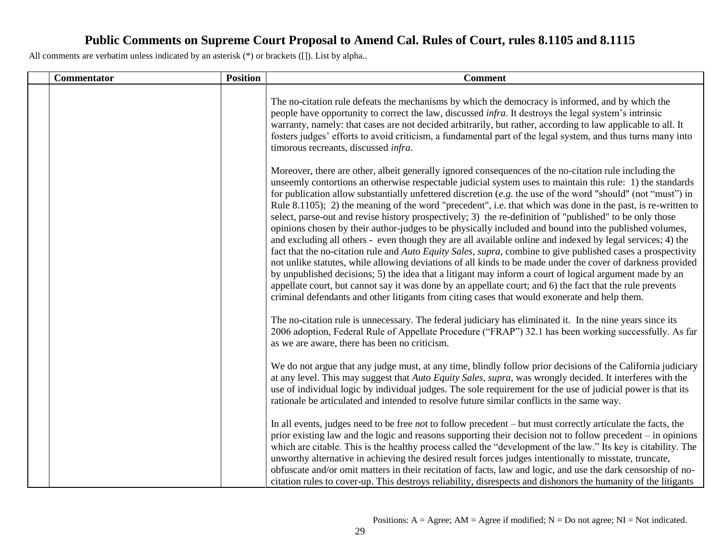| Commentator | <b>Position</b> | <b>Comment</b>                                                                                                                                                                                                                                                                                                                                                                                                                                                                                                                                                                                                                                                                                                                                                                                                                                                                                                                                                                                                                                                                                                                                                                                                                                                                                                                                        |
|-------------|-----------------|-------------------------------------------------------------------------------------------------------------------------------------------------------------------------------------------------------------------------------------------------------------------------------------------------------------------------------------------------------------------------------------------------------------------------------------------------------------------------------------------------------------------------------------------------------------------------------------------------------------------------------------------------------------------------------------------------------------------------------------------------------------------------------------------------------------------------------------------------------------------------------------------------------------------------------------------------------------------------------------------------------------------------------------------------------------------------------------------------------------------------------------------------------------------------------------------------------------------------------------------------------------------------------------------------------------------------------------------------------|
|             |                 | The no-citation rule defeats the mechanisms by which the democracy is informed, and by which the<br>people have opportunity to correct the law, discussed <i>infra</i> . It destroys the legal system's intrinsic<br>warranty, namely: that cases are not decided arbitrarily, but rather, according to law applicable to all. It<br>fosters judges' efforts to avoid criticism, a fundamental part of the legal system, and thus turns many into<br>timorous recreants, discussed infra.                                                                                                                                                                                                                                                                                                                                                                                                                                                                                                                                                                                                                                                                                                                                                                                                                                                             |
|             |                 | Moreover, there are other, albeit generally ignored consequences of the no-citation rule including the<br>unseemly contortions an otherwise respectable judicial system uses to maintain this rule: 1) the standards<br>for publication allow substantially unfettered discretion $(e, g)$ , the use of the word "should" (not "must") in<br>Rule 8.1105); 2) the meaning of the word "precedent", i.e. that which was done in the past, is re-written to<br>select, parse-out and revise history prospectively; 3) the re-definition of "published" to be only those<br>opinions chosen by their author-judges to be physically included and bound into the published volumes,<br>and excluding all others - even though they are all available online and indexed by legal services; 4) the<br>fact that the no-citation rule and Auto Equity Sales, supra, combine to give published cases a prospectivity<br>not unlike statutes, while allowing deviations of all kinds to be made under the cover of darkness provided<br>by unpublished decisions; 5) the idea that a litigant may inform a court of logical argument made by an<br>appellate court, but cannot say it was done by an appellate court; and 6) the fact that the rule prevents<br>criminal defendants and other litigants from citing cases that would exonerate and help them. |
|             |                 | The no-citation rule is unnecessary. The federal judiciary has eliminated it. In the nine years since its<br>2006 adoption, Federal Rule of Appellate Procedure ("FRAP") 32.1 has been working successfully. As far<br>as we are aware, there has been no criticism.                                                                                                                                                                                                                                                                                                                                                                                                                                                                                                                                                                                                                                                                                                                                                                                                                                                                                                                                                                                                                                                                                  |
|             |                 | We do not argue that any judge must, at any time, blindly follow prior decisions of the California judiciary<br>at any level. This may suggest that Auto Equity Sales, supra, was wrongly decided. It interferes with the<br>use of individual logic by individual judges. The sole requirement for the use of judicial power is that its<br>rationale be articulated and intended to resolve future similar conflicts in the same way.                                                                                                                                                                                                                                                                                                                                                                                                                                                                                                                                                                                                                                                                                                                                                                                                                                                                                                               |
|             |                 | In all events, judges need to be free <i>not</i> to follow precedent – but must correctly articulate the facts, the<br>prior existing law and the logic and reasons supporting their decision not to follow precedent – in opinions<br>which are citable. This is the healthy process called the "development of the law." Its key is citability. The<br>unworthy alternative in achieving the desired result forces judges intentionally to misstate, truncate,<br>obfuscate and/or omit matters in their recitation of facts, law and logic, and use the dark censorship of no-<br>citation rules to cover-up. This destroys reliability, disrespects and dishonors the humanity of the litigants                                                                                                                                                                                                                                                                                                                                                                                                                                                                                                                                                                                                                                                   |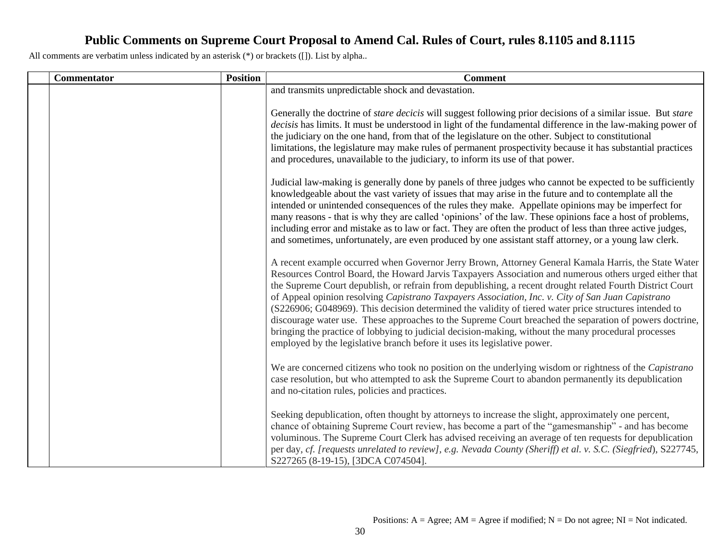| <b>Commentator</b> | <b>Position</b> | <b>Comment</b>                                                                                                                                                                                                                                                                                                                                                                                                                                                                                                                                                                                                                                                                                                                                                                                                                            |
|--------------------|-----------------|-------------------------------------------------------------------------------------------------------------------------------------------------------------------------------------------------------------------------------------------------------------------------------------------------------------------------------------------------------------------------------------------------------------------------------------------------------------------------------------------------------------------------------------------------------------------------------------------------------------------------------------------------------------------------------------------------------------------------------------------------------------------------------------------------------------------------------------------|
|                    |                 | and transmits unpredictable shock and devastation.                                                                                                                                                                                                                                                                                                                                                                                                                                                                                                                                                                                                                                                                                                                                                                                        |
|                    |                 | Generally the doctrine of <i>stare decicis</i> will suggest following prior decisions of a similar issue. But <i>stare</i><br>decisis has limits. It must be understood in light of the fundamental difference in the law-making power of<br>the judiciary on the one hand, from that of the legislature on the other. Subject to constitutional<br>limitations, the legislature may make rules of permanent prospectivity because it has substantial practices<br>and procedures, unavailable to the judiciary, to inform its use of that power.                                                                                                                                                                                                                                                                                         |
|                    |                 | Judicial law-making is generally done by panels of three judges who cannot be expected to be sufficiently<br>knowledgeable about the vast variety of issues that may arise in the future and to contemplate all the<br>intended or unintended consequences of the rules they make. Appellate opinions may be imperfect for<br>many reasons - that is why they are called 'opinions' of the law. These opinions face a host of problems,<br>including error and mistake as to law or fact. They are often the product of less than three active judges,<br>and sometimes, unfortunately, are even produced by one assistant staff attorney, or a young law clerk.                                                                                                                                                                          |
|                    |                 | A recent example occurred when Governor Jerry Brown, Attorney General Kamala Harris, the State Water<br>Resources Control Board, the Howard Jarvis Taxpayers Association and numerous others urged either that<br>the Supreme Court depublish, or refrain from depublishing, a recent drought related Fourth District Court<br>of Appeal opinion resolving Capistrano Taxpayers Association, Inc. v. City of San Juan Capistrano<br>(S226906; G048969). This decision determined the validity of tiered water price structures intended to<br>discourage water use. These approaches to the Supreme Court breached the separation of powers doctrine,<br>bringing the practice of lobbying to judicial decision-making, without the many procedural processes<br>employed by the legislative branch before it uses its legislative power. |
|                    |                 | We are concerned citizens who took no position on the underlying wisdom or rightness of the Capistrano<br>case resolution, but who attempted to ask the Supreme Court to abandon permanently its depublication<br>and no-citation rules, policies and practices.                                                                                                                                                                                                                                                                                                                                                                                                                                                                                                                                                                          |
|                    |                 | Seeking depublication, often thought by attorneys to increase the slight, approximately one percent,<br>chance of obtaining Supreme Court review, has become a part of the "gamesmanship" - and has become<br>voluminous. The Supreme Court Clerk has advised receiving an average of ten requests for depublication<br>per day, cf. [requests unrelated to review], e.g. Nevada County (Sheriff) et al. v. S.C. (Siegfried), S227745,<br>S227265 (8-19-15), [3DCA C074504].                                                                                                                                                                                                                                                                                                                                                              |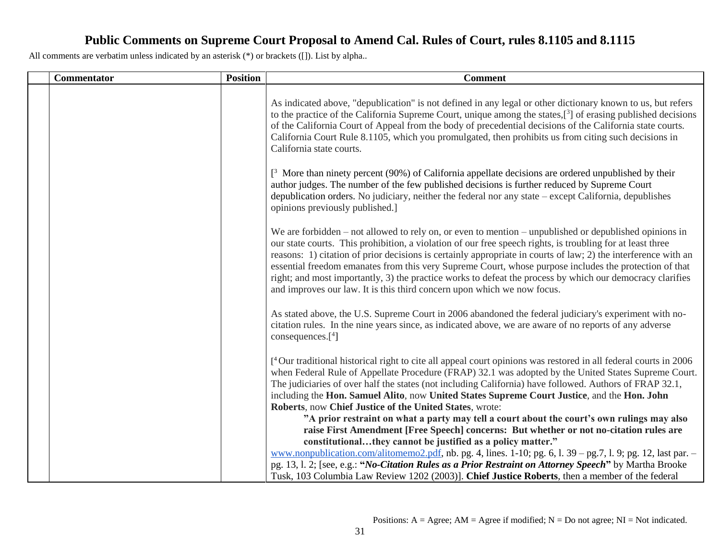| <b>Commentator</b> | <b>Position</b> | <b>Comment</b>                                                                                                                                                                                                                                                                                                                                                                                                                                                                                                                                                                                                                               |
|--------------------|-----------------|----------------------------------------------------------------------------------------------------------------------------------------------------------------------------------------------------------------------------------------------------------------------------------------------------------------------------------------------------------------------------------------------------------------------------------------------------------------------------------------------------------------------------------------------------------------------------------------------------------------------------------------------|
|                    |                 | As indicated above, "depublication" is not defined in any legal or other dictionary known to us, but refers<br>to the practice of the California Supreme Court, unique among the states, $[3]$ of erasing published decisions<br>of the California Court of Appeal from the body of precedential decisions of the California state courts.<br>California Court Rule 8.1105, which you promulgated, then prohibits us from citing such decisions in<br>California state courts.                                                                                                                                                               |
|                    |                 | $[3]$ More than ninety percent (90%) of California appellate decisions are ordered unpublished by their<br>author judges. The number of the few published decisions is further reduced by Supreme Court<br>depublication orders. No judiciary, neither the federal nor any state $-\text{except California}$ , depublishes<br>opinions previously published.]                                                                                                                                                                                                                                                                                |
|                    |                 | We are forbidden $-$ not allowed to rely on, or even to mention $-$ unpublished or depublished opinions in<br>our state courts. This prohibition, a violation of our free speech rights, is troubling for at least three<br>reasons: 1) citation of prior decisions is certainly appropriate in courts of law; 2) the interference with an<br>essential freedom emanates from this very Supreme Court, whose purpose includes the protection of that<br>right; and most importantly, 3) the practice works to defeat the process by which our democracy clarifies<br>and improves our law. It is this third concern upon which we now focus. |
|                    |                 | As stated above, the U.S. Supreme Court in 2006 abandoned the federal judiciary's experiment with no-<br>citation rules. In the nine years since, as indicated above, we are aware of no reports of any adverse<br>consequences. $[4]$                                                                                                                                                                                                                                                                                                                                                                                                       |
|                    |                 | <sup>4</sup> Our traditional historical right to cite all appeal court opinions was restored in all federal courts in 2006<br>when Federal Rule of Appellate Procedure (FRAP) 32.1 was adopted by the United States Supreme Court.<br>The judiciaries of over half the states (not including California) have followed. Authors of FRAP 32.1,<br>including the Hon. Samuel Alito, now United States Supreme Court Justice, and the Hon. John<br>Roberts, now Chief Justice of the United States, wrote:                                                                                                                                      |
|                    |                 | "A prior restraint on what a party may tell a court about the court's own rulings may also<br>raise First Amendment [Free Speech] concerns: But whether or not no-citation rules are<br>constitutionalthey cannot be justified as a policy matter."<br>www.nonpublication.com/alitomemo2.pdf, nb. pg. 4, lines. 1-10; pg. 6, 1. 39 – pg. 7, 1. 9; pg. 12, last par. –                                                                                                                                                                                                                                                                        |
|                    |                 | pg. 13, 1. 2; [see, e.g.: " <i>No-Citation Rules as a Prior Restraint on Attorney Speech</i> " by Martha Brooke<br>Tusk, 103 Columbia Law Review 1202 (2003)]. Chief Justice Roberts, then a member of the federal                                                                                                                                                                                                                                                                                                                                                                                                                           |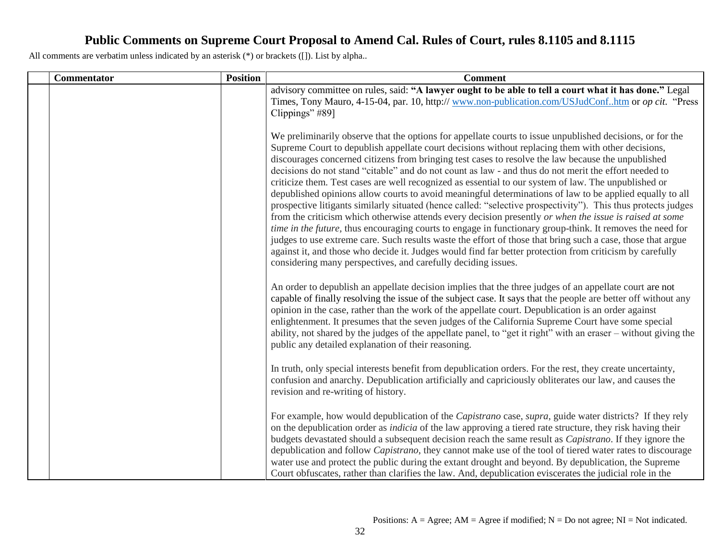| <b>Commentator</b> | <b>Position</b> | <b>Comment</b>                                                                                                                                                                                                                                                                                                                                                                                                                                                                                                                                                                                                                                                                                                                                                                                                                                                                                                                                                                                                                                                                                                                                                                                                                                                                         |
|--------------------|-----------------|----------------------------------------------------------------------------------------------------------------------------------------------------------------------------------------------------------------------------------------------------------------------------------------------------------------------------------------------------------------------------------------------------------------------------------------------------------------------------------------------------------------------------------------------------------------------------------------------------------------------------------------------------------------------------------------------------------------------------------------------------------------------------------------------------------------------------------------------------------------------------------------------------------------------------------------------------------------------------------------------------------------------------------------------------------------------------------------------------------------------------------------------------------------------------------------------------------------------------------------------------------------------------------------|
|                    |                 | advisory committee on rules, said: "A lawyer ought to be able to tell a court what it has done." Legal                                                                                                                                                                                                                                                                                                                                                                                                                                                                                                                                                                                                                                                                                                                                                                                                                                                                                                                                                                                                                                                                                                                                                                                 |
|                    |                 | Times, Tony Mauro, 4-15-04, par. 10, http:// www.non-publication.com/USJudConfhtm or op cit. "Press                                                                                                                                                                                                                                                                                                                                                                                                                                                                                                                                                                                                                                                                                                                                                                                                                                                                                                                                                                                                                                                                                                                                                                                    |
|                    |                 | Clippings" #89]                                                                                                                                                                                                                                                                                                                                                                                                                                                                                                                                                                                                                                                                                                                                                                                                                                                                                                                                                                                                                                                                                                                                                                                                                                                                        |
|                    |                 | We preliminarily observe that the options for appellate courts to issue unpublished decisions, or for the<br>Supreme Court to depublish appellate court decisions without replacing them with other decisions,<br>discourages concerned citizens from bringing test cases to resolve the law because the unpublished<br>decisions do not stand "citable" and do not count as law - and thus do not merit the effort needed to<br>criticize them. Test cases are well recognized as essential to our system of law. The unpublished or<br>depublished opinions allow courts to avoid meaningful determinations of law to be applied equally to all<br>prospective litigants similarly situated (hence called: "selective prospectivity"). This thus protects judges<br>from the criticism which otherwise attends every decision presently or when the issue is raised at some<br>time in the future, thus encouraging courts to engage in functionary group-think. It removes the need for<br>judges to use extreme care. Such results waste the effort of those that bring such a case, those that argue<br>against it, and those who decide it. Judges would find far better protection from criticism by carefully<br>considering many perspectives, and carefully deciding issues. |
|                    |                 | An order to depublish an appellate decision implies that the three judges of an appellate court are not<br>capable of finally resolving the issue of the subject case. It says that the people are better off without any<br>opinion in the case, rather than the work of the appellate court. Depublication is an order against<br>enlightenment. It presumes that the seven judges of the California Supreme Court have some special<br>ability, not shared by the judges of the appellate panel, to "get it right" with an eraser – without giving the<br>public any detailed explanation of their reasoning.                                                                                                                                                                                                                                                                                                                                                                                                                                                                                                                                                                                                                                                                       |
|                    |                 | In truth, only special interests benefit from depublication orders. For the rest, they create uncertainty,<br>confusion and anarchy. Depublication artificially and capriciously obliterates our law, and causes the<br>revision and re-writing of history.                                                                                                                                                                                                                                                                                                                                                                                                                                                                                                                                                                                                                                                                                                                                                                                                                                                                                                                                                                                                                            |
|                    |                 | For example, how would depublication of the Capistrano case, supra, guide water districts? If they rely<br>on the depublication order as <i>indicia</i> of the law approving a tiered rate structure, they risk having their<br>budgets devastated should a subsequent decision reach the same result as <i>Capistrano</i> . If they ignore the<br>depublication and follow Capistrano, they cannot make use of the tool of tiered water rates to discourage<br>water use and protect the public during the extant drought and beyond. By depublication, the Supreme<br>Court obfuscates, rather than clarifies the law. And, depublication eviscerates the judicial role in the                                                                                                                                                                                                                                                                                                                                                                                                                                                                                                                                                                                                       |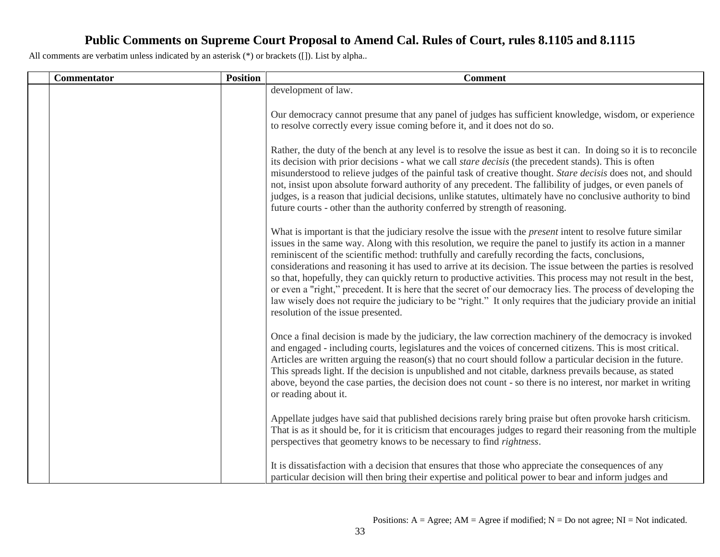| Commentator | <b>Position</b> | <b>Comment</b>                                                                                                                                                                                                                                                                                                                                                                                                                                                                                                                                                                                                                                                                                                                                                                                                                                    |
|-------------|-----------------|---------------------------------------------------------------------------------------------------------------------------------------------------------------------------------------------------------------------------------------------------------------------------------------------------------------------------------------------------------------------------------------------------------------------------------------------------------------------------------------------------------------------------------------------------------------------------------------------------------------------------------------------------------------------------------------------------------------------------------------------------------------------------------------------------------------------------------------------------|
|             |                 | development of law.                                                                                                                                                                                                                                                                                                                                                                                                                                                                                                                                                                                                                                                                                                                                                                                                                               |
|             |                 | Our democracy cannot presume that any panel of judges has sufficient knowledge, wisdom, or experience<br>to resolve correctly every issue coming before it, and it does not do so.                                                                                                                                                                                                                                                                                                                                                                                                                                                                                                                                                                                                                                                                |
|             |                 | Rather, the duty of the bench at any level is to resolve the issue as best it can. In doing so it is to reconcile<br>its decision with prior decisions - what we call <i>stare decisis</i> (the precedent stands). This is often<br>misunderstood to relieve judges of the painful task of creative thought. Stare decisis does not, and should<br>not, insist upon absolute forward authority of any precedent. The fallibility of judges, or even panels of<br>judges, is a reason that judicial decisions, unlike statutes, ultimately have no conclusive authority to bind<br>future courts - other than the authority conferred by strength of reasoning.                                                                                                                                                                                    |
|             |                 | What is important is that the judiciary resolve the issue with the <i>present</i> intent to resolve future similar<br>issues in the same way. Along with this resolution, we require the panel to justify its action in a manner<br>reminiscent of the scientific method: truthfully and carefully recording the facts, conclusions,<br>considerations and reasoning it has used to arrive at its decision. The issue between the parties is resolved<br>so that, hopefully, they can quickly return to productive activities. This process may not result in the best,<br>or even a "right," precedent. It is here that the secret of our democracy lies. The process of developing the<br>law wisely does not require the judiciary to be "right." It only requires that the judiciary provide an initial<br>resolution of the issue presented. |
|             |                 | Once a final decision is made by the judiciary, the law correction machinery of the democracy is invoked<br>and engaged - including courts, legislatures and the voices of concerned citizens. This is most critical.<br>Articles are written arguing the reason(s) that no court should follow a particular decision in the future.<br>This spreads light. If the decision is unpublished and not citable, darkness prevails because, as stated<br>above, beyond the case parties, the decision does not count - so there is no interest, nor market in writing<br>or reading about it.                                                                                                                                                                                                                                                          |
|             |                 | Appellate judges have said that published decisions rarely bring praise but often provoke harsh criticism.<br>That is as it should be, for it is criticism that encourages judges to regard their reasoning from the multiple<br>perspectives that geometry knows to be necessary to find rightness.                                                                                                                                                                                                                                                                                                                                                                                                                                                                                                                                              |
|             |                 | It is dissatisfaction with a decision that ensures that those who appreciate the consequences of any<br>particular decision will then bring their expertise and political power to bear and inform judges and                                                                                                                                                                                                                                                                                                                                                                                                                                                                                                                                                                                                                                     |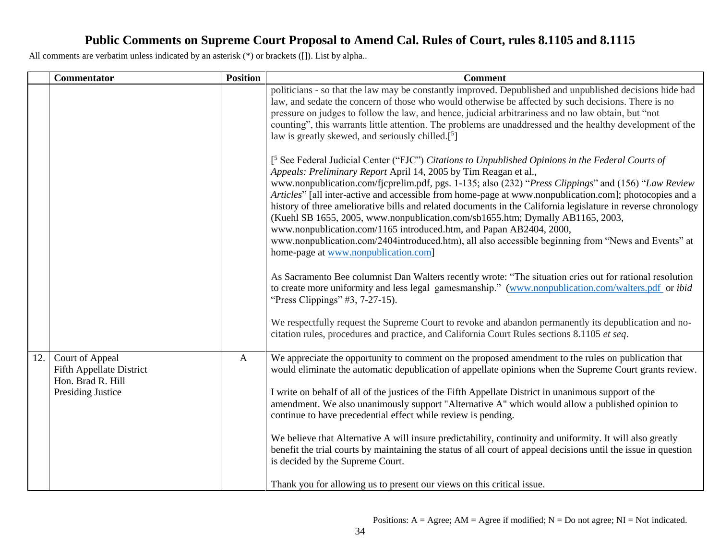|     | <b>Commentator</b>                                                                                  | <b>Position</b> | <b>Comment</b>                                                                                                                                                                                                                                                                                                                                                                                                                                                                                                                                                                                                                                                                                                                                                                                                                                                                                                                                                                                                                                                                                                                                                                                                                                                                              |
|-----|-----------------------------------------------------------------------------------------------------|-----------------|---------------------------------------------------------------------------------------------------------------------------------------------------------------------------------------------------------------------------------------------------------------------------------------------------------------------------------------------------------------------------------------------------------------------------------------------------------------------------------------------------------------------------------------------------------------------------------------------------------------------------------------------------------------------------------------------------------------------------------------------------------------------------------------------------------------------------------------------------------------------------------------------------------------------------------------------------------------------------------------------------------------------------------------------------------------------------------------------------------------------------------------------------------------------------------------------------------------------------------------------------------------------------------------------|
|     |                                                                                                     |                 | politicians - so that the law may be constantly improved. Depublished and unpublished decisions hide bad<br>law, and sedate the concern of those who would otherwise be affected by such decisions. There is no<br>pressure on judges to follow the law, and hence, judicial arbitrariness and no law obtain, but "not<br>counting", this warrants little attention. The problems are unaddressed and the healthy development of the<br>law is greatly skewed, and seriously chilled. $[5]$                                                                                                                                                                                                                                                                                                                                                                                                                                                                                                                                                                                                                                                                                                                                                                                                 |
|     |                                                                                                     |                 | [ <sup>5</sup> See Federal Judicial Center ("FJC") Citations to Unpublished Opinions in the Federal Courts of<br>Appeals: Preliminary Report April 14, 2005 by Tim Reagan et al.,<br>www.nonpublication.com/fjcprelim.pdf, pgs. 1-135; also (232) "Press Clippings" and (156) "Law Review<br>Articles" [all inter-active and accessible from home-page at www.nonpublication.com]; photocopies and a<br>history of three ameliorative bills and related documents in the California legislature in reverse chronology<br>(Kuehl SB 1655, 2005, www.nonpublication.com/sb1655.htm; Dymally AB1165, 2003,<br>www.nonpublication.com/1165 introduced.htm, and Papan AB2404, 2000,<br>www.nonpublication.com/2404introduced.htm), all also accessible beginning from "News and Events" at<br>home-page at www.nonpublication.com]<br>As Sacramento Bee columnist Dan Walters recently wrote: "The situation cries out for rational resolution<br>to create more uniformity and less legal gamesmanship." (www.nonpublication.com/walters.pdf or ibid<br>"Press Clippings" #3, 7-27-15).<br>We respectfully request the Supreme Court to revoke and abandon permanently its depublication and no-<br>citation rules, procedures and practice, and California Court Rules sections 8.1105 et seq. |
| 12. | Court of Appeal<br><b>Fifth Appellate District</b><br>Hon. Brad R. Hill<br><b>Presiding Justice</b> | $\mathbf{A}$    | We appreciate the opportunity to comment on the proposed amendment to the rules on publication that<br>would eliminate the automatic depublication of appellate opinions when the Supreme Court grants review.<br>I write on behalf of all of the justices of the Fifth Appellate District in unanimous support of the<br>amendment. We also unanimously support "Alternative A" which would allow a published opinion to<br>continue to have precedential effect while review is pending.<br>We believe that Alternative A will insure predictability, continuity and uniformity. It will also greatly<br>benefit the trial courts by maintaining the status of all court of appeal decisions until the issue in question<br>is decided by the Supreme Court.<br>Thank you for allowing us to present our views on this critical issue.                                                                                                                                                                                                                                                                                                                                                                                                                                                    |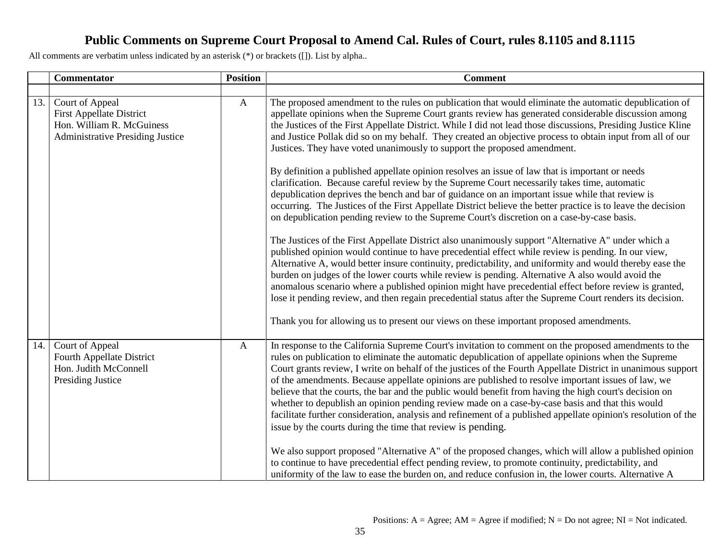|     | <b>Commentator</b>                                                                                                         | <b>Position</b> | <b>Comment</b>                                                                                                                                                                                                                                                                                                                                                                                                                                                                                                                                                                                                                                                                                                                                                                                                                    |
|-----|----------------------------------------------------------------------------------------------------------------------------|-----------------|-----------------------------------------------------------------------------------------------------------------------------------------------------------------------------------------------------------------------------------------------------------------------------------------------------------------------------------------------------------------------------------------------------------------------------------------------------------------------------------------------------------------------------------------------------------------------------------------------------------------------------------------------------------------------------------------------------------------------------------------------------------------------------------------------------------------------------------|
|     |                                                                                                                            |                 |                                                                                                                                                                                                                                                                                                                                                                                                                                                                                                                                                                                                                                                                                                                                                                                                                                   |
| 13. | Court of Appeal<br><b>First Appellate District</b><br>Hon. William R. McGuiness<br><b>Administrative Presiding Justice</b> | $\mathbf{A}$    | The proposed amendment to the rules on publication that would eliminate the automatic depublication of<br>appellate opinions when the Supreme Court grants review has generated considerable discussion among<br>the Justices of the First Appellate District. While I did not lead those discussions, Presiding Justice Kline<br>and Justice Pollak did so on my behalf. They created an objective process to obtain input from all of our<br>Justices. They have voted unanimously to support the proposed amendment.                                                                                                                                                                                                                                                                                                           |
|     |                                                                                                                            |                 | By definition a published appellate opinion resolves an issue of law that is important or needs<br>clarification. Because careful review by the Supreme Court necessarily takes time, automatic<br>depublication deprives the bench and bar of guidance on an important issue while that review is<br>occurring. The Justices of the First Appellate District believe the better practice is to leave the decision<br>on depublication pending review to the Supreme Court's discretion on a case-by-case basis.                                                                                                                                                                                                                                                                                                                  |
|     |                                                                                                                            |                 | The Justices of the First Appellate District also unanimously support "Alternative A" under which a<br>published opinion would continue to have precedential effect while review is pending. In our view,<br>Alternative A, would better insure continuity, predictability, and uniformity and would thereby ease the<br>burden on judges of the lower courts while review is pending. Alternative A also would avoid the<br>anomalous scenario where a published opinion might have precedential effect before review is granted,<br>lose it pending review, and then regain precedential status after the Supreme Court renders its decision.                                                                                                                                                                                   |
|     |                                                                                                                            |                 | Thank you for allowing us to present our views on these important proposed amendments.                                                                                                                                                                                                                                                                                                                                                                                                                                                                                                                                                                                                                                                                                                                                            |
| 14. | Court of Appeal<br>Fourth Appellate District<br>Hon. Judith McConnell<br><b>Presiding Justice</b>                          | $\mathbf{A}$    | In response to the California Supreme Court's invitation to comment on the proposed amendments to the<br>rules on publication to eliminate the automatic depublication of appellate opinions when the Supreme<br>Court grants review, I write on behalf of the justices of the Fourth Appellate District in unanimous support<br>of the amendments. Because appellate opinions are published to resolve important issues of law, we<br>believe that the courts, the bar and the public would benefit from having the high court's decision on<br>whether to depublish an opinion pending review made on a case-by-case basis and that this would<br>facilitate further consideration, analysis and refinement of a published appellate opinion's resolution of the<br>issue by the courts during the time that review is pending. |
|     |                                                                                                                            |                 | We also support proposed "Alternative A" of the proposed changes, which will allow a published opinion<br>to continue to have precedential effect pending review, to promote continuity, predictability, and<br>uniformity of the law to ease the burden on, and reduce confusion in, the lower courts. Alternative A                                                                                                                                                                                                                                                                                                                                                                                                                                                                                                             |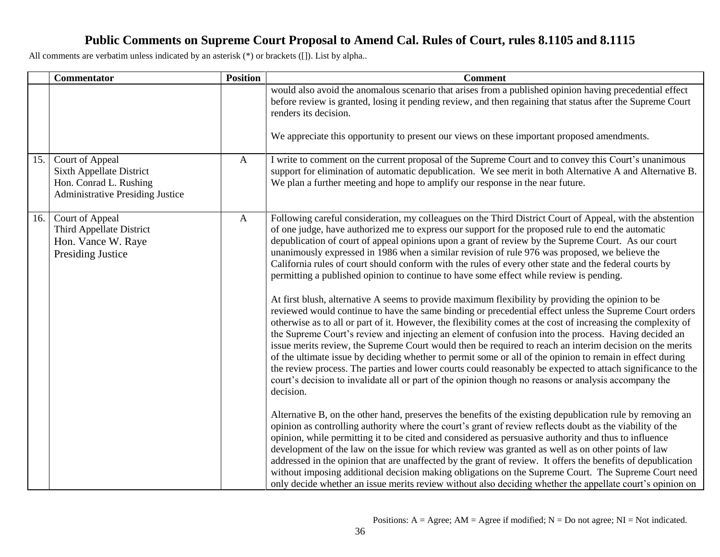|     | Commentator                                                                                                      | <b>Position</b> | <b>Comment</b>                                                                                                                                                                                                                                                                                                                                                                                                                                                                                                                                                                                                                                                                                                                                                                                                                                                                                                                                                                                                                                                                                                                                                                                                                                                                                                                                                                                                                                                                                                                       |
|-----|------------------------------------------------------------------------------------------------------------------|-----------------|--------------------------------------------------------------------------------------------------------------------------------------------------------------------------------------------------------------------------------------------------------------------------------------------------------------------------------------------------------------------------------------------------------------------------------------------------------------------------------------------------------------------------------------------------------------------------------------------------------------------------------------------------------------------------------------------------------------------------------------------------------------------------------------------------------------------------------------------------------------------------------------------------------------------------------------------------------------------------------------------------------------------------------------------------------------------------------------------------------------------------------------------------------------------------------------------------------------------------------------------------------------------------------------------------------------------------------------------------------------------------------------------------------------------------------------------------------------------------------------------------------------------------------------|
|     |                                                                                                                  |                 | would also avoid the anomalous scenario that arises from a published opinion having precedential effect<br>before review is granted, losing it pending review, and then regaining that status after the Supreme Court<br>renders its decision.                                                                                                                                                                                                                                                                                                                                                                                                                                                                                                                                                                                                                                                                                                                                                                                                                                                                                                                                                                                                                                                                                                                                                                                                                                                                                       |
|     |                                                                                                                  |                 | We appreciate this opportunity to present our views on these important proposed amendments.                                                                                                                                                                                                                                                                                                                                                                                                                                                                                                                                                                                                                                                                                                                                                                                                                                                                                                                                                                                                                                                                                                                                                                                                                                                                                                                                                                                                                                          |
| 15. | Court of Appeal<br>Sixth Appellate District<br>Hon. Conrad L. Rushing<br><b>Administrative Presiding Justice</b> | $\mathbf{A}$    | I write to comment on the current proposal of the Supreme Court and to convey this Court's unanimous<br>support for elimination of automatic depublication. We see merit in both Alternative A and Alternative B.<br>We plan a further meeting and hope to amplify our response in the near future.                                                                                                                                                                                                                                                                                                                                                                                                                                                                                                                                                                                                                                                                                                                                                                                                                                                                                                                                                                                                                                                                                                                                                                                                                                  |
| 16. | Court of Appeal<br>Third Appellate District<br>Hon. Vance W. Raye<br><b>Presiding Justice</b>                    | $\mathbf{A}$    | Following careful consideration, my colleagues on the Third District Court of Appeal, with the abstention<br>of one judge, have authorized me to express our support for the proposed rule to end the automatic<br>depublication of court of appeal opinions upon a grant of review by the Supreme Court. As our court<br>unanimously expressed in 1986 when a similar revision of rule 976 was proposed, we believe the<br>California rules of court should conform with the rules of every other state and the federal courts by<br>permitting a published opinion to continue to have some effect while review is pending.<br>At first blush, alternative A seems to provide maximum flexibility by providing the opinion to be<br>reviewed would continue to have the same binding or precedential effect unless the Supreme Court orders<br>otherwise as to all or part of it. However, the flexibility comes at the cost of increasing the complexity of<br>the Supreme Court's review and injecting an element of confusion into the process. Having decided an<br>issue merits review, the Supreme Court would then be required to reach an interim decision on the merits<br>of the ultimate issue by deciding whether to permit some or all of the opinion to remain in effect during<br>the review process. The parties and lower courts could reasonably be expected to attach significance to the<br>court's decision to invalidate all or part of the opinion though no reasons or analysis accompany the<br>decision. |
|     |                                                                                                                  |                 | Alternative B, on the other hand, preserves the benefits of the existing depublication rule by removing an<br>opinion as controlling authority where the court's grant of review reflects doubt as the viability of the<br>opinion, while permitting it to be cited and considered as persuasive authority and thus to influence<br>development of the law on the issue for which review was granted as well as on other points of law<br>addressed in the opinion that are unaffected by the grant of review. It offers the benefits of depublication<br>without imposing additional decision making obligations on the Supreme Court. The Supreme Court need<br>only decide whether an issue merits review without also deciding whether the appellate court's opinion on                                                                                                                                                                                                                                                                                                                                                                                                                                                                                                                                                                                                                                                                                                                                                          |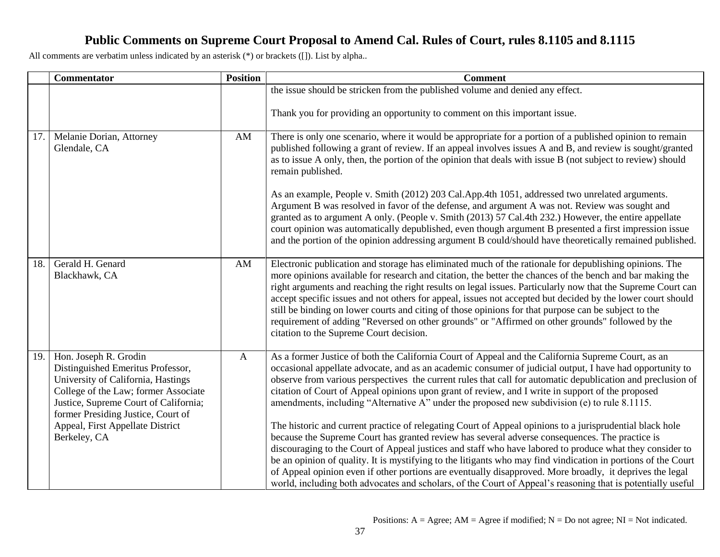|     | <b>Commentator</b>                                                                                                                                                                                                                                                          | <b>Position</b> | <b>Comment</b>                                                                                                                                                                                                                                                                                                                                                                                                                                                                                                                                                                                                                                                                                                                                                                                                                                                                                                                                                                                                                                                                                                                                                                                           |
|-----|-----------------------------------------------------------------------------------------------------------------------------------------------------------------------------------------------------------------------------------------------------------------------------|-----------------|----------------------------------------------------------------------------------------------------------------------------------------------------------------------------------------------------------------------------------------------------------------------------------------------------------------------------------------------------------------------------------------------------------------------------------------------------------------------------------------------------------------------------------------------------------------------------------------------------------------------------------------------------------------------------------------------------------------------------------------------------------------------------------------------------------------------------------------------------------------------------------------------------------------------------------------------------------------------------------------------------------------------------------------------------------------------------------------------------------------------------------------------------------------------------------------------------------|
|     |                                                                                                                                                                                                                                                                             |                 | the issue should be stricken from the published volume and denied any effect.                                                                                                                                                                                                                                                                                                                                                                                                                                                                                                                                                                                                                                                                                                                                                                                                                                                                                                                                                                                                                                                                                                                            |
|     |                                                                                                                                                                                                                                                                             |                 | Thank you for providing an opportunity to comment on this important issue.                                                                                                                                                                                                                                                                                                                                                                                                                                                                                                                                                                                                                                                                                                                                                                                                                                                                                                                                                                                                                                                                                                                               |
| 17. | Melanie Dorian, Attorney<br>Glendale, CA                                                                                                                                                                                                                                    | AM              | There is only one scenario, where it would be appropriate for a portion of a published opinion to remain<br>published following a grant of review. If an appeal involves issues A and B, and review is sought/granted<br>as to issue A only, then, the portion of the opinion that deals with issue B (not subject to review) should<br>remain published.                                                                                                                                                                                                                                                                                                                                                                                                                                                                                                                                                                                                                                                                                                                                                                                                                                                |
|     |                                                                                                                                                                                                                                                                             |                 | As an example, People v. Smith (2012) 203 Cal.App.4th 1051, addressed two unrelated arguments.<br>Argument B was resolved in favor of the defense, and argument A was not. Review was sought and<br>granted as to argument A only. (People v. Smith (2013) 57 Cal.4th 232.) However, the entire appellate<br>court opinion was automatically depublished, even though argument B presented a first impression issue<br>and the portion of the opinion addressing argument B could/should have theoretically remained published.                                                                                                                                                                                                                                                                                                                                                                                                                                                                                                                                                                                                                                                                          |
| 18. | Gerald H. Genard<br>Blackhawk, CA                                                                                                                                                                                                                                           | AM              | Electronic publication and storage has eliminated much of the rationale for depublishing opinions. The<br>more opinions available for research and citation, the better the chances of the bench and bar making the<br>right arguments and reaching the right results on legal issues. Particularly now that the Supreme Court can<br>accept specific issues and not others for appeal, issues not accepted but decided by the lower court should<br>still be binding on lower courts and citing of those opinions for that purpose can be subject to the<br>requirement of adding "Reversed on other grounds" or "Affirmed on other grounds" followed by the<br>citation to the Supreme Court decision.                                                                                                                                                                                                                                                                                                                                                                                                                                                                                                 |
| 19. | Hon. Joseph R. Grodin<br>Distinguished Emeritus Professor,<br>University of California, Hastings<br>College of the Law; former Associate<br>Justice, Supreme Court of California;<br>former Presiding Justice, Court of<br>Appeal, First Appellate District<br>Berkeley, CA | $\mathbf{A}$    | As a former Justice of both the California Court of Appeal and the California Supreme Court, as an<br>occasional appellate advocate, and as an academic consumer of judicial output, I have had opportunity to<br>observe from various perspectives the current rules that call for automatic depublication and preclusion of<br>citation of Court of Appeal opinions upon grant of review, and I write in support of the proposed<br>amendments, including "Alternative A" under the proposed new subdivision (e) to rule 8.1115.<br>The historic and current practice of relegating Court of Appeal opinions to a jurisprudential black hole<br>because the Supreme Court has granted review has several adverse consequences. The practice is<br>discouraging to the Court of Appeal justices and staff who have labored to produce what they consider to<br>be an opinion of quality. It is mystifying to the litigants who may find vindication in portions of the Court<br>of Appeal opinion even if other portions are eventually disapproved. More broadly, it deprives the legal<br>world, including both advocates and scholars, of the Court of Appeal's reasoning that is potentially useful |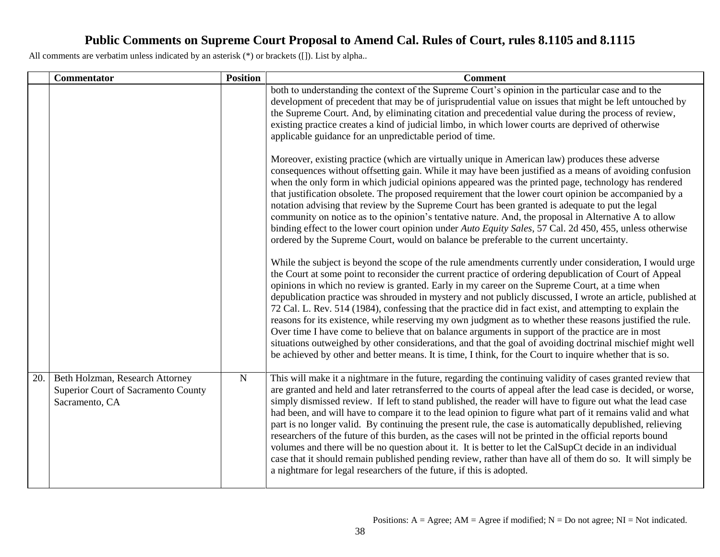|     | <b>Commentator</b>                                                                       | <b>Position</b> | <b>Comment</b>                                                                                                                                                                                                                                                                                                                                                                                                                                                                                                                                                                                                                                                                                                                                                                                                                                                                                                                                                                                  |
|-----|------------------------------------------------------------------------------------------|-----------------|-------------------------------------------------------------------------------------------------------------------------------------------------------------------------------------------------------------------------------------------------------------------------------------------------------------------------------------------------------------------------------------------------------------------------------------------------------------------------------------------------------------------------------------------------------------------------------------------------------------------------------------------------------------------------------------------------------------------------------------------------------------------------------------------------------------------------------------------------------------------------------------------------------------------------------------------------------------------------------------------------|
|     |                                                                                          |                 | both to understanding the context of the Supreme Court's opinion in the particular case and to the<br>development of precedent that may be of jurisprudential value on issues that might be left untouched by<br>the Supreme Court. And, by eliminating citation and precedential value during the process of review,<br>existing practice creates a kind of judicial limbo, in which lower courts are deprived of otherwise<br>applicable guidance for an unpredictable period of time.                                                                                                                                                                                                                                                                                                                                                                                                                                                                                                        |
|     |                                                                                          |                 | Moreover, existing practice (which are virtually unique in American law) produces these adverse<br>consequences without offsetting gain. While it may have been justified as a means of avoiding confusion<br>when the only form in which judicial opinions appeared was the printed page, technology has rendered<br>that justification obsolete. The proposed requirement that the lower court opinion be accompanied by a<br>notation advising that review by the Supreme Court has been granted is adequate to put the legal<br>community on notice as to the opinion's tentative nature. And, the proposal in Alternative A to allow<br>binding effect to the lower court opinion under Auto Equity Sales, 57 Cal. 2d 450, 455, unless otherwise<br>ordered by the Supreme Court, would on balance be preferable to the current uncertainty.                                                                                                                                               |
|     |                                                                                          |                 | While the subject is beyond the scope of the rule amendments currently under consideration, I would urge<br>the Court at some point to reconsider the current practice of ordering depublication of Court of Appeal<br>opinions in which no review is granted. Early in my career on the Supreme Court, at a time when<br>depublication practice was shrouded in mystery and not publicly discussed, I wrote an article, published at<br>72 Cal. L. Rev. 514 (1984), confessing that the practice did in fact exist, and attempting to explain the<br>reasons for its existence, while reserving my own judgment as to whether these reasons justified the rule.<br>Over time I have come to believe that on balance arguments in support of the practice are in most<br>situations outweighed by other considerations, and that the goal of avoiding doctrinal mischief might well<br>be achieved by other and better means. It is time, I think, for the Court to inquire whether that is so. |
| 20. | Beth Holzman, Research Attorney<br>Superior Court of Sacramento County<br>Sacramento, CA | ${\bf N}$       | This will make it a nightmare in the future, regarding the continuing validity of cases granted review that<br>are granted and held and later retransferred to the courts of appeal after the lead case is decided, or worse,<br>simply dismissed review. If left to stand published, the reader will have to figure out what the lead case<br>had been, and will have to compare it to the lead opinion to figure what part of it remains valid and what<br>part is no longer valid. By continuing the present rule, the case is automatically depublished, relieving<br>researchers of the future of this burden, as the cases will not be printed in the official reports bound<br>volumes and there will be no question about it. It is better to let the CalSupCt decide in an individual<br>case that it should remain published pending review, rather than have all of them do so. It will simply be<br>a nightmare for legal researchers of the future, if this is adopted.            |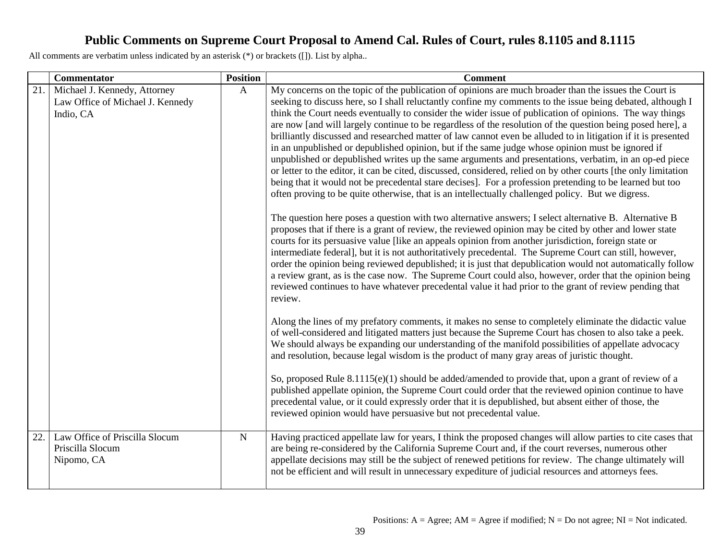|     | <b>Commentator</b>                                                            | <b>Position</b> | <b>Comment</b>                                                                                                                                                                                                                                                                                                                                                                                                                                                                                                                                                                                                                                                                                                                                                                                                                                                                                                                                                                                                                                                                                                                                                                                                                                                                                                                                                                                                                                                                                                                                                                                                                                                                                                                                                                                                                                                                                        |
|-----|-------------------------------------------------------------------------------|-----------------|-------------------------------------------------------------------------------------------------------------------------------------------------------------------------------------------------------------------------------------------------------------------------------------------------------------------------------------------------------------------------------------------------------------------------------------------------------------------------------------------------------------------------------------------------------------------------------------------------------------------------------------------------------------------------------------------------------------------------------------------------------------------------------------------------------------------------------------------------------------------------------------------------------------------------------------------------------------------------------------------------------------------------------------------------------------------------------------------------------------------------------------------------------------------------------------------------------------------------------------------------------------------------------------------------------------------------------------------------------------------------------------------------------------------------------------------------------------------------------------------------------------------------------------------------------------------------------------------------------------------------------------------------------------------------------------------------------------------------------------------------------------------------------------------------------------------------------------------------------------------------------------------------------|
| 21. | Michael J. Kennedy, Attorney<br>Law Office of Michael J. Kennedy<br>Indio, CA | $\mathbf{A}$    | My concerns on the topic of the publication of opinions are much broader than the issues the Court is<br>seeking to discuss here, so I shall reluctantly confine my comments to the issue being debated, although I<br>think the Court needs eventually to consider the wider issue of publication of opinions. The way things<br>are now [and will largely continue to be regardless of the resolution of the question being posed here], a<br>brilliantly discussed and researched matter of law cannot even be alluded to in litigation if it is presented<br>in an unpublished or depublished opinion, but if the same judge whose opinion must be ignored if<br>unpublished or depublished writes up the same arguments and presentations, verbatim, in an op-ed piece<br>or letter to the editor, it can be cited, discussed, considered, relied on by other courts [the only limitation<br>being that it would not be precedental stare decises]. For a profession pretending to be learned but too<br>often proving to be quite otherwise, that is an intellectually challenged policy. But we digress.<br>The question here poses a question with two alternative answers; I select alternative B. Alternative B<br>proposes that if there is a grant of review, the reviewed opinion may be cited by other and lower state<br>courts for its persuasive value [like an appeals opinion from another jurisdiction, foreign state or<br>intermediate federal], but it is not authoritatively precedental. The Supreme Court can still, however,<br>order the opinion being reviewed depublished; it is just that depublication would not automatically follow<br>a review grant, as is the case now. The Supreme Court could also, however, order that the opinion being<br>reviewed continues to have whatever precedental value it had prior to the grant of review pending that<br>review. |
|     |                                                                               |                 | Along the lines of my prefatory comments, it makes no sense to completely eliminate the didactic value<br>of well-considered and litigated matters just because the Supreme Court has chosen to also take a peek.<br>We should always be expanding our understanding of the manifold possibilities of appellate advocacy<br>and resolution, because legal wisdom is the product of many gray areas of juristic thought.<br>So, proposed Rule 8.1115(e)(1) should be added/amended to provide that, upon a grant of review of a<br>published appellate opinion, the Supreme Court could order that the reviewed opinion continue to have<br>precedental value, or it could expressly order that it is depublished, but absent either of those, the<br>reviewed opinion would have persuasive but not precedental value.                                                                                                                                                                                                                                                                                                                                                                                                                                                                                                                                                                                                                                                                                                                                                                                                                                                                                                                                                                                                                                                                                |
| 22. | Law Office of Priscilla Slocum<br>Priscilla Slocum<br>Nipomo, CA              | ${\bf N}$       | Having practiced appellate law for years, I think the proposed changes will allow parties to cite cases that<br>are being re-considered by the California Supreme Court and, if the court reverses, numerous other<br>appellate decisions may still be the subject of renewed petitions for review. The change ultimately will<br>not be efficient and will result in unnecessary expediture of judicial resources and attorneys fees.                                                                                                                                                                                                                                                                                                                                                                                                                                                                                                                                                                                                                                                                                                                                                                                                                                                                                                                                                                                                                                                                                                                                                                                                                                                                                                                                                                                                                                                                |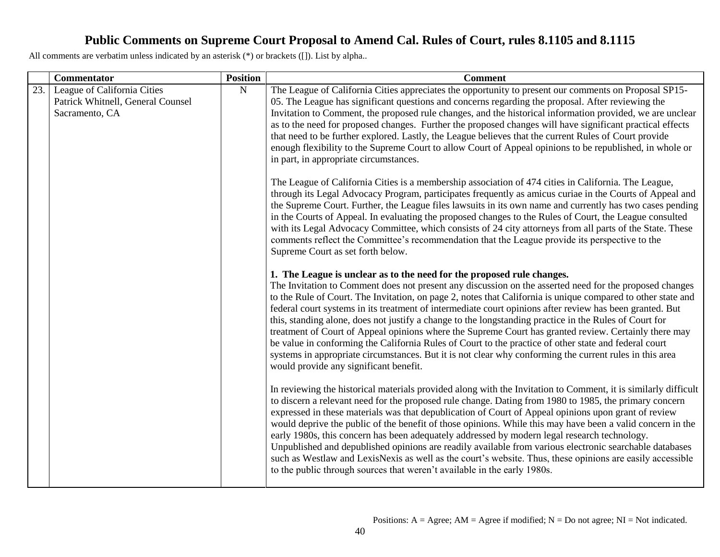|     | Commentator                                                                        | <b>Position</b> | <b>Comment</b>                                                                                                                                                                                                                                                                                                                                                                                                                                                                                                                                                                                                                                                                                                                                                                                                                                                                                 |
|-----|------------------------------------------------------------------------------------|-----------------|------------------------------------------------------------------------------------------------------------------------------------------------------------------------------------------------------------------------------------------------------------------------------------------------------------------------------------------------------------------------------------------------------------------------------------------------------------------------------------------------------------------------------------------------------------------------------------------------------------------------------------------------------------------------------------------------------------------------------------------------------------------------------------------------------------------------------------------------------------------------------------------------|
| 23. | League of California Cities<br>Patrick Whitnell, General Counsel<br>Sacramento, CA | ${\bf N}$       | The League of California Cities appreciates the opportunity to present our comments on Proposal SP15-<br>05. The League has significant questions and concerns regarding the proposal. After reviewing the<br>Invitation to Comment, the proposed rule changes, and the historical information provided, we are unclear<br>as to the need for proposed changes. Further the proposed changes will have significant practical effects<br>that need to be further explored. Lastly, the League believes that the current Rules of Court provide<br>enough flexibility to the Supreme Court to allow Court of Appeal opinions to be republished, in whole or<br>in part, in appropriate circumstances.                                                                                                                                                                                            |
|     |                                                                                    |                 | The League of California Cities is a membership association of 474 cities in California. The League,<br>through its Legal Advocacy Program, participates frequently as amicus curiae in the Courts of Appeal and<br>the Supreme Court. Further, the League files lawsuits in its own name and currently has two cases pending<br>in the Courts of Appeal. In evaluating the proposed changes to the Rules of Court, the League consulted<br>with its Legal Advocacy Committee, which consists of 24 city attorneys from all parts of the State. These<br>comments reflect the Committee's recommendation that the League provide its perspective to the<br>Supreme Court as set forth below.                                                                                                                                                                                                   |
|     |                                                                                    |                 | 1. The League is unclear as to the need for the proposed rule changes.<br>The Invitation to Comment does not present any discussion on the asserted need for the proposed changes<br>to the Rule of Court. The Invitation, on page 2, notes that California is unique compared to other state and<br>federal court systems in its treatment of intermediate court opinions after review has been granted. But<br>this, standing alone, does not justify a change to the longstanding practice in the Rules of Court for<br>treatment of Court of Appeal opinions where the Supreme Court has granted review. Certainly there may<br>be value in conforming the California Rules of Court to the practice of other state and federal court<br>systems in appropriate circumstances. But it is not clear why conforming the current rules in this area<br>would provide any significant benefit. |
|     |                                                                                    |                 | In reviewing the historical materials provided along with the Invitation to Comment, it is similarly difficult<br>to discern a relevant need for the proposed rule change. Dating from 1980 to 1985, the primary concern<br>expressed in these materials was that depublication of Court of Appeal opinions upon grant of review<br>would deprive the public of the benefit of those opinions. While this may have been a valid concern in the<br>early 1980s, this concern has been adequately addressed by modern legal research technology.<br>Unpublished and depublished opinions are readily available from various electronic searchable databases<br>such as Westlaw and LexisNexis as well as the court's website. Thus, these opinions are easily accessible<br>to the public through sources that weren't available in the early 1980s.                                             |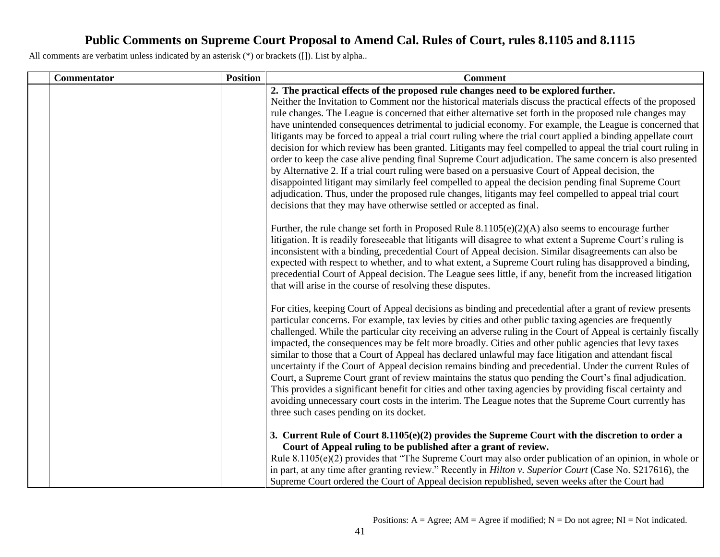| Commentator | <b>Position</b> | <b>Comment</b>                                                                                                                                                                                                                                                                                                                                                                                                                                                                                                                                                                                                                                                                                                                                                                                                                                                                                                                                                                                                                                                                                                                                                             |
|-------------|-----------------|----------------------------------------------------------------------------------------------------------------------------------------------------------------------------------------------------------------------------------------------------------------------------------------------------------------------------------------------------------------------------------------------------------------------------------------------------------------------------------------------------------------------------------------------------------------------------------------------------------------------------------------------------------------------------------------------------------------------------------------------------------------------------------------------------------------------------------------------------------------------------------------------------------------------------------------------------------------------------------------------------------------------------------------------------------------------------------------------------------------------------------------------------------------------------|
|             |                 | 2. The practical effects of the proposed rule changes need to be explored further.<br>Neither the Invitation to Comment nor the historical materials discuss the practical effects of the proposed<br>rule changes. The League is concerned that either alternative set forth in the proposed rule changes may<br>have unintended consequences detrimental to judicial economy. For example, the League is concerned that<br>litigants may be forced to appeal a trial court ruling where the trial court applied a binding appellate court<br>decision for which review has been granted. Litigants may feel compelled to appeal the trial court ruling in<br>order to keep the case alive pending final Supreme Court adjudication. The same concern is also presented<br>by Alternative 2. If a trial court ruling were based on a persuasive Court of Appeal decision, the<br>disappointed litigant may similarly feel compelled to appeal the decision pending final Supreme Court<br>adjudication. Thus, under the proposed rule changes, litigants may feel compelled to appeal trial court<br>decisions that they may have otherwise settled or accepted as final. |
|             |                 | Further, the rule change set forth in Proposed Rule $8.1105(e)(2)(A)$ also seems to encourage further<br>litigation. It is readily foreseeable that litigants will disagree to what extent a Supreme Court's ruling is<br>inconsistent with a binding, precedential Court of Appeal decision. Similar disagreements can also be<br>expected with respect to whether, and to what extent, a Supreme Court ruling has disapproved a binding,<br>precedential Court of Appeal decision. The League sees little, if any, benefit from the increased litigation<br>that will arise in the course of resolving these disputes.                                                                                                                                                                                                                                                                                                                                                                                                                                                                                                                                                   |
|             |                 | For cities, keeping Court of Appeal decisions as binding and precedential after a grant of review presents<br>particular concerns. For example, tax levies by cities and other public taxing agencies are frequently<br>challenged. While the particular city receiving an adverse ruling in the Court of Appeal is certainly fiscally<br>impacted, the consequences may be felt more broadly. Cities and other public agencies that levy taxes<br>similar to those that a Court of Appeal has declared unlawful may face litigation and attendant fiscal<br>uncertainty if the Court of Appeal decision remains binding and precedential. Under the current Rules of<br>Court, a Supreme Court grant of review maintains the status quo pending the Court's final adjudication.<br>This provides a significant benefit for cities and other taxing agencies by providing fiscal certainty and<br>avoiding unnecessary court costs in the interim. The League notes that the Supreme Court currently has<br>three such cases pending on its docket.                                                                                                                        |
|             |                 | 3. Current Rule of Court $8.1105(e)(2)$ provides the Supreme Court with the discretion to order a<br>Court of Appeal ruling to be published after a grant of review.<br>Rule $8.1105(e)(2)$ provides that "The Supreme Court may also order publication of an opinion, in whole or<br>in part, at any time after granting review." Recently in <i>Hilton v. Superior Court</i> (Case No. S217616), the<br>Supreme Court ordered the Court of Appeal decision republished, seven weeks after the Court had                                                                                                                                                                                                                                                                                                                                                                                                                                                                                                                                                                                                                                                                  |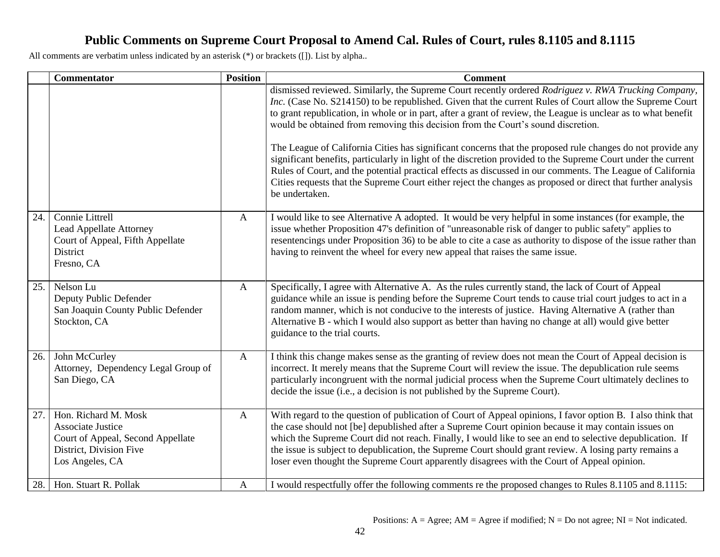|     | <b>Commentator</b>                                                                                                           | <b>Position</b> | <b>Comment</b>                                                                                                                                                                                                                                                                                                                                                                                                                                                                                                                           |
|-----|------------------------------------------------------------------------------------------------------------------------------|-----------------|------------------------------------------------------------------------------------------------------------------------------------------------------------------------------------------------------------------------------------------------------------------------------------------------------------------------------------------------------------------------------------------------------------------------------------------------------------------------------------------------------------------------------------------|
|     |                                                                                                                              |                 | dismissed reviewed. Similarly, the Supreme Court recently ordered Rodriguez v. RWA Trucking Company,<br>Inc. (Case No. S214150) to be republished. Given that the current Rules of Court allow the Supreme Court<br>to grant republication, in whole or in part, after a grant of review, the League is unclear as to what benefit<br>would be obtained from removing this decision from the Court's sound discretion.                                                                                                                   |
|     |                                                                                                                              |                 | The League of California Cities has significant concerns that the proposed rule changes do not provide any<br>significant benefits, particularly in light of the discretion provided to the Supreme Court under the current<br>Rules of Court, and the potential practical effects as discussed in our comments. The League of California<br>Cities requests that the Supreme Court either reject the changes as proposed or direct that further analysis<br>be undertaken.                                                              |
| 24. | Connie Littrell<br><b>Lead Appellate Attorney</b><br>Court of Appeal, Fifth Appellate<br>District<br>Fresno, CA              | $\mathbf{A}$    | I would like to see Alternative A adopted. It would be very helpful in some instances (for example, the<br>issue whether Proposition 47's definition of "unreasonable risk of danger to public safety" applies to<br>resentencings under Proposition 36) to be able to cite a case as authority to dispose of the issue rather than<br>having to reinvent the wheel for every new appeal that raises the same issue.                                                                                                                     |
| 25. | Nelson Lu<br>Deputy Public Defender<br>San Joaquin County Public Defender<br>Stockton, CA                                    | $\mathbf{A}$    | Specifically, I agree with Alternative A. As the rules currently stand, the lack of Court of Appeal<br>guidance while an issue is pending before the Supreme Court tends to cause trial court judges to act in a<br>random manner, which is not conducive to the interests of justice. Having Alternative A (rather than<br>Alternative B - which I would also support as better than having no change at all) would give better<br>guidance to the trial courts.                                                                        |
| 26. | John McCurley<br>Attorney, Dependency Legal Group of<br>San Diego, CA                                                        | $\mathbf{A}$    | I think this change makes sense as the granting of review does not mean the Court of Appeal decision is<br>incorrect. It merely means that the Supreme Court will review the issue. The depublication rule seems<br>particularly incongruent with the normal judicial process when the Supreme Court ultimately declines to<br>decide the issue (i.e., a decision is not published by the Supreme Court).                                                                                                                                |
| 27. | Hon. Richard M. Mosk<br>Associate Justice<br>Court of Appeal, Second Appellate<br>District, Division Five<br>Los Angeles, CA | $\mathbf{A}$    | With regard to the question of publication of Court of Appeal opinions, I favor option B. I also think that<br>the case should not [be] depublished after a Supreme Court opinion because it may contain issues on<br>which the Supreme Court did not reach. Finally, I would like to see an end to selective depublication. If<br>the issue is subject to depublication, the Supreme Court should grant review. A losing party remains a<br>loser even thought the Supreme Court apparently disagrees with the Court of Appeal opinion. |
| 28. | Hon. Stuart R. Pollak                                                                                                        | $\mathbf{A}$    | I would respectfully offer the following comments re the proposed changes to Rules 8.1105 and 8.1115:                                                                                                                                                                                                                                                                                                                                                                                                                                    |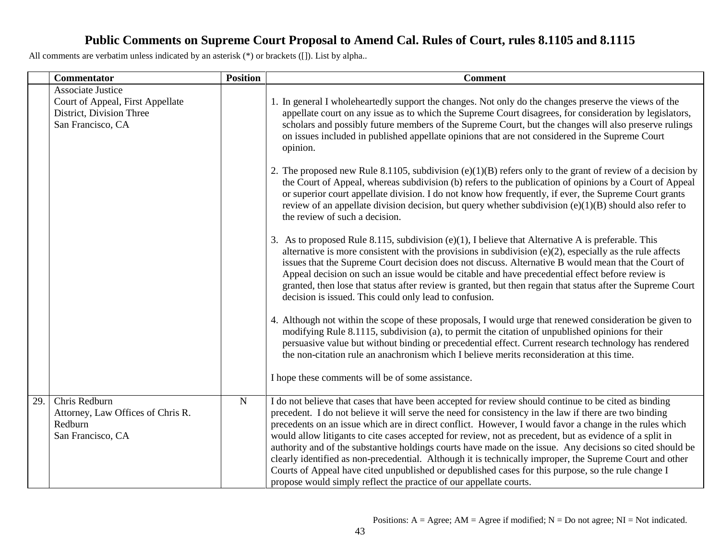|     | Commentator                                                                                                   | <b>Position</b> | <b>Comment</b>                                                                                                                                                                                                                                                                                                                                                                                                                                                                                                                                                                                                                                                                                                                                                                                                                               |
|-----|---------------------------------------------------------------------------------------------------------------|-----------------|----------------------------------------------------------------------------------------------------------------------------------------------------------------------------------------------------------------------------------------------------------------------------------------------------------------------------------------------------------------------------------------------------------------------------------------------------------------------------------------------------------------------------------------------------------------------------------------------------------------------------------------------------------------------------------------------------------------------------------------------------------------------------------------------------------------------------------------------|
|     | <b>Associate Justice</b><br>Court of Appeal, First Appellate<br>District, Division Three<br>San Francisco, CA |                 | 1. In general I wholeheartedly support the changes. Not only do the changes preserve the views of the<br>appellate court on any issue as to which the Supreme Court disagrees, for consideration by legislators,<br>scholars and possibly future members of the Supreme Court, but the changes will also preserve rulings<br>on issues included in published appellate opinions that are not considered in the Supreme Court<br>opinion.                                                                                                                                                                                                                                                                                                                                                                                                     |
|     |                                                                                                               |                 | 2. The proposed new Rule 8.1105, subdivision (e)(1)(B) refers only to the grant of review of a decision by<br>the Court of Appeal, whereas subdivision (b) refers to the publication of opinions by a Court of Appeal<br>or superior court appellate division. I do not know how frequently, if ever, the Supreme Court grants<br>review of an appellate division decision, but query whether subdivision $(e)(1)(B)$ should also refer to<br>the review of such a decision.                                                                                                                                                                                                                                                                                                                                                                 |
|     |                                                                                                               |                 | 3. As to proposed Rule 8.115, subdivision $(e)(1)$ , I believe that Alternative A is preferable. This<br>alternative is more consistent with the provisions in subdivision $(e)(2)$ , especially as the rule affects<br>issues that the Supreme Court decision does not discuss. Alternative B would mean that the Court of<br>Appeal decision on such an issue would be citable and have precedential effect before review is<br>granted, then lose that status after review is granted, but then regain that status after the Supreme Court<br>decision is issued. This could only lead to confusion.                                                                                                                                                                                                                                      |
|     |                                                                                                               |                 | 4. Although not within the scope of these proposals, I would urge that renewed consideration be given to<br>modifying Rule 8.1115, subdivision (a), to permit the citation of unpublished opinions for their<br>persuasive value but without binding or precedential effect. Current research technology has rendered<br>the non-citation rule an anachronism which I believe merits reconsideration at this time.<br>I hope these comments will be of some assistance.                                                                                                                                                                                                                                                                                                                                                                      |
| 29. | Chris Redburn<br>Attorney, Law Offices of Chris R.<br>Redburn<br>San Francisco, CA                            | ${\bf N}$       | I do not believe that cases that have been accepted for review should continue to be cited as binding<br>precedent. I do not believe it will serve the need for consistency in the law if there are two binding<br>precedents on an issue which are in direct conflict. However, I would favor a change in the rules which<br>would allow litigants to cite cases accepted for review, not as precedent, but as evidence of a split in<br>authority and of the substantive holdings courts have made on the issue. Any decisions so cited should be<br>clearly identified as non-precedential. Although it is technically improper, the Supreme Court and other<br>Courts of Appeal have cited unpublished or depublished cases for this purpose, so the rule change I<br>propose would simply reflect the practice of our appellate courts. |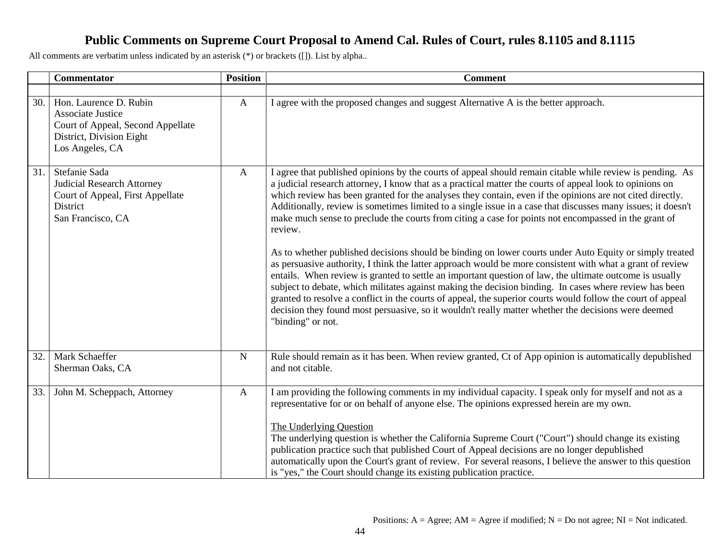|     | <b>Commentator</b>                                                                                                      | <b>Position</b> | <b>Comment</b>                                                                                                                                                                                                                                                                                                                                                                                                                                                                                                                                                                                                                                                                       |
|-----|-------------------------------------------------------------------------------------------------------------------------|-----------------|--------------------------------------------------------------------------------------------------------------------------------------------------------------------------------------------------------------------------------------------------------------------------------------------------------------------------------------------------------------------------------------------------------------------------------------------------------------------------------------------------------------------------------------------------------------------------------------------------------------------------------------------------------------------------------------|
| 30. | Hon. Laurence D. Rubin<br><b>Associate Justice</b><br>Court of Appeal, Second Appellate                                 | $\mathbf{A}$    | I agree with the proposed changes and suggest Alternative A is the better approach.                                                                                                                                                                                                                                                                                                                                                                                                                                                                                                                                                                                                  |
|     | District, Division Eight<br>Los Angeles, CA                                                                             |                 |                                                                                                                                                                                                                                                                                                                                                                                                                                                                                                                                                                                                                                                                                      |
| 31. | Stefanie Sada<br><b>Judicial Research Attorney</b><br>Court of Appeal, First Appellate<br>District<br>San Francisco, CA | $\mathbf{A}$    | I agree that published opinions by the courts of appeal should remain citable while review is pending. As<br>a judicial research attorney, I know that as a practical matter the courts of appeal look to opinions on<br>which review has been granted for the analyses they contain, even if the opinions are not cited directly.<br>Additionally, review is sometimes limited to a single issue in a case that discusses many issues; it doesn't<br>make much sense to preclude the courts from citing a case for points not encompassed in the grant of<br>review.                                                                                                                |
|     |                                                                                                                         |                 | As to whether published decisions should be binding on lower courts under Auto Equity or simply treated<br>as persuasive authority, I think the latter approach would be more consistent with what a grant of review<br>entails. When review is granted to settle an important question of law, the ultimate outcome is usually<br>subject to debate, which militates against making the decision binding. In cases where review has been<br>granted to resolve a conflict in the courts of appeal, the superior courts would follow the court of appeal<br>decision they found most persuasive, so it wouldn't really matter whether the decisions were deemed<br>"binding" or not. |
| 32. | Mark Schaeffer<br>Sherman Oaks, CA                                                                                      | ${\bf N}$       | Rule should remain as it has been. When review granted, Ct of App opinion is automatically depublished<br>and not citable.                                                                                                                                                                                                                                                                                                                                                                                                                                                                                                                                                           |
| 33. | John M. Scheppach, Attorney                                                                                             | $\mathbf{A}$    | I am providing the following comments in my individual capacity. I speak only for myself and not as a<br>representative for or on behalf of anyone else. The opinions expressed herein are my own.<br>The Underlying Question<br>The underlying question is whether the California Supreme Court ("Court") should change its existing<br>publication practice such that published Court of Appeal decisions are no longer depublished<br>automatically upon the Court's grant of review. For several reasons, I believe the answer to this question<br>is "yes," the Court should change its existing publication practice.                                                          |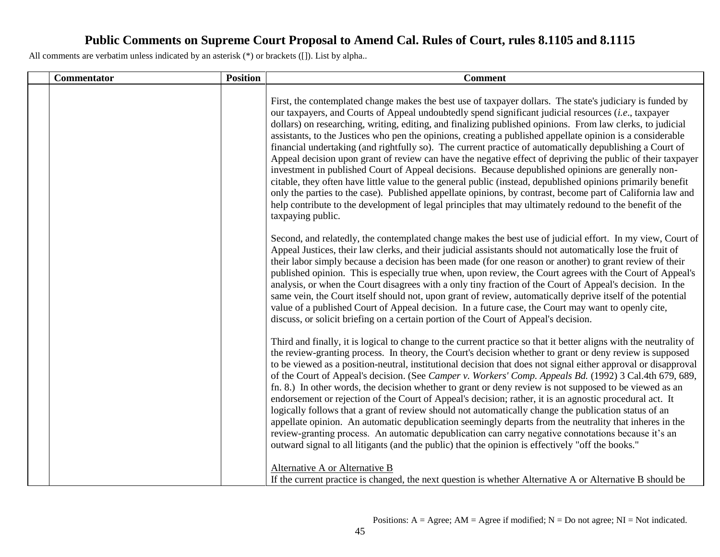| Commentator | <b>Position</b> | <b>Comment</b>                                                                                                                                                                                                                                                                                                                                                                                                                                                                                                                                                                                                                                                                                                                                                                                                                                                                                                                                                                                                                                                                                                                                         |
|-------------|-----------------|--------------------------------------------------------------------------------------------------------------------------------------------------------------------------------------------------------------------------------------------------------------------------------------------------------------------------------------------------------------------------------------------------------------------------------------------------------------------------------------------------------------------------------------------------------------------------------------------------------------------------------------------------------------------------------------------------------------------------------------------------------------------------------------------------------------------------------------------------------------------------------------------------------------------------------------------------------------------------------------------------------------------------------------------------------------------------------------------------------------------------------------------------------|
|             |                 | First, the contemplated change makes the best use of taxpayer dollars. The state's judiciary is funded by<br>our taxpayers, and Courts of Appeal undoubtedly spend significant judicial resources <i>(i.e.</i> , taxpayer<br>dollars) on researching, writing, editing, and finalizing published opinions. From law clerks, to judicial<br>assistants, to the Justices who pen the opinions, creating a published appellate opinion is a considerable<br>financial undertaking (and rightfully so). The current practice of automatically depublishing a Court of<br>Appeal decision upon grant of review can have the negative effect of depriving the public of their taxpayer<br>investment in published Court of Appeal decisions. Because depublished opinions are generally non-<br>citable, they often have little value to the general public (instead, depublished opinions primarily benefit<br>only the parties to the case). Published appellate opinions, by contrast, become part of California law and<br>help contribute to the development of legal principles that may ultimately redound to the benefit of the<br>taxpaying public. |
|             |                 | Second, and relatedly, the contemplated change makes the best use of judicial effort. In my view, Court of<br>Appeal Justices, their law clerks, and their judicial assistants should not automatically lose the fruit of<br>their labor simply because a decision has been made (for one reason or another) to grant review of their<br>published opinion. This is especially true when, upon review, the Court agrees with the Court of Appeal's<br>analysis, or when the Court disagrees with a only tiny fraction of the Court of Appeal's decision. In the<br>same vein, the Court itself should not, upon grant of review, automatically deprive itself of the potential<br>value of a published Court of Appeal decision. In a future case, the Court may want to openly cite,<br>discuss, or solicit briefing on a certain portion of the Court of Appeal's decision.                                                                                                                                                                                                                                                                          |
|             |                 | Third and finally, it is logical to change to the current practice so that it better aligns with the neutrality of<br>the review-granting process. In theory, the Court's decision whether to grant or deny review is supposed<br>to be viewed as a position-neutral, institutional decision that does not signal either approval or disapproval<br>of the Court of Appeal's decision. (See Camper v. Workers' Comp. Appeals Bd. (1992) 3 Cal.4th 679, 689,<br>fn. 8.) In other words, the decision whether to grant or deny review is not supposed to be viewed as an<br>endorsement or rejection of the Court of Appeal's decision; rather, it is an agnostic procedural act. It<br>logically follows that a grant of review should not automatically change the publication status of an<br>appellate opinion. An automatic depublication seemingly departs from the neutrality that inheres in the<br>review-granting process. An automatic depublication can carry negative connotations because it's an<br>outward signal to all litigants (and the public) that the opinion is effectively "off the books."                                     |
|             |                 | Alternative A or Alternative B<br>If the current practice is changed, the next question is whether Alternative A or Alternative B should be                                                                                                                                                                                                                                                                                                                                                                                                                                                                                                                                                                                                                                                                                                                                                                                                                                                                                                                                                                                                            |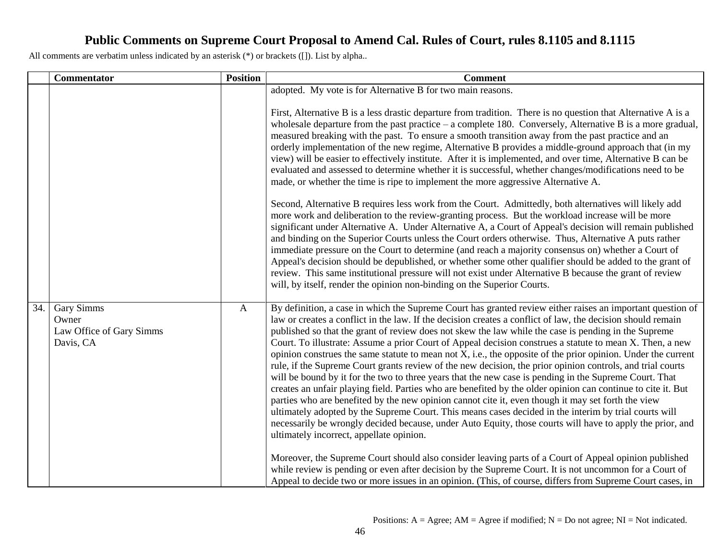|     | <b>Commentator</b>                                           | <b>Position</b> | <b>Comment</b>                                                                                                                                                                                                                                                                                                                                                                                                                                                                                                                                                                                                                                                                                                                                                                                                                                                                                                                                                                                                                                                                                                                                                                                                                                                                                                                                                                                                                                                                                                                                                                                                                                                       |
|-----|--------------------------------------------------------------|-----------------|----------------------------------------------------------------------------------------------------------------------------------------------------------------------------------------------------------------------------------------------------------------------------------------------------------------------------------------------------------------------------------------------------------------------------------------------------------------------------------------------------------------------------------------------------------------------------------------------------------------------------------------------------------------------------------------------------------------------------------------------------------------------------------------------------------------------------------------------------------------------------------------------------------------------------------------------------------------------------------------------------------------------------------------------------------------------------------------------------------------------------------------------------------------------------------------------------------------------------------------------------------------------------------------------------------------------------------------------------------------------------------------------------------------------------------------------------------------------------------------------------------------------------------------------------------------------------------------------------------------------------------------------------------------------|
|     |                                                              |                 | adopted. My vote is for Alternative B for two main reasons.<br>First, Alternative B is a less drastic departure from tradition. There is no question that Alternative A is a<br>wholesale departure from the past practice $-$ a complete 180. Conversely, Alternative B is a more gradual,<br>measured breaking with the past. To ensure a smooth transition away from the past practice and an<br>orderly implementation of the new regime, Alternative B provides a middle-ground approach that (in my<br>view) will be easier to effectively institute. After it is implemented, and over time, Alternative B can be<br>evaluated and assessed to determine whether it is successful, whether changes/modifications need to be<br>made, or whether the time is ripe to implement the more aggressive Alternative A.<br>Second, Alternative B requires less work from the Court. Admittedly, both alternatives will likely add<br>more work and deliberation to the review-granting process. But the workload increase will be more<br>significant under Alternative A. Under Alternative A, a Court of Appeal's decision will remain published<br>and binding on the Superior Courts unless the Court orders otherwise. Thus, Alternative A puts rather<br>immediate pressure on the Court to determine (and reach a majority consensus on) whether a Court of<br>Appeal's decision should be depublished, or whether some other qualifier should be added to the grant of<br>review. This same institutional pressure will not exist under Alternative B because the grant of review<br>will, by itself, render the opinion non-binding on the Superior Courts. |
| 34. | Gary Simms<br>Owner<br>Law Office of Gary Simms<br>Davis, CA | $\mathbf{A}$    | By definition, a case in which the Supreme Court has granted review either raises an important question of<br>law or creates a conflict in the law. If the decision creates a conflict of law, the decision should remain<br>published so that the grant of review does not skew the law while the case is pending in the Supreme<br>Court. To illustrate: Assume a prior Court of Appeal decision construes a statute to mean X. Then, a new<br>opinion construes the same statute to mean not $X$ , i.e., the opposite of the prior opinion. Under the current<br>rule, if the Supreme Court grants review of the new decision, the prior opinion controls, and trial courts<br>will be bound by it for the two to three years that the new case is pending in the Supreme Court. That<br>creates an unfair playing field. Parties who are benefited by the older opinion can continue to cite it. But<br>parties who are benefited by the new opinion cannot cite it, even though it may set forth the view<br>ultimately adopted by the Supreme Court. This means cases decided in the interim by trial courts will<br>necessarily be wrongly decided because, under Auto Equity, those courts will have to apply the prior, and<br>ultimately incorrect, appellate opinion.<br>Moreover, the Supreme Court should also consider leaving parts of a Court of Appeal opinion published<br>while review is pending or even after decision by the Supreme Court. It is not uncommon for a Court of<br>Appeal to decide two or more issues in an opinion. (This, of course, differs from Supreme Court cases, in                                                     |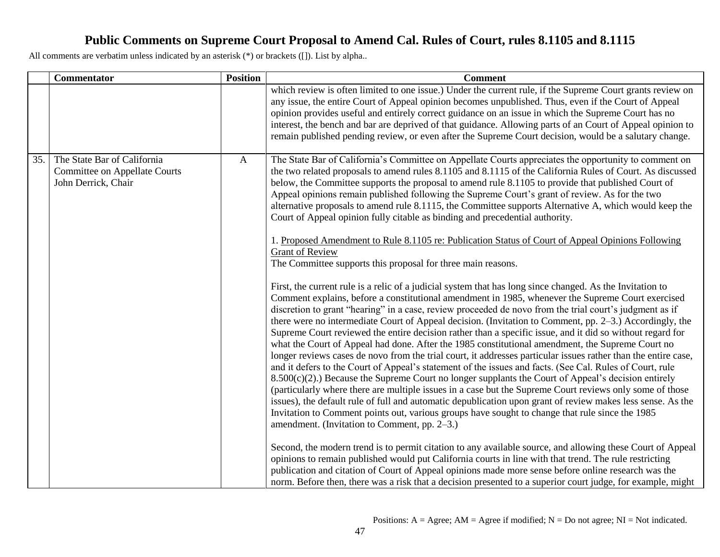|     | <b>Commentator</b>                                                                         | <b>Position</b> | <b>Comment</b>                                                                                                                                                                                                                                                                                                                                                                                                                                                                                                                                                                                                                                                                                                                                                                                                                                                                                                                                                                                                                                                                                                                                                                                                                                                                                                                                                                                                                                                                                                                                                                                                                                                                                                                                                                                                                                                                                                                                                                                                                                                                                                                                                                                     |
|-----|--------------------------------------------------------------------------------------------|-----------------|----------------------------------------------------------------------------------------------------------------------------------------------------------------------------------------------------------------------------------------------------------------------------------------------------------------------------------------------------------------------------------------------------------------------------------------------------------------------------------------------------------------------------------------------------------------------------------------------------------------------------------------------------------------------------------------------------------------------------------------------------------------------------------------------------------------------------------------------------------------------------------------------------------------------------------------------------------------------------------------------------------------------------------------------------------------------------------------------------------------------------------------------------------------------------------------------------------------------------------------------------------------------------------------------------------------------------------------------------------------------------------------------------------------------------------------------------------------------------------------------------------------------------------------------------------------------------------------------------------------------------------------------------------------------------------------------------------------------------------------------------------------------------------------------------------------------------------------------------------------------------------------------------------------------------------------------------------------------------------------------------------------------------------------------------------------------------------------------------------------------------------------------------------------------------------------------------|
|     |                                                                                            |                 | which review is often limited to one issue.) Under the current rule, if the Supreme Court grants review on<br>any issue, the entire Court of Appeal opinion becomes unpublished. Thus, even if the Court of Appeal<br>opinion provides useful and entirely correct guidance on an issue in which the Supreme Court has no<br>interest, the bench and bar are deprived of that guidance. Allowing parts of an Court of Appeal opinion to<br>remain published pending review, or even after the Supreme Court decision, would be a salutary change.                                                                                                                                                                                                                                                                                                                                                                                                                                                                                                                                                                                                                                                                                                                                                                                                                                                                                                                                                                                                                                                                                                                                                                                                                                                                                                                                                                                                                                                                                                                                                                                                                                                  |
| 35. | The State Bar of California<br><b>Committee on Appellate Courts</b><br>John Derrick, Chair | $\mathbf{A}$    | The State Bar of California's Committee on Appellate Courts appreciates the opportunity to comment on<br>the two related proposals to amend rules 8.1105 and 8.1115 of the California Rules of Court. As discussed<br>below, the Committee supports the proposal to amend rule 8.1105 to provide that published Court of<br>Appeal opinions remain published following the Supreme Court's grant of review. As for the two<br>alternative proposals to amend rule 8.1115, the Committee supports Alternative A, which would keep the<br>Court of Appeal opinion fully citable as binding and precedential authority.<br>1. Proposed Amendment to Rule 8.1105 re: Publication Status of Court of Appeal Opinions Following<br><b>Grant of Review</b><br>The Committee supports this proposal for three main reasons.<br>First, the current rule is a relic of a judicial system that has long since changed. As the Invitation to<br>Comment explains, before a constitutional amendment in 1985, whenever the Supreme Court exercised<br>discretion to grant "hearing" in a case, review proceeded de novo from the trial court's judgment as if<br>there were no intermediate Court of Appeal decision. (Invitation to Comment, pp. 2–3.) Accordingly, the<br>Supreme Court reviewed the entire decision rather than a specific issue, and it did so without regard for<br>what the Court of Appeal had done. After the 1985 constitutional amendment, the Supreme Court no<br>longer reviews cases de novo from the trial court, it addresses particular issues rather than the entire case,<br>and it defers to the Court of Appeal's statement of the issues and facts. (See Cal. Rules of Court, rule<br>$8.500(c)(2)$ .) Because the Supreme Court no longer supplants the Court of Appeal's decision entirely<br>(particularly where there are multiple issues in a case but the Supreme Court reviews only some of those<br>issues), the default rule of full and automatic depublication upon grant of review makes less sense. As the<br>Invitation to Comment points out, various groups have sought to change that rule since the 1985<br>amendment. (Invitation to Comment, pp. 2–3.) |
|     |                                                                                            |                 | Second, the modern trend is to permit citation to any available source, and allowing these Court of Appeal<br>opinions to remain published would put California courts in line with that trend. The rule restricting<br>publication and citation of Court of Appeal opinions made more sense before online research was the<br>norm. Before then, there was a risk that a decision presented to a superior court judge, for example, might                                                                                                                                                                                                                                                                                                                                                                                                                                                                                                                                                                                                                                                                                                                                                                                                                                                                                                                                                                                                                                                                                                                                                                                                                                                                                                                                                                                                                                                                                                                                                                                                                                                                                                                                                         |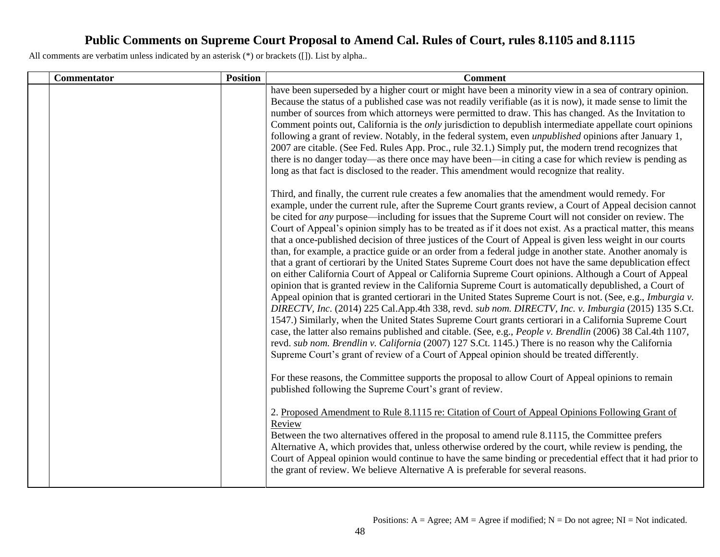| <b>Commentator</b> | <b>Position</b> | <b>Comment</b>                                                                                                                                                                                                                                                                                                                                                                                                                                                                                                                                                                                                                                                                                                                                                                                                                                                                                                                                                                                                                                                                                                                                                                                                                                                                                                                                                                                                                                                                                                                                                                                                                                                    |
|--------------------|-----------------|-------------------------------------------------------------------------------------------------------------------------------------------------------------------------------------------------------------------------------------------------------------------------------------------------------------------------------------------------------------------------------------------------------------------------------------------------------------------------------------------------------------------------------------------------------------------------------------------------------------------------------------------------------------------------------------------------------------------------------------------------------------------------------------------------------------------------------------------------------------------------------------------------------------------------------------------------------------------------------------------------------------------------------------------------------------------------------------------------------------------------------------------------------------------------------------------------------------------------------------------------------------------------------------------------------------------------------------------------------------------------------------------------------------------------------------------------------------------------------------------------------------------------------------------------------------------------------------------------------------------------------------------------------------------|
|                    |                 | have been superseded by a higher court or might have been a minority view in a sea of contrary opinion.<br>Because the status of a published case was not readily verifiable (as it is now), it made sense to limit the<br>number of sources from which attorneys were permitted to draw. This has changed. As the Invitation to<br>Comment points out, California is the <i>only</i> jurisdiction to depublish intermediate appellate court opinions<br>following a grant of review. Notably, in the federal system, even <i>unpublished</i> opinions after January 1,<br>2007 are citable. (See Fed. Rules App. Proc., rule 32.1.) Simply put, the modern trend recognizes that<br>there is no danger today—as there once may have been—in citing a case for which review is pending as<br>long as that fact is disclosed to the reader. This amendment would recognize that reality.                                                                                                                                                                                                                                                                                                                                                                                                                                                                                                                                                                                                                                                                                                                                                                           |
|                    |                 | Third, and finally, the current rule creates a few anomalies that the amendment would remedy. For<br>example, under the current rule, after the Supreme Court grants review, a Court of Appeal decision cannot<br>be cited for <i>any</i> purpose—including for issues that the Supreme Court will not consider on review. The<br>Court of Appeal's opinion simply has to be treated as if it does not exist. As a practical matter, this means<br>that a once-published decision of three justices of the Court of Appeal is given less weight in our courts<br>than, for example, a practice guide or an order from a federal judge in another state. Another anomaly is<br>that a grant of certiorari by the United States Supreme Court does not have the same depublication effect<br>on either California Court of Appeal or California Supreme Court opinions. Although a Court of Appeal<br>opinion that is granted review in the California Supreme Court is automatically depublished, a Court of<br>Appeal opinion that is granted certiorari in the United States Supreme Court is not. (See, e.g., Imburgia v.<br>DIRECTV, Inc. (2014) 225 Cal.App.4th 338, revd. sub nom. DIRECTV, Inc. v. Imburgia (2015) 135 S.Ct.<br>1547.) Similarly, when the United States Supreme Court grants certiorari in a California Supreme Court<br>case, the latter also remains published and citable. (See, e.g., People v. Brendlin (2006) 38 Cal.4th 1107,<br>revd. sub nom. Brendlin v. California (2007) 127 S.Ct. 1145.) There is no reason why the California<br>Supreme Court's grant of review of a Court of Appeal opinion should be treated differently. |
|                    |                 | For these reasons, the Committee supports the proposal to allow Court of Appeal opinions to remain<br>published following the Supreme Court's grant of review.<br>2. Proposed Amendment to Rule 8.1115 re: Citation of Court of Appeal Opinions Following Grant of<br>Review<br>Between the two alternatives offered in the proposal to amend rule 8.1115, the Committee prefers<br>Alternative A, which provides that, unless otherwise ordered by the court, while review is pending, the<br>Court of Appeal opinion would continue to have the same binding or precedential effect that it had prior to<br>the grant of review. We believe Alternative A is preferable for several reasons.                                                                                                                                                                                                                                                                                                                                                                                                                                                                                                                                                                                                                                                                                                                                                                                                                                                                                                                                                                    |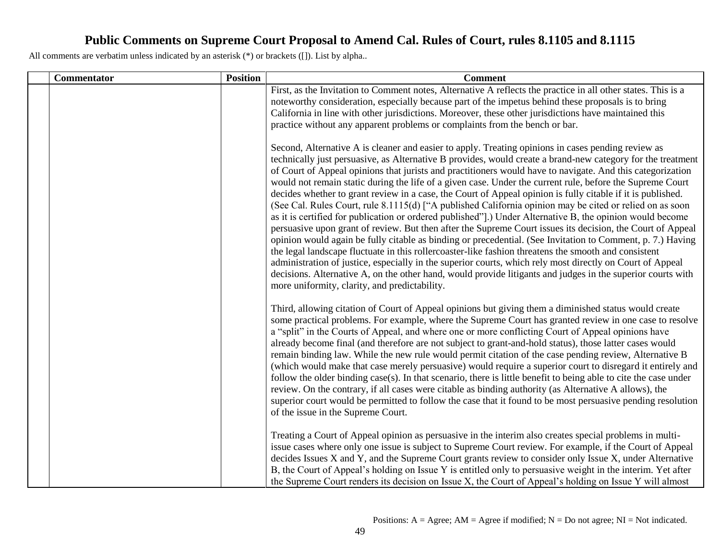| <b>Commentator</b> | <b>Position</b> | <b>Comment</b>                                                                                                                                                                                                                                                                                                                                                                                                                                                                                                                                                                                                                                                                                                                                                                                                                                                                                                                                                                                                                                                                                                                                                                                                                                                                                                                                                                                        |
|--------------------|-----------------|-------------------------------------------------------------------------------------------------------------------------------------------------------------------------------------------------------------------------------------------------------------------------------------------------------------------------------------------------------------------------------------------------------------------------------------------------------------------------------------------------------------------------------------------------------------------------------------------------------------------------------------------------------------------------------------------------------------------------------------------------------------------------------------------------------------------------------------------------------------------------------------------------------------------------------------------------------------------------------------------------------------------------------------------------------------------------------------------------------------------------------------------------------------------------------------------------------------------------------------------------------------------------------------------------------------------------------------------------------------------------------------------------------|
|                    |                 | First, as the Invitation to Comment notes, Alternative A reflects the practice in all other states. This is a<br>noteworthy consideration, especially because part of the impetus behind these proposals is to bring<br>California in line with other jurisdictions. Moreover, these other jurisdictions have maintained this<br>practice without any apparent problems or complaints from the bench or bar.                                                                                                                                                                                                                                                                                                                                                                                                                                                                                                                                                                                                                                                                                                                                                                                                                                                                                                                                                                                          |
|                    |                 | Second, Alternative A is cleaner and easier to apply. Treating opinions in cases pending review as<br>technically just persuasive, as Alternative B provides, would create a brand-new category for the treatment<br>of Court of Appeal opinions that jurists and practitioners would have to navigate. And this categorization<br>would not remain static during the life of a given case. Under the current rule, before the Supreme Court<br>decides whether to grant review in a case, the Court of Appeal opinion is fully citable if it is published.<br>(See Cal. Rules Court, rule 8.1115(d) ["A published California opinion may be cited or relied on as soon<br>as it is certified for publication or ordered published"].) Under Alternative B, the opinion would become<br>persuasive upon grant of review. But then after the Supreme Court issues its decision, the Court of Appeal<br>opinion would again be fully citable as binding or precedential. (See Invitation to Comment, p. 7.) Having<br>the legal landscape fluctuate in this rollercoaster-like fashion threatens the smooth and consistent<br>administration of justice, especially in the superior courts, which rely most directly on Court of Appeal<br>decisions. Alternative A, on the other hand, would provide litigants and judges in the superior courts with<br>more uniformity, clarity, and predictability. |
|                    |                 | Third, allowing citation of Court of Appeal opinions but giving them a diminished status would create<br>some practical problems. For example, where the Supreme Court has granted review in one case to resolve<br>a "split" in the Courts of Appeal, and where one or more conflicting Court of Appeal opinions have<br>already become final (and therefore are not subject to grant-and-hold status), those latter cases would<br>remain binding law. While the new rule would permit citation of the case pending review, Alternative B<br>(which would make that case merely persuasive) would require a superior court to disregard it entirely and<br>follow the older binding case(s). In that scenario, there is little benefit to being able to cite the case under<br>review. On the contrary, if all cases were citable as binding authority (as Alternative A allows), the<br>superior court would be permitted to follow the case that it found to be most persuasive pending resolution<br>of the issue in the Supreme Court.                                                                                                                                                                                                                                                                                                                                                          |
|                    |                 | Treating a Court of Appeal opinion as persuasive in the interim also creates special problems in multi-<br>issue cases where only one issue is subject to Supreme Court review. For example, if the Court of Appeal<br>decides Issues X and Y, and the Supreme Court grants review to consider only Issue X, under Alternative<br>B, the Court of Appeal's holding on Issue Y is entitled only to persuasive weight in the interim. Yet after<br>the Supreme Court renders its decision on Issue X, the Court of Appeal's holding on Issue Y will almost                                                                                                                                                                                                                                                                                                                                                                                                                                                                                                                                                                                                                                                                                                                                                                                                                                              |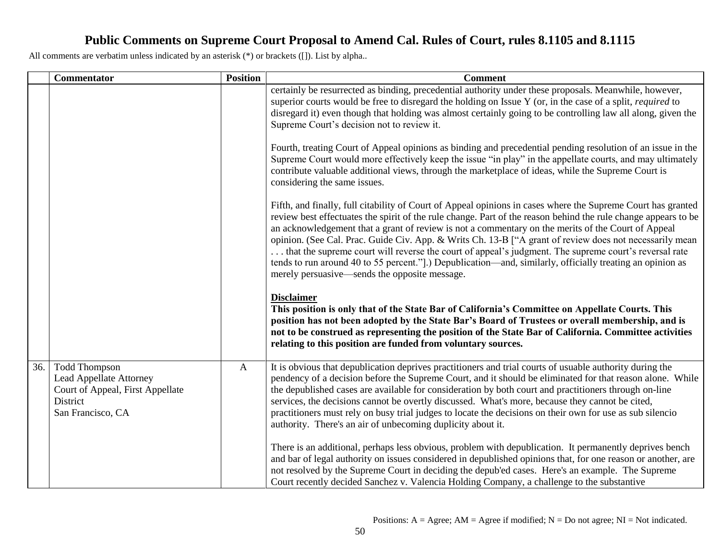|     | <b>Commentator</b>                                                                                                          | <b>Position</b> | <b>Comment</b>                                                                                                                                                                                                                                                                                                                                                                                                                                                                                                                                                                                                                                                                                                       |
|-----|-----------------------------------------------------------------------------------------------------------------------------|-----------------|----------------------------------------------------------------------------------------------------------------------------------------------------------------------------------------------------------------------------------------------------------------------------------------------------------------------------------------------------------------------------------------------------------------------------------------------------------------------------------------------------------------------------------------------------------------------------------------------------------------------------------------------------------------------------------------------------------------------|
|     |                                                                                                                             |                 | certainly be resurrected as binding, precedential authority under these proposals. Meanwhile, however,<br>superior courts would be free to disregard the holding on Issue Y (or, in the case of a split, <i>required</i> to<br>disregard it) even though that holding was almost certainly going to be controlling law all along, given the<br>Supreme Court's decision not to review it.                                                                                                                                                                                                                                                                                                                            |
|     |                                                                                                                             |                 | Fourth, treating Court of Appeal opinions as binding and precedential pending resolution of an issue in the<br>Supreme Court would more effectively keep the issue "in play" in the appellate courts, and may ultimately<br>contribute valuable additional views, through the marketplace of ideas, while the Supreme Court is<br>considering the same issues.                                                                                                                                                                                                                                                                                                                                                       |
|     |                                                                                                                             |                 | Fifth, and finally, full citability of Court of Appeal opinions in cases where the Supreme Court has granted<br>review best effectuates the spirit of the rule change. Part of the reason behind the rule change appears to be<br>an acknowledgement that a grant of review is not a commentary on the merits of the Court of Appeal<br>opinion. (See Cal. Prac. Guide Civ. App. & Writs Ch. 13-B ["A grant of review does not necessarily mean<br>that the supreme court will reverse the court of appeal's judgment. The supreme court's reversal rate<br>tends to run around 40 to 55 percent.") Depublication—and, similarly, officially treating an opinion as<br>merely persuasive—sends the opposite message. |
|     |                                                                                                                             |                 | <b>Disclaimer</b><br>This position is only that of the State Bar of California's Committee on Appellate Courts. This<br>position has not been adopted by the State Bar's Board of Trustees or overall membership, and is<br>not to be construed as representing the position of the State Bar of California. Committee activities<br>relating to this position are funded from voluntary sources.                                                                                                                                                                                                                                                                                                                    |
| 36. | <b>Todd Thompson</b><br><b>Lead Appellate Attorney</b><br>Court of Appeal, First Appellate<br>District<br>San Francisco, CA | $\mathbf{A}$    | It is obvious that depublication deprives practitioners and trial courts of usuable authority during the<br>pendency of a decision before the Supreme Court, and it should be eliminated for that reason alone. While<br>the depublished cases are available for consideration by both court and practitioners through on-line<br>services, the decisions cannot be overtly discussed. What's more, because they cannot be cited,<br>practitioners must rely on busy trial judges to locate the decisions on their own for use as sub silencio<br>authority. There's an air of unbecoming duplicity about it.                                                                                                        |
|     |                                                                                                                             |                 | There is an additional, perhaps less obvious, problem with depublication. It permanently deprives bench<br>and bar of legal authority on issues considered in depublished opinions that, for one reason or another, are<br>not resolved by the Supreme Court in deciding the depub'ed cases. Here's an example. The Supreme<br>Court recently decided Sanchez v. Valencia Holding Company, a challenge to the substantive                                                                                                                                                                                                                                                                                            |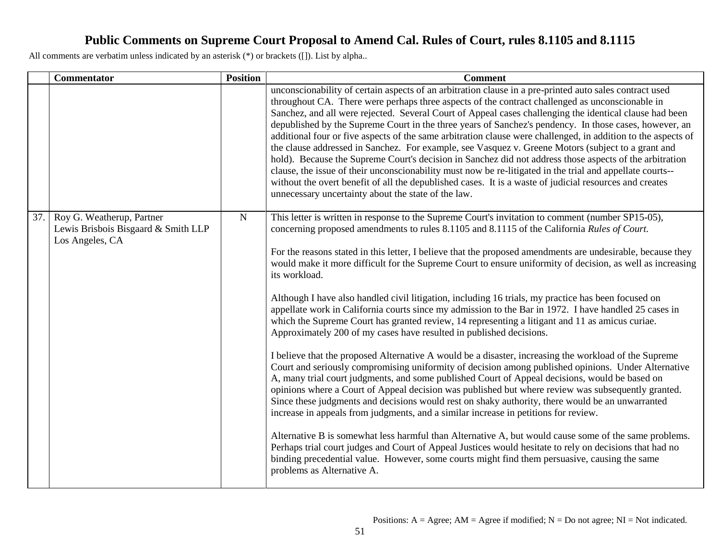|     | <b>Commentator</b>                                                                  | <b>Position</b> | <b>Comment</b>                                                                                                                                                                                                                                                                                                                                                                                                                                                                                                                                                                                                                                                                                                                                                                                                                                                                                                                                                                                                                                   |
|-----|-------------------------------------------------------------------------------------|-----------------|--------------------------------------------------------------------------------------------------------------------------------------------------------------------------------------------------------------------------------------------------------------------------------------------------------------------------------------------------------------------------------------------------------------------------------------------------------------------------------------------------------------------------------------------------------------------------------------------------------------------------------------------------------------------------------------------------------------------------------------------------------------------------------------------------------------------------------------------------------------------------------------------------------------------------------------------------------------------------------------------------------------------------------------------------|
|     |                                                                                     |                 | unconscionability of certain aspects of an arbitration clause in a pre-printed auto sales contract used<br>throughout CA. There were perhaps three aspects of the contract challenged as unconscionable in<br>Sanchez, and all were rejected. Several Court of Appeal cases challenging the identical clause had been<br>depublished by the Supreme Court in the three years of Sanchez's pendency. In those cases, however, an<br>additional four or five aspects of the same arbitration clause were challenged, in addition to the aspects of<br>the clause addressed in Sanchez. For example, see Vasquez v. Greene Motors (subject to a grant and<br>hold). Because the Supreme Court's decision in Sanchez did not address those aspects of the arbitration<br>clause, the issue of their unconscionability must now be re-litigated in the trial and appellate courts--<br>without the overt benefit of all the depublished cases. It is a waste of judicial resources and creates<br>unnecessary uncertainty about the state of the law. |
| 37. | Roy G. Weatherup, Partner<br>Lewis Brisbois Bisgaard & Smith LLP<br>Los Angeles, CA | ${\bf N}$       | This letter is written in response to the Supreme Court's invitation to comment (number SP15-05),<br>concerning proposed amendments to rules 8.1105 and 8.1115 of the California Rules of Court.<br>For the reasons stated in this letter, I believe that the proposed amendments are undesirable, because they<br>would make it more difficult for the Supreme Court to ensure uniformity of decision, as well as increasing<br>its workload.                                                                                                                                                                                                                                                                                                                                                                                                                                                                                                                                                                                                   |
|     |                                                                                     |                 | Although I have also handled civil litigation, including 16 trials, my practice has been focused on<br>appellate work in California courts since my admission to the Bar in 1972. I have handled 25 cases in<br>which the Supreme Court has granted review, 14 representing a litigant and 11 as amicus curiae.<br>Approximately 200 of my cases have resulted in published decisions.                                                                                                                                                                                                                                                                                                                                                                                                                                                                                                                                                                                                                                                           |
|     |                                                                                     |                 | I believe that the proposed Alternative A would be a disaster, increasing the workload of the Supreme<br>Court and seriously compromising uniformity of decision among published opinions. Under Alternative<br>A, many trial court judgments, and some published Court of Appeal decisions, would be based on<br>opinions where a Court of Appeal decision was published but where review was subsequently granted.<br>Since these judgments and decisions would rest on shaky authority, there would be an unwarranted<br>increase in appeals from judgments, and a similar increase in petitions for review.                                                                                                                                                                                                                                                                                                                                                                                                                                  |
|     |                                                                                     |                 | Alternative B is somewhat less harmful than Alternative A, but would cause some of the same problems.<br>Perhaps trial court judges and Court of Appeal Justices would hesitate to rely on decisions that had no<br>binding precedential value. However, some courts might find them persuasive, causing the same<br>problems as Alternative A.                                                                                                                                                                                                                                                                                                                                                                                                                                                                                                                                                                                                                                                                                                  |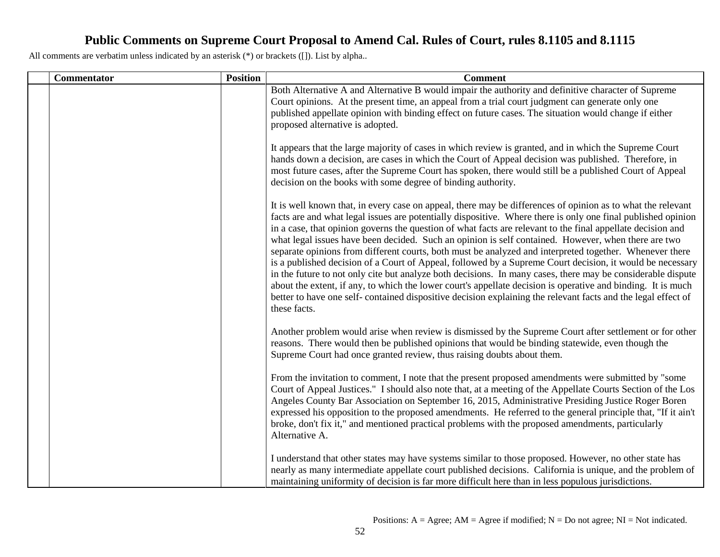| Commentator | <b>Position</b> | <b>Comment</b>                                                                                                                                                                                                                                                                                                                                                                                                                                                                                                                                                                                                                                                                                                                                                                                                                                                                                                                                                                                                                           |
|-------------|-----------------|------------------------------------------------------------------------------------------------------------------------------------------------------------------------------------------------------------------------------------------------------------------------------------------------------------------------------------------------------------------------------------------------------------------------------------------------------------------------------------------------------------------------------------------------------------------------------------------------------------------------------------------------------------------------------------------------------------------------------------------------------------------------------------------------------------------------------------------------------------------------------------------------------------------------------------------------------------------------------------------------------------------------------------------|
|             |                 | Both Alternative A and Alternative B would impair the authority and definitive character of Supreme<br>Court opinions. At the present time, an appeal from a trial court judgment can generate only one<br>published appellate opinion with binding effect on future cases. The situation would change if either<br>proposed alternative is adopted.                                                                                                                                                                                                                                                                                                                                                                                                                                                                                                                                                                                                                                                                                     |
|             |                 | It appears that the large majority of cases in which review is granted, and in which the Supreme Court<br>hands down a decision, are cases in which the Court of Appeal decision was published. Therefore, in<br>most future cases, after the Supreme Court has spoken, there would still be a published Court of Appeal<br>decision on the books with some degree of binding authority.                                                                                                                                                                                                                                                                                                                                                                                                                                                                                                                                                                                                                                                 |
|             |                 | It is well known that, in every case on appeal, there may be differences of opinion as to what the relevant<br>facts are and what legal issues are potentially dispositive. Where there is only one final published opinion<br>in a case, that opinion governs the question of what facts are relevant to the final appellate decision and<br>what legal issues have been decided. Such an opinion is self contained. However, when there are two<br>separate opinions from different courts, both must be analyzed and interpreted together. Whenever there<br>is a published decision of a Court of Appeal, followed by a Supreme Court decision, it would be necessary<br>in the future to not only cite but analyze both decisions. In many cases, there may be considerable dispute<br>about the extent, if any, to which the lower court's appellate decision is operative and binding. It is much<br>better to have one self-contained dispositive decision explaining the relevant facts and the legal effect of<br>these facts. |
|             |                 | Another problem would arise when review is dismissed by the Supreme Court after settlement or for other<br>reasons. There would then be published opinions that would be binding statewide, even though the<br>Supreme Court had once granted review, thus raising doubts about them.                                                                                                                                                                                                                                                                                                                                                                                                                                                                                                                                                                                                                                                                                                                                                    |
|             |                 | From the invitation to comment, I note that the present proposed amendments were submitted by "some<br>Court of Appeal Justices." I should also note that, at a meeting of the Appellate Courts Section of the Los<br>Angeles County Bar Association on September 16, 2015, Administrative Presiding Justice Roger Boren<br>expressed his opposition to the proposed amendments. He referred to the general principle that, "If it ain't<br>broke, don't fix it," and mentioned practical problems with the proposed amendments, particularly<br>Alternative A.                                                                                                                                                                                                                                                                                                                                                                                                                                                                          |
|             |                 | I understand that other states may have systems similar to those proposed. However, no other state has<br>nearly as many intermediate appellate court published decisions. California is unique, and the problem of<br>maintaining uniformity of decision is far more difficult here than in less populous jurisdictions.                                                                                                                                                                                                                                                                                                                                                                                                                                                                                                                                                                                                                                                                                                                |